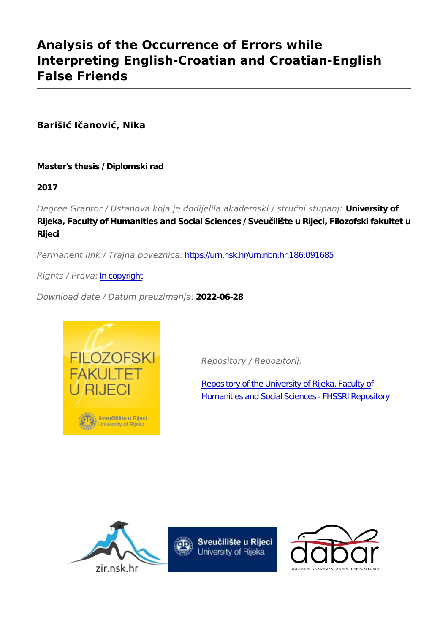## **Analysis of the Occurrence of Errors while Interpreting English-Croatian and Croatian-English False Friends**

**Barišić Ičanović, Nika**

**Master's thesis / Diplomski rad**

**2017**

*Degree Grantor / Ustanova koja je dodijelila akademski / stručni stupanj:* **University of Rijeka, Faculty of Humanities and Social Sciences / Sveučilište u Rijeci, Filozofski fakultet u Rijeci**

*Permanent link / Trajna poveznica:* <https://urn.nsk.hr/urn:nbn:hr:186:091685>

*Rights / Prava:* [In copyright](http://rightsstatements.org/vocab/InC/1.0/)

*Download date / Datum preuzimanja:* **2022-06-28**



*Repository / Repozitorij:*

[Repository of the University of Rijeka, Faculty of](https://repository.ffri.uniri.hr) [Humanities and Social Sciences - FHSSRI Repository](https://repository.ffri.uniri.hr)





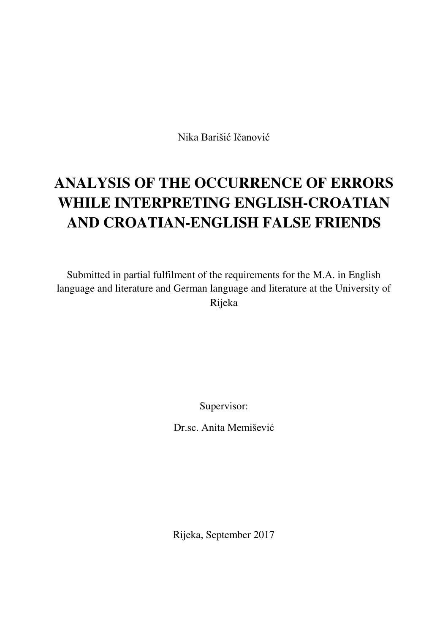Nika Barišić Ičanović

# **ANALYSIS OF THE OCCURRENCE OF ERRORS WHILE INTERPRETING ENGLISH-CROATIAN AND CROATIAN-ENGLISH FALSE FRIENDS**

Submitted in partial fulfilment of the requirements for the M.A. in English language and literature and German language and literature at the University of Rijeka

Supervisor:

Dr.sc. Anita Memišević

Rijeka, September 2017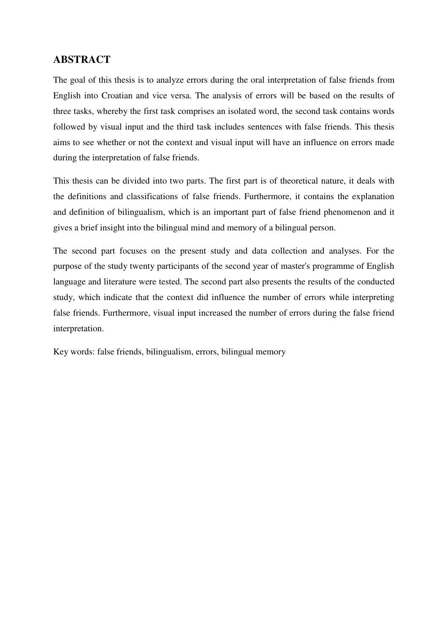## **ABSTRACT**

The goal of this thesis is to analyze errors during the oral interpretation of false friends from English into Croatian and vice versa. The analysis of errors will be based on the results of three tasks, whereby the first task comprises an isolated word, the second task contains words followed by visual input and the third task includes sentences with false friends. This thesis aims to see whether or not the context and visual input will have an influence on errors made during the interpretation of false friends.

This thesis can be divided into two parts. The first part is of theoretical nature, it deals with the definitions and classifications of false friends. Furthermore, it contains the explanation and definition of bilingualism, which is an important part of false friend phenomenon and it gives a brief insight into the bilingual mind and memory of a bilingual person.

The second part focuses on the present study and data collection and analyses. For the purpose of the study twenty participants of the second year of master's programme of English language and literature were tested. The second part also presents the results of the conducted study, which indicate that the context did influence the number of errors while interpreting false friends. Furthermore, visual input increased the number of errors during the false friend interpretation.

Key words: false friends, bilingualism, errors, bilingual memory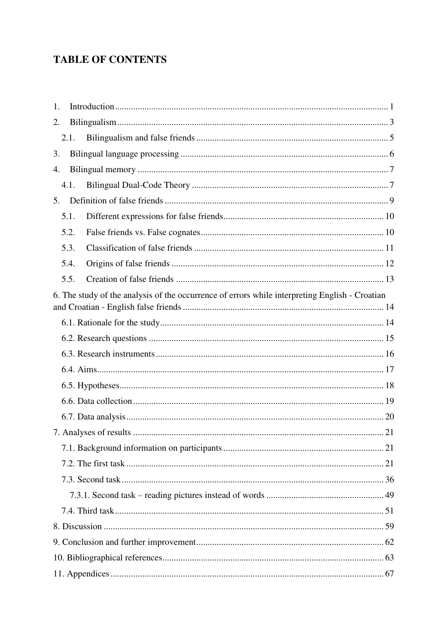## **TABLE OF CONTENTS**

| 1. |      |                                                                                                |  |
|----|------|------------------------------------------------------------------------------------------------|--|
| 2. |      |                                                                                                |  |
|    | 2.1. |                                                                                                |  |
| 3. |      |                                                                                                |  |
| 4. |      |                                                                                                |  |
|    | 4.1. |                                                                                                |  |
| 5. |      |                                                                                                |  |
|    | 5.1. |                                                                                                |  |
|    | 5.2. |                                                                                                |  |
|    | 5.3. |                                                                                                |  |
|    | 5.4. |                                                                                                |  |
|    | 5.5. |                                                                                                |  |
|    |      | 6. The study of the analysis of the occurrence of errors while interpreting English - Croatian |  |
|    |      |                                                                                                |  |
|    |      |                                                                                                |  |
|    |      |                                                                                                |  |
|    |      |                                                                                                |  |
|    |      |                                                                                                |  |
|    |      |                                                                                                |  |
|    |      |                                                                                                |  |
|    |      |                                                                                                |  |
|    |      |                                                                                                |  |
|    |      |                                                                                                |  |
|    |      |                                                                                                |  |
|    |      |                                                                                                |  |
|    |      |                                                                                                |  |
|    |      |                                                                                                |  |
|    |      |                                                                                                |  |
|    |      |                                                                                                |  |
|    |      |                                                                                                |  |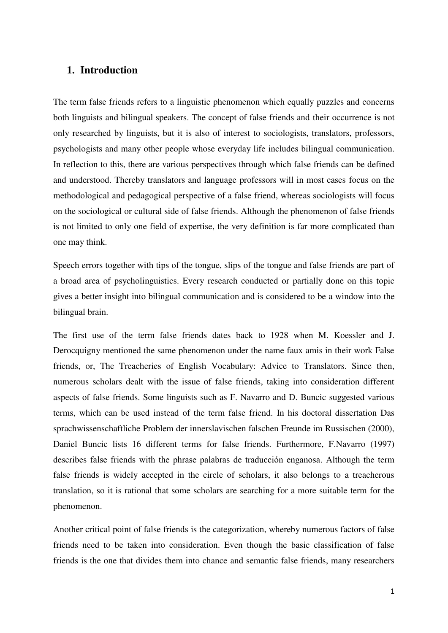## <span id="page-5-0"></span>**1. Introduction**

The term false friends refers to a linguistic phenomenon which equally puzzles and concerns both linguists and bilingual speakers. The concept of false friends and their occurrence is not only researched by linguists, but it is also of interest to sociologists, translators, professors, psychologists and many other people whose everyday life includes bilingual communication. In reflection to this, there are various perspectives through which false friends can be defined and understood. Thereby translators and language professors will in most cases focus on the methodological and pedagogical perspective of a false friend, whereas sociologists will focus on the sociological or cultural side of false friends. Although the phenomenon of false friends is not limited to only one field of expertise, the very definition is far more complicated than one may think.

Speech errors together with tips of the tongue, slips of the tongue and false friends are part of a broad area of psycholinguistics. Every research conducted or partially done on this topic gives a better insight into bilingual communication and is considered to be a window into the bilingual brain.

The first use of the term false friends dates back to 1928 when M. Koessler and J. Derocquigny mentioned the same phenomenon under the name faux amis in their work False friends, or, The Treacheries of English Vocabulary: Advice to Translators. Since then, numerous scholars dealt with the issue of false friends, taking into consideration different aspects of false friends. Some linguists such as F. Navarro and D. Buncic suggested various terms, which can be used instead of the term false friend. In his doctoral dissertation Das sprachwissenschaftliche Problem der innerslavischen falschen Freunde im Russischen (2000), Daniel Buncic lists 16 different terms for false friends. Furthermore, F.Navarro (1997) describes false friends with the phrase palabras de traducciόn enganosa. Although the term false friends is widely accepted in the circle of scholars, it also belongs to a treacherous translation, so it is rational that some scholars are searching for a more suitable term for the phenomenon.

Another critical point of false friends is the categorization, whereby numerous factors of false friends need to be taken into consideration. Even though the basic classification of false friends is the one that divides them into chance and semantic false friends, many researchers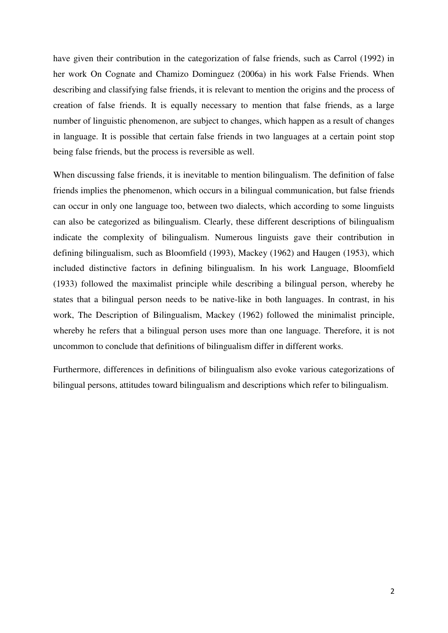have given their contribution in the categorization of false friends, such as Carrol (1992) in her work On Cognate and Chamizo Dominguez (2006a) in his work False Friends. When describing and classifying false friends, it is relevant to mention the origins and the process of creation of false friends. It is equally necessary to mention that false friends, as a large number of linguistic phenomenon, are subject to changes, which happen as a result of changes in language. It is possible that certain false friends in two languages at a certain point stop being false friends, but the process is reversible as well.

When discussing false friends, it is inevitable to mention bilingualism. The definition of false friends implies the phenomenon, which occurs in a bilingual communication, but false friends can occur in only one language too, between two dialects, which according to some linguists can also be categorized as bilingualism. Clearly, these different descriptions of bilingualism indicate the complexity of bilingualism. Numerous linguists gave their contribution in defining bilingualism, such as Bloomfield (1993), Mackey (1962) and Haugen (1953), which included distinctive factors in defining bilingualism. In his work Language, Bloomfield (1933) followed the maximalist principle while describing a bilingual person, whereby he states that a bilingual person needs to be native-like in both languages. In contrast, in his work, The Description of Bilingualism, Mackey (1962) followed the minimalist principle, whereby he refers that a bilingual person uses more than one language. Therefore, it is not uncommon to conclude that definitions of bilingualism differ in different works.

Furthermore, differences in definitions of bilingualism also evoke various categorizations of bilingual persons, attitudes toward bilingualism and descriptions which refer to bilingualism.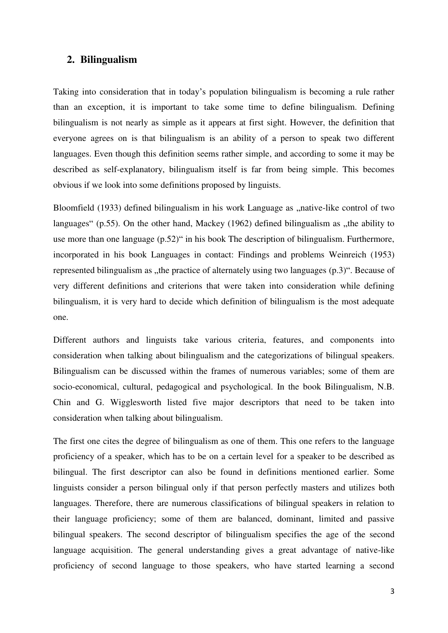#### <span id="page-7-0"></span>**2. Bilingualism**

Taking into consideration that in today's population bilingualism is becoming a rule rather than an exception, it is important to take some time to define bilingualism. Defining bilingualism is not nearly as simple as it appears at first sight. However, the definition that everyone agrees on is that bilingualism is an ability of a person to speak two different languages. Even though this definition seems rather simple, and according to some it may be described as self-explanatory, bilingualism itself is far from being simple. This becomes obvious if we look into some definitions proposed by linguists.

Bloomfield (1933) defined bilingualism in his work Language as "native-like control of two languages" (p.55). On the other hand, Mackey (1962) defined bilingualism as  $x$ , the ability to use more than one language (p.52)" in his book The description of bilingualism. Furthermore, incorporated in his book Languages in contact: Findings and problems Weinreich (1953) represented bilingualism as "the practice of alternately using two languages (p.3)". Because of very different definitions and criterions that were taken into consideration while defining bilingualism, it is very hard to decide which definition of bilingualism is the most adequate one.

Different authors and linguists take various criteria, features, and components into consideration when talking about bilingualism and the categorizations of bilingual speakers. Bilingualism can be discussed within the frames of numerous variables; some of them are socio-economical, cultural, pedagogical and psychological. In the book Bilingualism, N.B. Chin and G. Wigglesworth listed five major descriptors that need to be taken into consideration when talking about bilingualism.

The first one cites the degree of bilingualism as one of them. This one refers to the language proficiency of a speaker, which has to be on a certain level for a speaker to be described as bilingual. The first descriptor can also be found in definitions mentioned earlier. Some linguists consider a person bilingual only if that person perfectly masters and utilizes both languages. Therefore, there are numerous classifications of bilingual speakers in relation to their language proficiency; some of them are balanced, dominant, limited and passive bilingual speakers. The second descriptor of bilingualism specifies the age of the second language acquisition. The general understanding gives a great advantage of native-like proficiency of second language to those speakers, who have started learning a second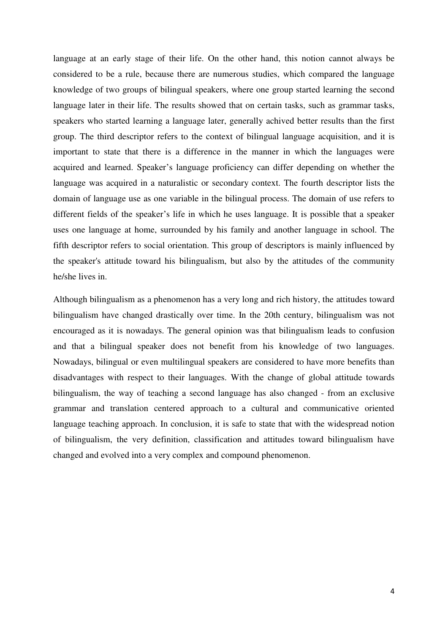language at an early stage of their life. On the other hand, this notion cannot always be considered to be a rule, because there are numerous studies, which compared the language knowledge of two groups of bilingual speakers, where one group started learning the second language later in their life. The results showed that on certain tasks, such as grammar tasks, speakers who started learning a language later, generally achived better results than the first group. The third descriptor refers to the context of bilingual language acquisition, and it is important to state that there is a difference in the manner in which the languages were acquired and learned. Speaker's language proficiency can differ depending on whether the language was acquired in a naturalistic or secondary context. The fourth descriptor lists the domain of language use as one variable in the bilingual process. The domain of use refers to different fields of the speaker's life in which he uses language. It is possible that a speaker uses one language at home, surrounded by his family and another language in school. The fifth descriptor refers to social orientation. This group of descriptors is mainly influenced by the speaker's attitude toward his bilingualism, but also by the attitudes of the community he/she lives in.

Although bilingualism as a phenomenon has a very long and rich history, the attitudes toward bilingualism have changed drastically over time. In the 20th century, bilingualism was not encouraged as it is nowadays. The general opinion was that bilingualism leads to confusion and that a bilingual speaker does not benefit from his knowledge of two languages. Nowadays, bilingual or even multilingual speakers are considered to have more benefits than disadvantages with respect to their languages. With the change of global attitude towards bilingualism, the way of teaching a second language has also changed - from an exclusive grammar and translation centered approach to a cultural and communicative oriented language teaching approach. In conclusion, it is safe to state that with the widespread notion of bilingualism, the very definition, classification and attitudes toward bilingualism have changed and evolved into a very complex and compound phenomenon.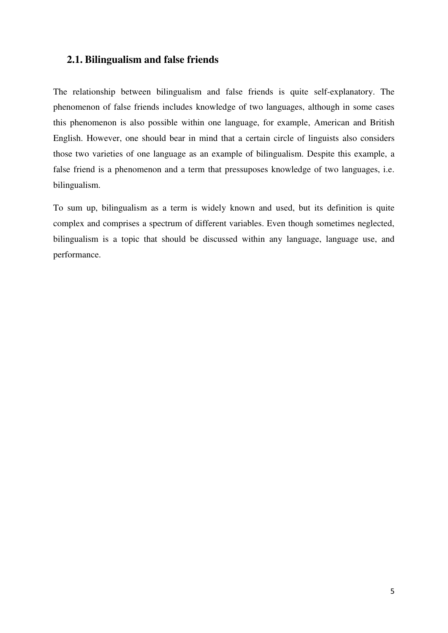## <span id="page-9-0"></span>**2.1. Bilingualism and false friends**

The relationship between bilingualism and false friends is quite self-explanatory. The phenomenon of false friends includes knowledge of two languages, although in some cases this phenomenon is also possible within one language, for example, American and British English. However, one should bear in mind that a certain circle of linguists also considers those two varieties of one language as an example of bilingualism. Despite this example, a false friend is a phenomenon and a term that pressuposes knowledge of two languages, i.e. bilingualism.

To sum up, bilingualism as a term is widely known and used, but its definition is quite complex and comprises a spectrum of different variables. Even though sometimes neglected, bilingualism is a topic that should be discussed within any language, language use, and performance.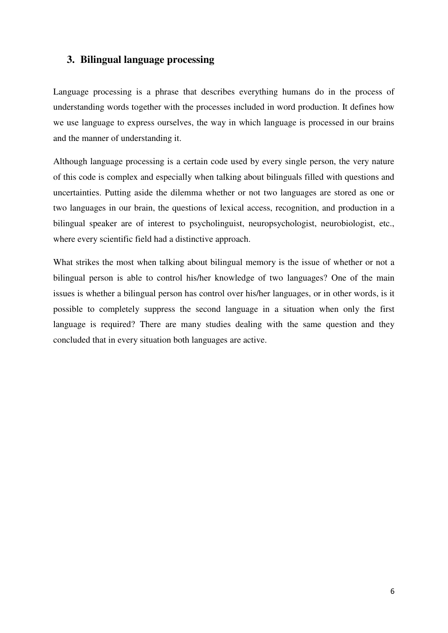## <span id="page-10-0"></span>**3. Bilingual language processing**

Language processing is a phrase that describes everything humans do in the process of understanding words together with the processes included in word production. It defines how we use language to express ourselves, the way in which language is processed in our brains and the manner of understanding it.

Although language processing is a certain code used by every single person, the very nature of this code is complex and especially when talking about bilinguals filled with questions and uncertainties. Putting aside the dilemma whether or not two languages are stored as one or two languages in our brain, the questions of lexical access, recognition, and production in a bilingual speaker are of interest to psycholinguist, neuropsychologist, neurobiologist, etc., where every scientific field had a distinctive approach.

What strikes the most when talking about bilingual memory is the issue of whether or not a bilingual person is able to control his/her knowledge of two languages? One of the main issues is whether a bilingual person has control over his/her languages, or in other words, is it possible to completely suppress the second language in a situation when only the first language is required? There are many studies dealing with the same question and they concluded that in every situation both languages are active.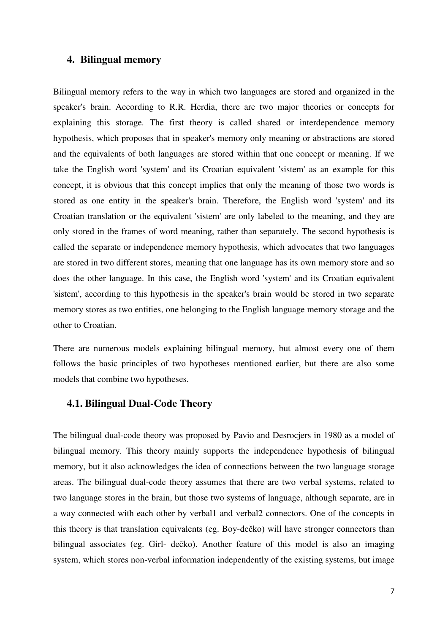## <span id="page-11-0"></span>**4. Bilingual memory**

Bilingual memory refers to the way in which two languages are stored and organized in the speaker's brain. According to R.R. Herdia, there are two major theories or concepts for explaining this storage. The first theory is called shared or interdependence memory hypothesis, which proposes that in speaker's memory only meaning or abstractions are stored and the equivalents of both languages are stored within that one concept or meaning. If we take the English word 'system' and its Croatian equivalent 'sistem' as an example for this concept, it is obvious that this concept implies that only the meaning of those two words is stored as one entity in the speaker's brain. Therefore, the English word 'system' and its Croatian translation or the equivalent 'sistem' are only labeled to the meaning, and they are only stored in the frames of word meaning, rather than separately. The second hypothesis is called the separate or independence memory hypothesis, which advocates that two languages are stored in two different stores, meaning that one language has its own memory store and so does the other language. In this case, the English word 'system' and its Croatian equivalent 'sistem', according to this hypothesis in the speaker's brain would be stored in two separate memory stores as two entities, one belonging to the English language memory storage and the other to Croatian.

There are numerous models explaining bilingual memory, but almost every one of them follows the basic principles of two hypotheses mentioned earlier, but there are also some models that combine two hypotheses.

#### <span id="page-11-1"></span>**4.1. Bilingual Dual-Code Theory**

The bilingual dual-code theory was proposed by Pavio and Desrocjers in 1980 as a model of bilingual memory. This theory mainly supports the independence hypothesis of bilingual memory, but it also acknowledges the idea of connections between the two language storage areas. The bilingual dual-code theory assumes that there are two verbal systems, related to two language stores in the brain, but those two systems of language, although separate, are in a way connected with each other by verbal1 and verbal2 connectors. One of the concepts in this theory is that translation equivalents (eg. Boy-dečko) will have stronger connectors than bilingual associates (eg. Girl- dečko). Another feature of this model is also an imaging system, which stores non-verbal information independently of the existing systems, but image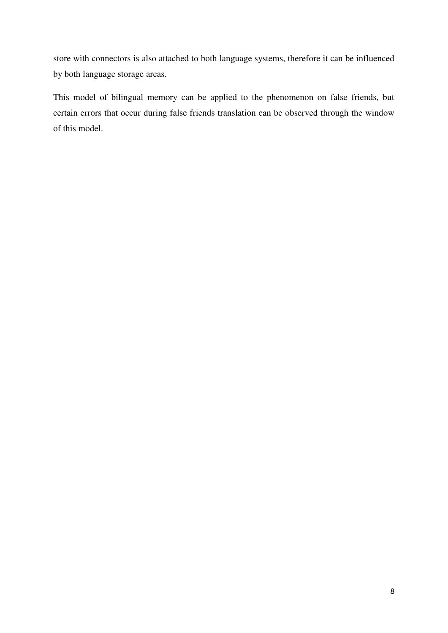store with connectors is also attached to both language systems, therefore it can be influenced by both language storage areas.

This model of bilingual memory can be applied to the phenomenon on false friends, but certain errors that occur during false friends translation can be observed through the window of this model.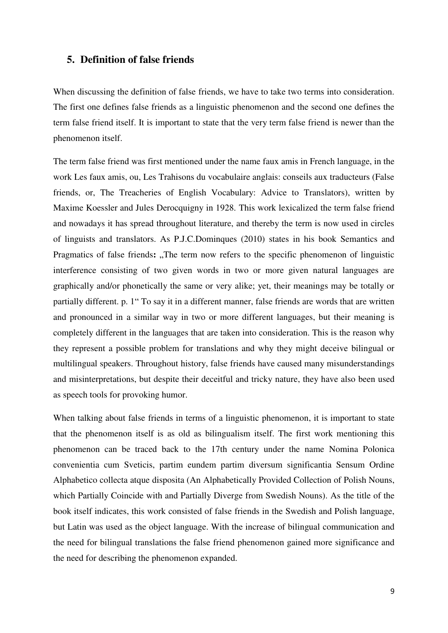### <span id="page-13-0"></span>**5. Definition of false friends**

When discussing the definition of false friends, we have to take two terms into consideration. The first one defines false friends as a linguistic phenomenon and the second one defines the term false friend itself. It is important to state that the very term false friend is newer than the phenomenon itself.

The term false friend was first mentioned under the name faux amis in French language, in the work Les faux amis, ou, Les Trahisons du vocabulaire anglais: conseils aux traducteurs (False friends, or, The Treacheries of English Vocabulary: Advice to Translators), written by Maxime Koessler and Jules Derocquigny in 1928. This work lexicalized the term false friend and nowadays it has spread throughout literature, and thereby the term is now used in circles of linguists and translators. As P.J.C.Dominques (2010) states in his book Semantics and Pragmatics of false friends: "The term now refers to the specific phenomenon of linguistic interference consisting of two given words in two or more given natural languages are graphically and/or phonetically the same or very alike; yet, their meanings may be totally or partially different. p. 1" To say it in a different manner, false friends are words that are written and pronounced in a similar way in two or more different languages, but their meaning is completely different in the languages that are taken into consideration. This is the reason why they represent a possible problem for translations and why they might deceive bilingual or multilingual speakers. Throughout history, false friends have caused many misunderstandings and misinterpretations, but despite their deceitful and tricky nature, they have also been used as speech tools for provoking humor.

When talking about false friends in terms of a linguistic phenomenon, it is important to state that the phenomenon itself is as old as bilingualism itself. The first work mentioning this phenomenon can be traced back to the 17th century under the name Nomina Polonica convenientia cum Sveticis, partim eundem partim diversum significantia Sensum Ordine Alphabetico collecta atque disposita (An Alphabetically Provided Collection of Polish Nouns, which Partially Coincide with and Partially Diverge from Swedish Nouns). As the title of the book itself indicates, this work consisted of false friends in the Swedish and Polish language, but Latin was used as the object language. With the increase of bilingual communication and the need for bilingual translations the false friend phenomenon gained more significance and the need for describing the phenomenon expanded.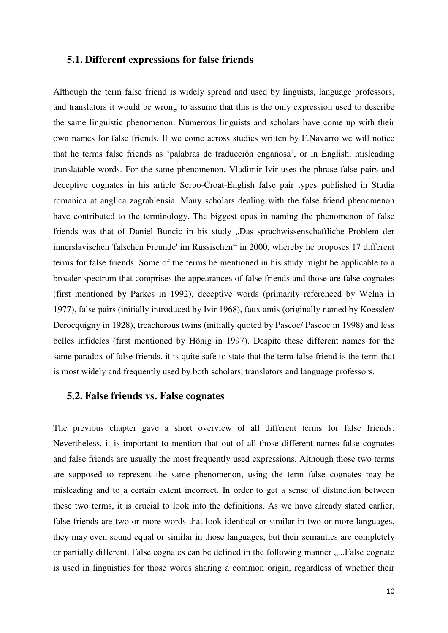#### <span id="page-14-0"></span>**5.1. Different expressions for false friends**

Although the term false friend is widely spread and used by linguists, language professors, and translators it would be wrong to assume that this is the only expression used to describe the same linguistic phenomenon. Numerous linguists and scholars have come up with their own names for false friends. If we come across studies written by F.Navarro we will notice that he terms false friends as 'palabras de traducciόn engañosa', or in English, misleading translatable words. For the same phenomenon, Vladimir Ivir uses the phrase false pairs and deceptive cognates in his article Serbo-Croat-English false pair types published in Studia romanica at anglica zagrabiensia. Many scholars dealing with the false friend phenomenon have contributed to the terminology. The biggest opus in naming the phenomenon of false friends was that of Daniel Buncic in his study "Das sprachwissenschaftliche Problem der innerslavischen 'falschen Freunde' im Russischen" in 2000, whereby he proposes 17 different terms for false friends. Some of the terms he mentioned in his study might be applicable to a broader spectrum that comprises the appearances of false friends and those are false cognates (first mentioned by Parkes in 1992), deceptive words (primarily referenced by Welna in 1977), false pairs (initially introduced by Ivir 1968), faux amis (originally named by Koessler/ Derocquigny in 1928), treacherous twins (initially quoted by Pascoe/ Pascoe in 1998) and less belles infideles (first mentioned by Hönig in 1997). Despite these different names for the same paradox of false friends, it is quite safe to state that the term false friend is the term that is most widely and frequently used by both scholars, translators and language professors.

## <span id="page-14-1"></span>**5.2. False friends vs. False cognates**

The previous chapter gave a short overview of all different terms for false friends. Nevertheless, it is important to mention that out of all those different names false cognates and false friends are usually the most frequently used expressions. Although those two terms are supposed to represent the same phenomenon, using the term false cognates may be misleading and to a certain extent incorrect. In order to get a sense of distinction between these two terms, it is crucial to look into the definitions. As we have already stated earlier, false friends are two or more words that look identical or similar in two or more languages, they may even sound equal or similar in those languages, but their semantics are completely or partially different. False cognates can be defined in the following manner .....False cognate is used in linguistics for those words sharing a common origin, regardless of whether their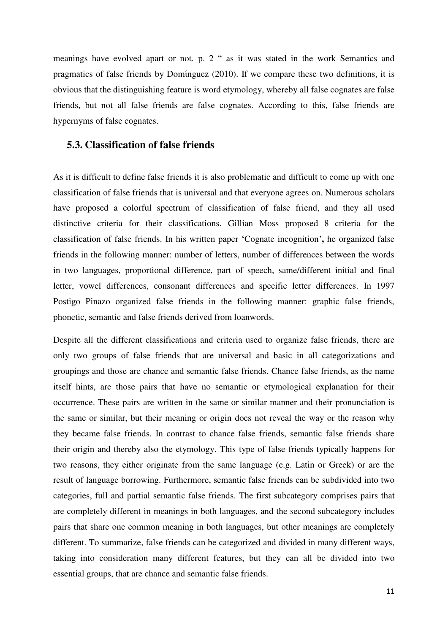meanings have evolved apart or not. p. 2 " as it was stated in the work Semantics and pragmatics of false friends by Dominguez  $(2010)$ . If we compare these two definitions, it is obvious that the distinguishing feature is word etymology, whereby all false cognates are false friends, but not all false friends are false cognates. According to this, false friends are hypernyms of false cognates.

#### <span id="page-15-0"></span>**5.3. Classification of false friends**

As it is difficult to define false friends it is also problematic and difficult to come up with one classification of false friends that is universal and that everyone agrees on. Numerous scholars have proposed a colorful spectrum of classification of false friend, and they all used distinctive criteria for their classifications. Gillian Moss proposed 8 criteria for the classification of false friends. In his written paper 'Cognate incognition'**,** he organized false friends in the following manner: number of letters, number of differences between the words in two languages, proportional difference, part of speech, same/different initial and final letter, vowel differences, consonant differences and specific letter differences. In 1997 Postigo Pinazo organized false friends in the following manner: graphic false friends, phonetic, semantic and false friends derived from loanwords.

Despite all the different classifications and criteria used to organize false friends, there are only two groups of false friends that are universal and basic in all categorizations and groupings and those are chance and semantic false friends. Chance false friends, as the name itself hints, are those pairs that have no semantic or etymological explanation for their occurrence. These pairs are written in the same or similar manner and their pronunciation is the same or similar, but their meaning or origin does not reveal the way or the reason why they became false friends. In contrast to chance false friends, semantic false friends share their origin and thereby also the etymology. This type of false friends typically happens for two reasons, they either originate from the same language (e.g. Latin or Greek) or are the result of language borrowing. Furthermore, semantic false friends can be subdivided into two categories, full and partial semantic false friends. The first subcategory comprises pairs that are completely different in meanings in both languages, and the second subcategory includes pairs that share one common meaning in both languages, but other meanings are completely different. To summarize, false friends can be categorized and divided in many different ways, taking into consideration many different features, but they can all be divided into two essential groups, that are chance and semantic false friends.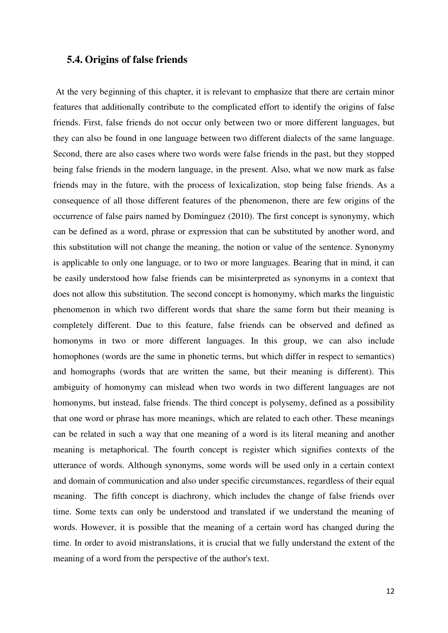#### <span id="page-16-0"></span>**5.4. Origins of false friends**

 At the very beginning of this chapter, it is relevant to emphasize that there are certain minor features that additionally contribute to the complicated effort to identify the origins of false friends. First, false friends do not occur only between two or more different languages, but they can also be found in one language between two different dialects of the same language. Second, there are also cases where two words were false friends in the past, but they stopped being false friends in the modern language, in the present. Also, what we now mark as false friends may in the future, with the process of lexicalization, stop being false friends. As a consequence of all those different features of the phenomenon, there are few origins of the occurrence of false pairs named by Domἱnguez (2010). The first concept is synonymy, which can be defined as a word, phrase or expression that can be substituted by another word, and this substitution will not change the meaning, the notion or value of the sentence. Synonymy is applicable to only one language, or to two or more languages. Bearing that in mind, it can be easily understood how false friends can be misinterpreted as synonyms in a context that does not allow this substitution. The second concept is homonymy, which marks the linguistic phenomenon in which two different words that share the same form but their meaning is completely different. Due to this feature, false friends can be observed and defined as homonyms in two or more different languages. In this group, we can also include homophones (words are the same in phonetic terms, but which differ in respect to semantics) and homographs (words that are written the same, but their meaning is different). This ambiguity of homonymy can mislead when two words in two different languages are not homonyms, but instead, false friends. The third concept is polysemy, defined as a possibility that one word or phrase has more meanings, which are related to each other. These meanings can be related in such a way that one meaning of a word is its literal meaning and another meaning is metaphorical. The fourth concept is register which signifies contexts of the utterance of words. Although synonyms, some words will be used only in a certain context and domain of communication and also under specific circumstances, regardless of their equal meaning. The fifth concept is diachrony, which includes the change of false friends over time. Some texts can only be understood and translated if we understand the meaning of words. However, it is possible that the meaning of a certain word has changed during the time. In order to avoid mistranslations, it is crucial that we fully understand the extent of the meaning of a word from the perspective of the author's text.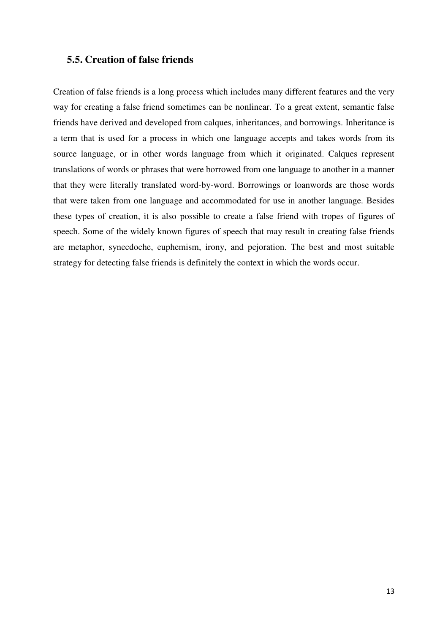## <span id="page-17-0"></span>**5.5. Creation of false friends**

Creation of false friends is a long process which includes many different features and the very way for creating a false friend sometimes can be nonlinear. To a great extent, semantic false friends have derived and developed from calques, inheritances, and borrowings. Inheritance is a term that is used for a process in which one language accepts and takes words from its source language, or in other words language from which it originated. Calques represent translations of words or phrases that were borrowed from one language to another in a manner that they were literally translated word-by-word. Borrowings or loanwords are those words that were taken from one language and accommodated for use in another language. Besides these types of creation, it is also possible to create a false friend with tropes of figures of speech. Some of the widely known figures of speech that may result in creating false friends are metaphor, synecdoche, euphemism, irony, and pejoration. The best and most suitable strategy for detecting false friends is definitely the context in which the words occur.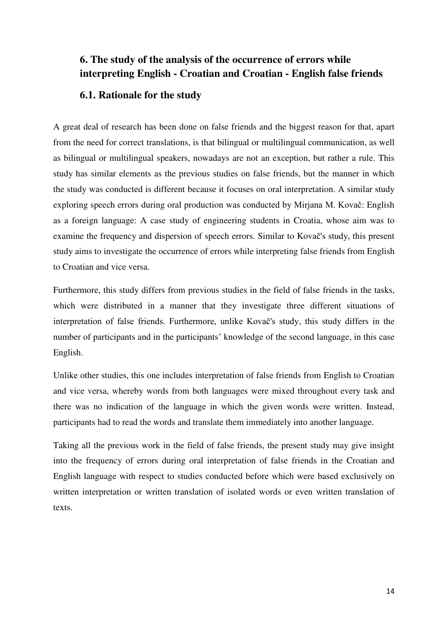# <span id="page-18-0"></span>**6. The study of the analysis of the occurrence of errors while interpreting English - Croatian and Croatian - English false friends**

## <span id="page-18-1"></span>**6.1. Rationale for the study**

A great deal of research has been done on false friends and the biggest reason for that, apart from the need for correct translations, is that bilingual or multilingual communication, as well as bilingual or multilingual speakers, nowadays are not an exception, but rather a rule. This study has similar elements as the previous studies on false friends, but the manner in which the study was conducted is different because it focuses on oral interpretation. A similar study exploring speech errors during oral production was conducted by Mirjana M. Kovač: English as a foreign language: A case study of engineering students in Croatia, whose aim was to examine the frequency and dispersion of speech errors. Similar to Kovač's study, this present study aims to investigate the occurrence of errors while interpreting false friends from English to Croatian and vice versa.

Furthermore, this study differs from previous studies in the field of false friends in the tasks, which were distributed in a manner that they investigate three different situations of interpretation of false friends. Furthermore, unlike Kovač's study, this study differs in the number of participants and in the participants' knowledge of the second language, in this case English.

Unlike other studies, this one includes interpretation of false friends from English to Croatian and vice versa, whereby words from both languages were mixed throughout every task and there was no indication of the language in which the given words were written. Instead, participants had to read the words and translate them immediately into another language.

Taking all the previous work in the field of false friends, the present study may give insight into the frequency of errors during oral interpretation of false friends in the Croatian and English language with respect to studies conducted before which were based exclusively on written interpretation or written translation of isolated words or even written translation of texts.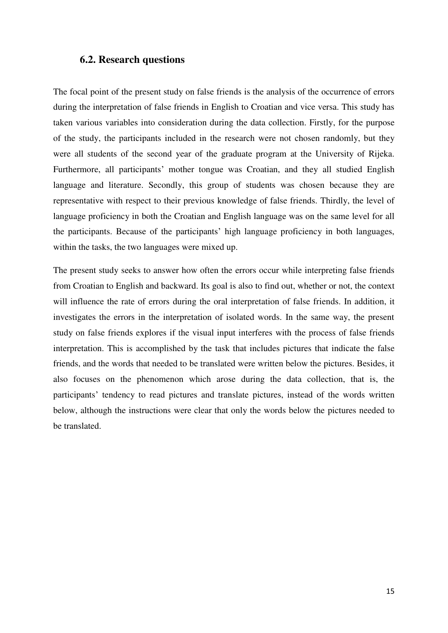#### <span id="page-19-0"></span>**6.2. Research questions**

The focal point of the present study on false friends is the analysis of the occurrence of errors during the interpretation of false friends in English to Croatian and vice versa. This study has taken various variables into consideration during the data collection. Firstly, for the purpose of the study, the participants included in the research were not chosen randomly, but they were all students of the second year of the graduate program at the University of Rijeka. Furthermore, all participants' mother tongue was Croatian, and they all studied English language and literature. Secondly, this group of students was chosen because they are representative with respect to their previous knowledge of false friends. Thirdly, the level of language proficiency in both the Croatian and English language was on the same level for all the participants. Because of the participants' high language proficiency in both languages, within the tasks, the two languages were mixed up.

The present study seeks to answer how often the errors occur while interpreting false friends from Croatian to English and backward. Its goal is also to find out, whether or not, the context will influence the rate of errors during the oral interpretation of false friends. In addition, it investigates the errors in the interpretation of isolated words. In the same way, the present study on false friends explores if the visual input interferes with the process of false friends interpretation. This is accomplished by the task that includes pictures that indicate the false friends, and the words that needed to be translated were written below the pictures. Besides, it also focuses on the phenomenon which arose during the data collection, that is, the participants' tendency to read pictures and translate pictures, instead of the words written below, although the instructions were clear that only the words below the pictures needed to be translated.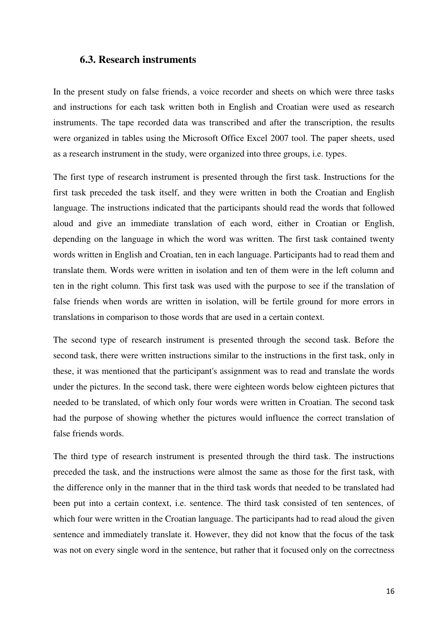#### <span id="page-20-0"></span>**6.3. Research instruments**

In the present study on false friends, a voice recorder and sheets on which were three tasks and instructions for each task written both in English and Croatian were used as research instruments. The tape recorded data was transcribed and after the transcription, the results were organized in tables using the Microsoft Office Excel 2007 tool. The paper sheets, used as a research instrument in the study, were organized into three groups, i.e. types.

The first type of research instrument is presented through the first task. Instructions for the first task preceded the task itself, and they were written in both the Croatian and English language. The instructions indicated that the participants should read the words that followed aloud and give an immediate translation of each word, either in Croatian or English, depending on the language in which the word was written. The first task contained twenty words written in English and Croatian, ten in each language. Participants had to read them and translate them. Words were written in isolation and ten of them were in the left column and ten in the right column. This first task was used with the purpose to see if the translation of false friends when words are written in isolation, will be fertile ground for more errors in translations in comparison to those words that are used in a certain context.

The second type of research instrument is presented through the second task. Before the second task, there were written instructions similar to the instructions in the first task, only in these, it was mentioned that the participant's assignment was to read and translate the words under the pictures. In the second task, there were eighteen words below eighteen pictures that needed to be translated, of which only four words were written in Croatian. The second task had the purpose of showing whether the pictures would influence the correct translation of false friends words.

The third type of research instrument is presented through the third task. The instructions preceded the task, and the instructions were almost the same as those for the first task, with the difference only in the manner that in the third task words that needed to be translated had been put into a certain context, i.e. sentence. The third task consisted of ten sentences, of which four were written in the Croatian language. The participants had to read aloud the given sentence and immediately translate it. However, they did not know that the focus of the task was not on every single word in the sentence, but rather that it focused only on the correctness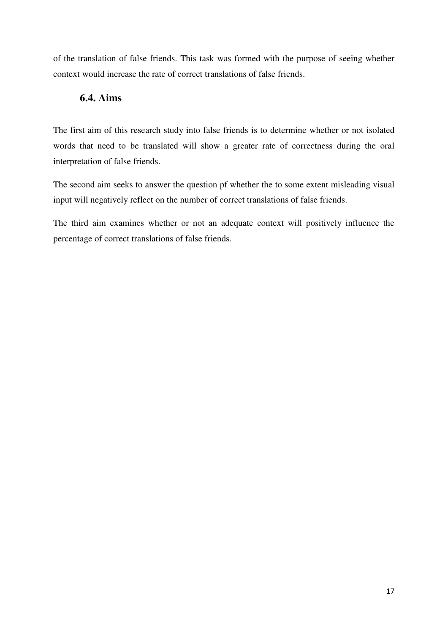of the translation of false friends. This task was formed with the purpose of seeing whether context would increase the rate of correct translations of false friends.

## <span id="page-21-0"></span>**6.4. Aims**

The first aim of this research study into false friends is to determine whether or not isolated words that need to be translated will show a greater rate of correctness during the oral interpretation of false friends.

The second aim seeks to answer the question pf whether the to some extent misleading visual input will negatively reflect on the number of correct translations of false friends.

The third aim examines whether or not an adequate context will positively influence the percentage of correct translations of false friends.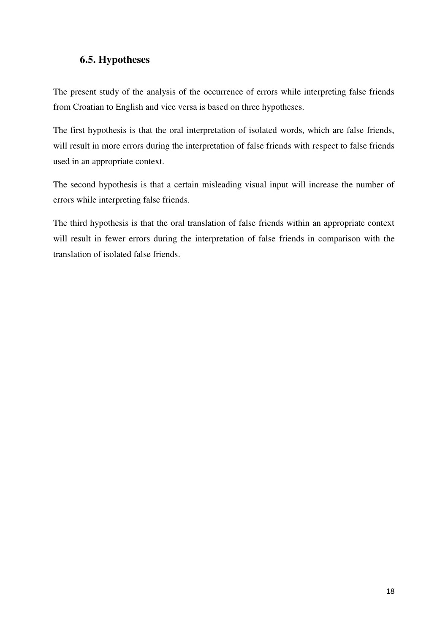## <span id="page-22-0"></span>**6.5. Hypotheses**

The present study of the analysis of the occurrence of errors while interpreting false friends from Croatian to English and vice versa is based on three hypotheses.

The first hypothesis is that the oral interpretation of isolated words, which are false friends, will result in more errors during the interpretation of false friends with respect to false friends used in an appropriate context.

The second hypothesis is that a certain misleading visual input will increase the number of errors while interpreting false friends.

The third hypothesis is that the oral translation of false friends within an appropriate context will result in fewer errors during the interpretation of false friends in comparison with the translation of isolated false friends.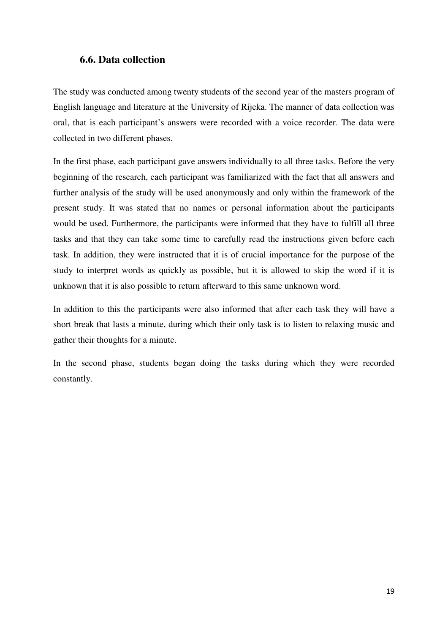## <span id="page-23-0"></span>**6.6. Data collection**

The study was conducted among twenty students of the second year of the masters program of English language and literature at the University of Rijeka. The manner of data collection was oral, that is each participant's answers were recorded with a voice recorder. The data were collected in two different phases.

In the first phase, each participant gave answers individually to all three tasks. Before the very beginning of the research, each participant was familiarized with the fact that all answers and further analysis of the study will be used anonymously and only within the framework of the present study. It was stated that no names or personal information about the participants would be used. Furthermore, the participants were informed that they have to fulfill all three tasks and that they can take some time to carefully read the instructions given before each task. In addition, they were instructed that it is of crucial importance for the purpose of the study to interpret words as quickly as possible, but it is allowed to skip the word if it is unknown that it is also possible to return afterward to this same unknown word.

In addition to this the participants were also informed that after each task they will have a short break that lasts a minute, during which their only task is to listen to relaxing music and gather their thoughts for a minute.

In the second phase, students began doing the tasks during which they were recorded constantly.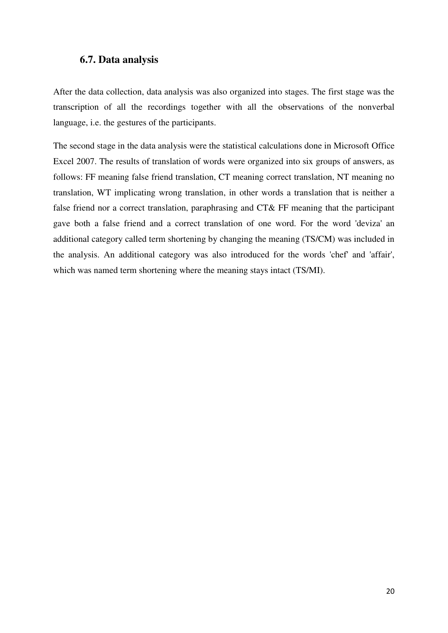## <span id="page-24-0"></span>**6.7. Data analysis**

After the data collection, data analysis was also organized into stages. The first stage was the transcription of all the recordings together with all the observations of the nonverbal language, i.e. the gestures of the participants.

The second stage in the data analysis were the statistical calculations done in Microsoft Office Excel 2007. The results of translation of words were organized into six groups of answers, as follows: FF meaning false friend translation, CT meaning correct translation, NT meaning no translation, WT implicating wrong translation, in other words a translation that is neither a false friend nor a correct translation, paraphrasing and CT& FF meaning that the participant gave both a false friend and a correct translation of one word. For the word 'deviza' an additional category called term shortening by changing the meaning (TS/CM) was included in the analysis. An additional category was also introduced for the words 'chef' and 'affair', which was named term shortening where the meaning stays intact (TS/MI).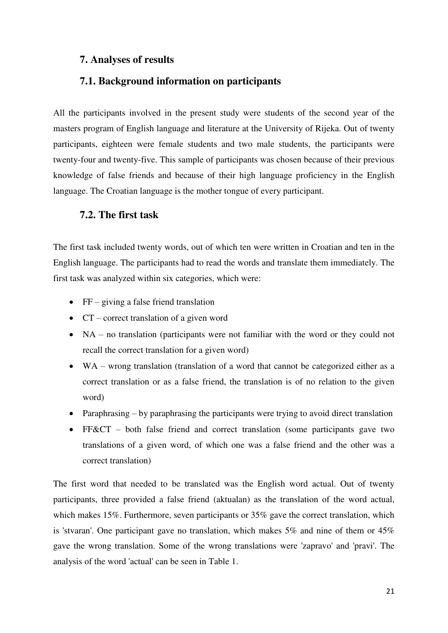## <span id="page-25-0"></span>**7. Analyses of results**

## <span id="page-25-1"></span>**7.1. Background information on participants**

All the participants involved in the present study were students of the second year of the masters program of English language and literature at the University of Rijeka. Out of twenty participants, eighteen were female students and two male students, the participants were twenty-four and twenty-five. This sample of participants was chosen because of their previous knowledge of false friends and because of their high language proficiency in the English language. The Croatian language is the mother tongue of every participant.

## <span id="page-25-2"></span>**7.2. The first task**

The first task included twenty words, out of which ten were written in Croatian and ten in the English language. The participants had to read the words and translate them immediately. The first task was analyzed within six categories, which were:

- $\bullet$  FF giving a false friend translation
- CT correct translation of a given word
- NA no translation (participants were not familiar with the word or they could not recall the correct translation for a given word)
- WA wrong translation (translation of a word that cannot be categorized either as a correct translation or as a false friend, the translation is of no relation to the given word)
- Paraphrasing by paraphrasing the participants were trying to avoid direct translation
- FF&CT both false friend and correct translation (some participants gave two translations of a given word, of which one was a false friend and the other was a correct translation)

The first word that needed to be translated was the English word actual. Out of twenty participants, three provided a false friend (aktualan) as the translation of the word actual, which makes 15%. Furthermore, seven participants or 35% gave the correct translation, which is 'stvaran'. One participant gave no translation, which makes 5% and nine of them or 45% gave the wrong translation. Some of the wrong translations were 'zapravo' and 'pravi'. The analysis of the word 'actual' can be seen in Table 1.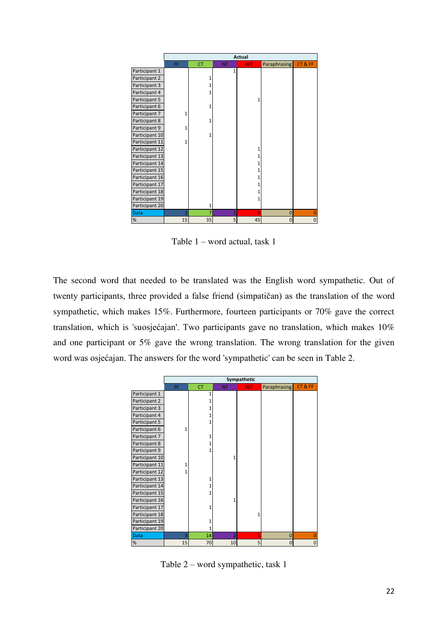|                |    | <b>Actual</b> |                |           |                |       |
|----------------|----|---------------|----------------|-----------|----------------|-------|
|                | FF | <b>CT</b>     | <b>NT</b>      | <b>WT</b> | Paraphrasing   | CT&FF |
| Participant 1  |    |               | 1              |           |                |       |
| Participant 2  |    | 1             |                |           |                |       |
| Participant 3  |    | 1             |                |           |                |       |
| Participant 4  |    | 1             |                |           |                |       |
| Participant 5  |    |               |                | 1         |                |       |
| Participant 6  |    | 1             |                |           |                |       |
| Participant 7  |    |               |                |           |                |       |
| Participant 8  |    | 1             |                |           |                |       |
| Participant 9  | 1  |               |                |           |                |       |
| Participant 10 |    | 1             |                |           |                |       |
| Participant 11 | 1  |               |                |           |                |       |
| Participant 12 |    |               |                | 1         |                |       |
| Participant 13 |    |               |                | 1         |                |       |
| Participant 14 |    |               |                | 1         |                |       |
| Participant 15 |    |               |                |           |                |       |
| Participant 16 |    |               |                |           |                |       |
| Participant 17 |    |               |                |           |                |       |
| Participant 18 |    |               |                | 1         |                |       |
| Participant 19 |    |               |                | 1         |                |       |
| Participant 20 |    | 1             |                |           |                |       |
| <b>Data</b>    | 3  | 7             | $\overline{1}$ | 9         | $\mathbf 0$    | 0     |
| $\%$           | 15 | 35            | 5              | 45        | $\overline{0}$ | 0     |

Table 1 – word actual, task 1

The second word that needed to be translated was the English word sympathetic. Out of twenty participants, three provided a false friend (simpatičan) as the translation of the word sympathetic, which makes 15%. Furthermore, fourteen participants or 70% gave the correct translation, which is 'suosjećajan'. Two participants gave no translation, which makes 10% and one participant or 5% gave the wrong translation. The wrong translation for the given word was osjećajan. The answers for the word 'sympathetic' can be seen in Table 2.

|                |    | Sympathetic |                |           |                |       |
|----------------|----|-------------|----------------|-----------|----------------|-------|
|                | FF | <b>CT</b>   | <b>NT</b>      | <b>WT</b> | Paraphrasing   | CT&FF |
| Participant 1  |    | 1           |                |           |                |       |
| Participant 2  |    |             |                |           |                |       |
| Participant 3  |    |             |                |           |                |       |
| Participant 4  |    |             |                |           |                |       |
| Participant 5  |    | 1           |                |           |                |       |
| Participant 6  | 1  |             |                |           |                |       |
| Participant 7  |    | 1           |                |           |                |       |
| Participant 8  |    | 1           |                |           |                |       |
| Participant 9  |    | 1           |                |           |                |       |
| Participant 10 |    |             | $\mathbf{1}$   |           |                |       |
| Participant 11 | 1  |             |                |           |                |       |
| Participant 12 | 1  |             |                |           |                |       |
| Participant 13 |    | 1           |                |           |                |       |
| Participant 14 |    |             |                |           |                |       |
| Participant 15 |    | 1           |                |           |                |       |
| Participant 16 |    |             | 1              |           |                |       |
| Participant 17 |    | 1           |                |           |                |       |
| Participant 18 |    |             |                | 1         |                |       |
| Participant 19 |    | 1           |                |           |                |       |
| Participant 20 |    | 1           |                |           |                |       |
| Data           | 3  | 14          | $\overline{2}$ | 1         | $\mathbf 0$    | 0     |
| $\%$           | 15 | 70          | 10             | 5         | $\overline{0}$ | 0     |

Table 2 – word sympathetic, task 1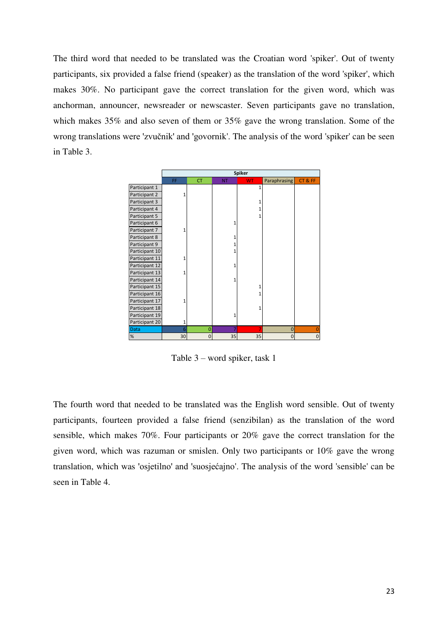The third word that needed to be translated was the Croatian word 'spiker'. Out of twenty participants, six provided a false friend (speaker) as the translation of the word 'spiker', which makes 30%. No participant gave the correct translation for the given word, which was anchorman, announcer, newsreader or newscaster. Seven participants gave no translation, which makes 35% and also seven of them or 35% gave the wrong translation. Some of the wrong translations were 'zvučnik' and 'govornik'. The analysis of the word 'spiker' can be seen in Table 3.

|                |     |                |           | <b>Spiker</b> |                |                |
|----------------|-----|----------------|-----------|---------------|----------------|----------------|
|                | FF. | <b>CT</b>      | <b>NT</b> | <b>WT</b>     | Paraphrasing   | CT&FF          |
| Participant 1  |     |                |           | 1             |                |                |
| Participant 2  |     |                |           |               |                |                |
| Participant 3  |     |                |           | 1             |                |                |
| Participant 4  |     |                |           |               |                |                |
| Participant 5  |     |                |           | 1             |                |                |
| Participant 6  |     |                | 1         |               |                |                |
| Participant 7  | 1   |                |           |               |                |                |
| Participant 8  |     |                | 1         |               |                |                |
| Participant 9  |     |                | 1         |               |                |                |
| Participant 10 |     |                | 1         |               |                |                |
| Participant 11 |     |                |           |               |                |                |
| Participant 12 |     |                | 1         |               |                |                |
| Participant 13 | 1   |                |           |               |                |                |
| Participant 14 |     |                | 1         |               |                |                |
| Participant 15 |     |                |           | 1             |                |                |
| Participant 16 |     |                |           | 1             |                |                |
| Participant 17 |     |                |           |               |                |                |
| Participant 18 |     |                |           | $\mathbf{1}$  |                |                |
| Participant 19 |     |                | 1         |               |                |                |
| Participant 20 | 1   |                |           |               |                |                |
| <b>Data</b>    | 6   | $\overline{0}$ | 7         | 7             | $\mathbf 0$    | $\overline{0}$ |
| $\%$           | 30  | $\Omega$       | 35        | 35            | $\overline{0}$ | $\pmb{0}$      |

Table 3 – word spiker, task 1

The fourth word that needed to be translated was the English word sensible. Out of twenty participants, fourteen provided a false friend (senzibilan) as the translation of the word sensible, which makes 70%. Four participants or 20% gave the correct translation for the given word, which was razuman or smislen. Only two participants or 10% gave the wrong translation, which was 'osjetilno' and 'suosjećajno'. The analysis of the word 'sensible' can be seen in Table 4.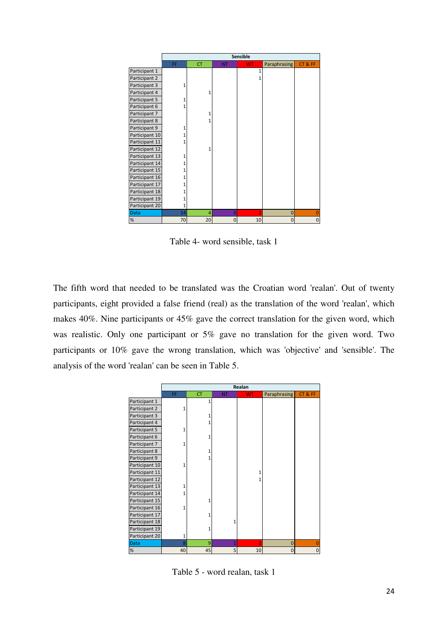|                | Sensible |           |           |                |              |       |
|----------------|----------|-----------|-----------|----------------|--------------|-------|
|                | FF.      | <b>CT</b> | <b>NT</b> | <b>WT</b>      | Paraphrasing | CT&FF |
| Participant 1  |          |           |           |                |              |       |
| Participant 2  |          |           |           |                |              |       |
| Participant 3  | 1        |           |           |                |              |       |
| Participant 4  |          | 1         |           |                |              |       |
| Participant 5  |          |           |           |                |              |       |
| Participant 6  |          |           |           |                |              |       |
| Participant 7  |          | 1         |           |                |              |       |
| Participant 8  |          |           |           |                |              |       |
| Participant 9  |          |           |           |                |              |       |
| Participant 10 |          |           |           |                |              |       |
| Participant 11 | 1        |           |           |                |              |       |
| Participant 12 |          | 1         |           |                |              |       |
| Participant 13 | 1        |           |           |                |              |       |
| Participant 14 |          |           |           |                |              |       |
| Participant 15 |          |           |           |                |              |       |
| Participant 16 |          |           |           |                |              |       |
| Participant 17 |          |           |           |                |              |       |
| Participant 18 |          |           |           |                |              |       |
| Participant 19 |          |           |           |                |              |       |
| Participant 20 | 1        |           |           |                |              |       |
| <b>Data</b>    | 14       | 4         | 0         | $\overline{2}$ | $\mathbf 0$  |       |
| %              | 70       | 20        | $\Omega$  | 10             | 0            | 0     |

Table 4- word sensible, task 1

The fifth word that needed to be translated was the Croatian word 'realan'. Out of twenty participants, eight provided a false friend (real) as the translation of the word 'realan', which makes 40%. Nine participants or 45% gave the correct translation for the given word, which was realistic. Only one participant or 5% gave no translation for the given word. Two participants or 10% gave the wrong translation, which was 'objective' and 'sensible'. The analysis of the word 'realan' can be seen in Table 5.

|                |    |           |                | Realan         |                |              |
|----------------|----|-----------|----------------|----------------|----------------|--------------|
|                | FF | <b>CT</b> | <b>NT</b>      | <b>WT</b>      | Paraphrasing   | CT&FF        |
| Participant 1  |    | 1         |                |                |                |              |
| Participant 2  |    |           |                |                |                |              |
| Participant 3  |    | 1         |                |                |                |              |
| Participant 4  |    |           |                |                |                |              |
| Participant 5  |    |           |                |                |                |              |
| Participant 6  |    | 1         |                |                |                |              |
| Participant 7  | 1  |           |                |                |                |              |
| Participant 8  |    | 1         |                |                |                |              |
| Participant 9  |    |           |                |                |                |              |
| Participant 10 |    |           |                |                |                |              |
| Participant 11 |    |           |                |                |                |              |
| Participant 12 |    |           |                |                |                |              |
| Participant 13 |    |           |                |                |                |              |
| Participant 14 |    |           |                |                |                |              |
| Participant 15 |    | 1         |                |                |                |              |
| Participant 16 | 1  |           |                |                |                |              |
| Participant 17 |    | 1         |                |                |                |              |
| Participant 18 |    |           | 1              |                |                |              |
| Participant 19 |    | 1         |                |                |                |              |
| Participant 20 | 1  |           |                |                |                |              |
| <b>Data</b>    | 8  | 9         | $\overline{1}$ | $\overline{2}$ | $\overline{0}$ | $\Omega$     |
| $\%$           | 40 | 45        | 5              | 10             | $\overline{0}$ | $\mathbf{0}$ |

Table 5 - word realan, task 1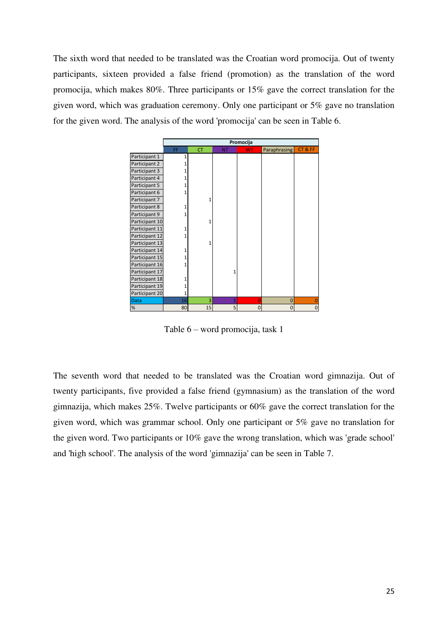The sixth word that needed to be translated was the Croatian word promocija. Out of twenty participants, sixteen provided a false friend (promotion) as the translation of the word promocija, which makes 80%. Three participants or 15% gave the correct translation for the given word, which was graduation ceremony. Only one participant or 5% gave no translation for the given word. The analysis of the word 'promocija' can be seen in Table 6.



Table 6 – word promocija, task 1

The seventh word that needed to be translated was the Croatian word gimnazija. Out of twenty participants, five provided a false friend (gymnasium) as the translation of the word gimnazija, which makes 25%. Twelve participants or 60% gave the correct translation for the given word, which was grammar school. Only one participant or 5% gave no translation for the given word. Two participants or 10% gave the wrong translation, which was 'grade school' and 'high school'. The analysis of the word 'gimnazija' can be seen in Table 7.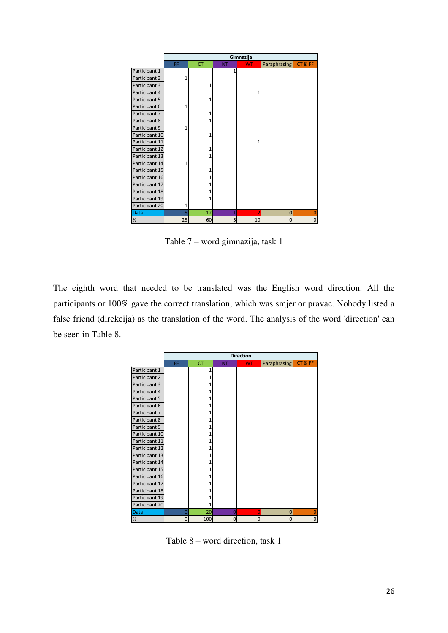|                |    |           |              | Gimnazija      |                |                |  |  |
|----------------|----|-----------|--------------|----------------|----------------|----------------|--|--|
|                | FF | <b>CT</b> | <b>NT</b>    | <b>WT</b>      | Paraphrasing   | CT&FF          |  |  |
| Participant 1  |    |           | $\mathbf{1}$ |                |                |                |  |  |
| Participant 2  | 1  |           |              |                |                |                |  |  |
| Participant 3  |    | 1         |              |                |                |                |  |  |
| Participant 4  |    |           |              | 1              |                |                |  |  |
| Participant 5  |    | 1         |              |                |                |                |  |  |
| Participant 6  |    |           |              |                |                |                |  |  |
| Participant 7  |    |           |              |                |                |                |  |  |
| Participant 8  |    | 1         |              |                |                |                |  |  |
| Participant 9  |    |           |              |                |                |                |  |  |
| Participant 10 |    | 1         |              |                |                |                |  |  |
| Participant 11 |    |           |              | 1              |                |                |  |  |
| Participant 12 |    | 1         |              |                |                |                |  |  |
| Participant 13 |    | 1         |              |                |                |                |  |  |
| Participant 14 |    |           |              |                |                |                |  |  |
| Participant 15 |    |           |              |                |                |                |  |  |
| Participant 16 |    |           |              |                |                |                |  |  |
| Participant 17 |    |           |              |                |                |                |  |  |
| Participant 18 |    |           |              |                |                |                |  |  |
| Participant 19 |    | 1         |              |                |                |                |  |  |
| Participant 20 |    |           |              |                |                |                |  |  |
| <b>Data</b>    | 5  | 12        | $\mathbf{1}$ | $\overline{2}$ | $\overline{0}$ | $\overline{0}$ |  |  |
| $\%$           | 25 | 60        | 5            | 10             | $\mathbf 0$    | 0              |  |  |

Table 7 – word gimnazija, task 1

The eighth word that needed to be translated was the English word direction. All the participants or 100% gave the correct translation, which was smjer or pravac. Nobody listed a false friend (direkcija) as the translation of the word. The analysis of the word 'direction' can be seen in Table 8.

|                | <b>Direction</b> |           |                |           |              |       |
|----------------|------------------|-----------|----------------|-----------|--------------|-------|
|                | FF               | <b>CT</b> | <b>NT</b>      | <b>WT</b> | Paraphrasing | CT&FF |
| Participant 1  |                  | 1         |                |           |              |       |
| Participant 2  |                  |           |                |           |              |       |
| Participant 3  |                  |           |                |           |              |       |
| Participant 4  |                  |           |                |           |              |       |
| Participant 5  |                  |           |                |           |              |       |
| Participant 6  |                  |           |                |           |              |       |
| Participant 7  |                  |           |                |           |              |       |
| Participant 8  |                  |           |                |           |              |       |
| Participant 9  |                  |           |                |           |              |       |
| Participant 10 |                  |           |                |           |              |       |
| Participant 11 |                  |           |                |           |              |       |
| Participant 12 |                  |           |                |           |              |       |
| Participant 13 |                  |           |                |           |              |       |
| Participant 14 |                  |           |                |           |              |       |
| Participant 15 |                  |           |                |           |              |       |
| Participant 16 |                  |           |                |           |              |       |
| Participant 17 |                  |           |                |           |              |       |
| Participant 18 |                  |           |                |           |              |       |
| Participant 19 |                  |           |                |           |              |       |
| Participant 20 |                  | 1         |                |           |              |       |
| Data           | 0                | 20        | $\overline{0}$ | 0         | 0            | 0     |
| %              | $\Omega$         | 100       | 0              | Ω         | 0            | 0     |

Table 8 – word direction, task 1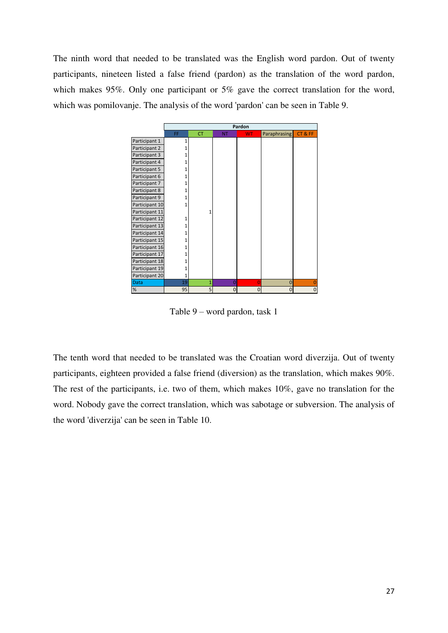The ninth word that needed to be translated was the English word pardon. Out of twenty participants, nineteen listed a false friend (pardon) as the translation of the word pardon, which makes 95%. Only one participant or 5% gave the correct translation for the word, which was pomilovanje. The analysis of the word 'pardon' can be seen in Table 9.



Table 9 – word pardon, task 1

The tenth word that needed to be translated was the Croatian word diverzija. Out of twenty participants, eighteen provided a false friend (diversion) as the translation, which makes 90%. The rest of the participants, i.e. two of them, which makes 10%, gave no translation for the word. Nobody gave the correct translation, which was sabotage or subversion. The analysis of the word 'diverzija' can be seen in Table 10.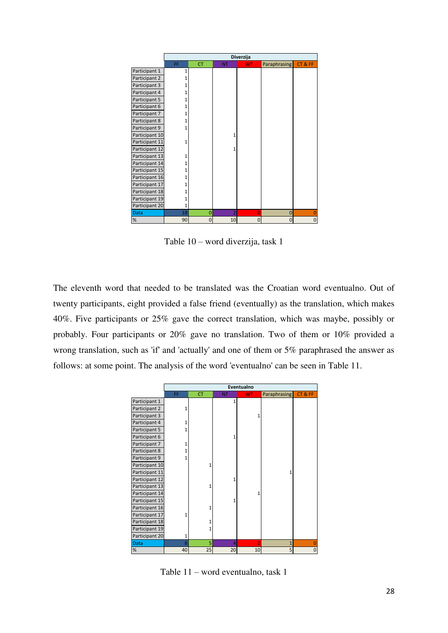|                | Diverzija |           |                |           |                |       |
|----------------|-----------|-----------|----------------|-----------|----------------|-------|
|                | FF        | <b>CT</b> | <b>NT</b>      | <b>WT</b> | Paraphrasing   | CT&FF |
| Participant 1  | 1         |           |                |           |                |       |
| Participant 2  | 1         |           |                |           |                |       |
| Participant 3  | 1         |           |                |           |                |       |
| Participant 4  | 1         |           |                |           |                |       |
| Participant 5  | 1         |           |                |           |                |       |
| Participant 6  |           |           |                |           |                |       |
| Participant 7  | 1         |           |                |           |                |       |
| Participant 8  | 1         |           |                |           |                |       |
| Participant 9  | 1         |           |                |           |                |       |
| Participant 10 |           |           | 1              |           |                |       |
| Participant 11 | 1         |           |                |           |                |       |
| Participant 12 |           |           | 1              |           |                |       |
| Participant 13 | 1         |           |                |           |                |       |
| Participant 14 | 1         |           |                |           |                |       |
| Participant 15 |           |           |                |           |                |       |
| Participant 16 | 1         |           |                |           |                |       |
| Participant 17 | 1         |           |                |           |                |       |
| Participant 18 |           |           |                |           |                |       |
| Participant 19 | 1         |           |                |           |                |       |
| Participant 20 | 1         |           |                |           |                |       |
| <b>Data</b>    | 18        | 0         | $\overline{2}$ |           | $\overline{0}$ |       |
| %              | 90        | $\Omega$  | 10             | ŋ         | $\mathbf 0$    | 0     |

Table 10 – word diverzija, task 1

The eleventh word that needed to be translated was the Croatian word eventualno. Out of twenty participants, eight provided a false friend (eventually) as the translation, which makes 40%. Five participants or 25% gave the correct translation, which was maybe, possibly or probably. Four participants or 20% gave no translation. Two of them or 10% provided a wrong translation, such as 'if' and 'actually' and one of them or 5% paraphrased the answer as follows: at some point. The analysis of the word 'eventualno' can be seen in Table 11.

|                |              | Eventualno |           |           |                |              |  |
|----------------|--------------|------------|-----------|-----------|----------------|--------------|--|
|                | FF.          | <b>CT</b>  | <b>NT</b> | <b>WT</b> | Paraphrasing   | CT&FF        |  |
| Participant 1  |              |            | 1         |           |                |              |  |
| Participant 2  | 1            |            |           |           |                |              |  |
| Participant 3  |              |            |           | 1         |                |              |  |
| Participant 4  | 1            |            |           |           |                |              |  |
| Participant 5  | 1            |            |           |           |                |              |  |
| Participant 6  |              |            | 1         |           |                |              |  |
| Participant 7  | 1            |            |           |           |                |              |  |
| Participant 8  | 1            |            |           |           |                |              |  |
| Participant 9  | $\mathbf{1}$ |            |           |           |                |              |  |
| Participant 10 |              | 1          |           |           |                |              |  |
| Participant 11 |              |            |           |           | $\mathbf{1}$   |              |  |
| Participant 12 |              |            | 1         |           |                |              |  |
| Participant 13 |              | 1          |           |           |                |              |  |
| Participant 14 |              |            |           | 1         |                |              |  |
| Participant 15 |              |            | 1         |           |                |              |  |
| Participant 16 |              | 1          |           |           |                |              |  |
| Participant 17 | 1            |            |           |           |                |              |  |
| Participant 18 |              | 1          |           |           |                |              |  |
| Participant 19 |              | 1          |           |           |                |              |  |
| Participant 20 | 1            |            |           |           |                |              |  |
| <b>Data</b>    | 8            | 5          | 4         | 2         | $\overline{1}$ | $\Omega$     |  |
| $\%$           | 40           | 25         | 20        | 10        | 5              | $\mathbf{0}$ |  |

Table 11 – word eventualno, task 1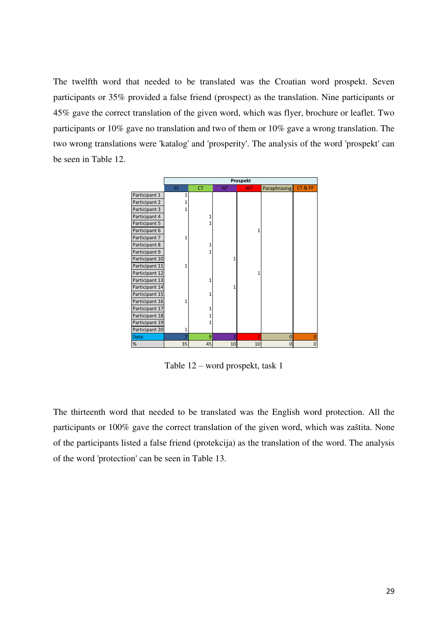The twelfth word that needed to be translated was the Croatian word prospekt. Seven participants or 35% provided a false friend (prospect) as the translation. Nine participants or 45% gave the correct translation of the given word, which was flyer, brochure or leaflet. Two participants or 10% gave no translation and two of them or 10% gave a wrong translation. The two wrong translations were 'katalog' and 'prosperity'. The analysis of the word 'prospekt' can be seen in Table 12.

|                |              | Prospekt  |                |           |                |                |
|----------------|--------------|-----------|----------------|-----------|----------------|----------------|
|                | FF           | <b>CT</b> | <b>NT</b>      | <b>WT</b> | Paraphrasing   | CT&FF          |
| Participant 1  | 1            |           |                |           |                |                |
| Participant 2  | $\mathbf{1}$ |           |                |           |                |                |
| Participant 3  | $\mathbf{1}$ |           |                |           |                |                |
| Participant 4  |              |           |                |           |                |                |
| Participant 5  |              | 1         |                |           |                |                |
| Participant 6  |              |           |                | 1         |                |                |
| Participant 7  | 1            |           |                |           |                |                |
| Participant 8  |              |           |                |           |                |                |
| Participant 9  |              |           |                |           |                |                |
| Participant 10 |              |           | 1              |           |                |                |
| Participant 11 | 1            |           |                |           |                |                |
| Participant 12 |              |           |                | 1         |                |                |
| Participant 13 |              | 1         |                |           |                |                |
| Participant 14 |              |           | 1              |           |                |                |
| Participant 15 |              | 1         |                |           |                |                |
| Participant 16 | 1            |           |                |           |                |                |
| Participant 17 |              |           |                |           |                |                |
| Participant 18 |              |           |                |           |                |                |
| Participant 19 |              | 1         |                |           |                |                |
| Participant 20 | 1            |           |                |           |                |                |
| <b>Data</b>    |              | 9         | $\overline{2}$ | 2         | $\overline{0}$ | $\overline{0}$ |
| $\%$           | 35           | 45        | 10             | 10        | $\mathbf 0$    | $\mathbf 0$    |

Table 12 – word prospekt, task 1

The thirteenth word that needed to be translated was the English word protection. All the participants or 100% gave the correct translation of the given word, which was zaštita. None of the participants listed a false friend (protekcija) as the translation of the word. The analysis of the word 'protection' can be seen in Table 13.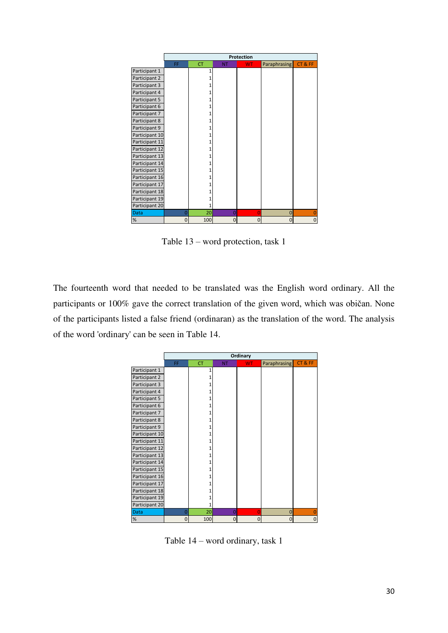|                | Protection |           |           |           |                |                |  |  |  |
|----------------|------------|-----------|-----------|-----------|----------------|----------------|--|--|--|
|                | FF         | <b>CT</b> | <b>NT</b> | <b>WT</b> | Paraphrasing   | CT&FF          |  |  |  |
| Participant 1  |            | 1         |           |           |                |                |  |  |  |
| Participant 2  |            |           |           |           |                |                |  |  |  |
| Participant 3  |            |           |           |           |                |                |  |  |  |
| Participant 4  |            | 1         |           |           |                |                |  |  |  |
| Participant 5  |            |           |           |           |                |                |  |  |  |
| Participant 6  |            |           |           |           |                |                |  |  |  |
| Participant 7  |            |           |           |           |                |                |  |  |  |
| Participant 8  |            |           |           |           |                |                |  |  |  |
| Participant 9  |            |           |           |           |                |                |  |  |  |
| Participant 10 |            | 1         |           |           |                |                |  |  |  |
| Participant 11 |            |           |           |           |                |                |  |  |  |
| Participant 12 |            | 1         |           |           |                |                |  |  |  |
| Participant 13 |            | 1         |           |           |                |                |  |  |  |
| Participant 14 |            | 1         |           |           |                |                |  |  |  |
| Participant 15 |            |           |           |           |                |                |  |  |  |
| Participant 16 |            |           |           |           |                |                |  |  |  |
| Participant 17 |            |           |           |           |                |                |  |  |  |
| Participant 18 |            |           |           |           |                |                |  |  |  |
| Participant 19 |            |           |           |           |                |                |  |  |  |
| Participant 20 |            | 1         |           |           |                |                |  |  |  |
| <b>Data</b>    | 0          | 20        | $\Omega$  | $\Omega$  | $\overline{0}$ | $\overline{0}$ |  |  |  |
| $\%$           | $\Omega$   | 100       | $\Omega$  | Ω         | $\overline{0}$ | 0              |  |  |  |

Table 13 – word protection, task 1

The fourteenth word that needed to be translated was the English word ordinary. All the participants or 100% gave the correct translation of the given word, which was običan. None of the participants listed a false friend (ordinaran) as the translation of the word. The analysis of the word 'ordinary' can be seen in Table 14.

|                | Ordinary       |           |                |                |              |             |  |  |  |
|----------------|----------------|-----------|----------------|----------------|--------------|-------------|--|--|--|
|                | FF             | <b>CT</b> | <b>NT</b>      | <b>WT</b>      | Paraphrasing | CT&FF       |  |  |  |
| Participant 1  |                | 1         |                |                |              |             |  |  |  |
| Participant 2  |                |           |                |                |              |             |  |  |  |
| Participant 3  |                | 1         |                |                |              |             |  |  |  |
| Participant 4  |                | 1         |                |                |              |             |  |  |  |
| Participant 5  |                |           |                |                |              |             |  |  |  |
| Participant 6  |                |           |                |                |              |             |  |  |  |
| Participant 7  |                |           |                |                |              |             |  |  |  |
| Participant 8  |                |           |                |                |              |             |  |  |  |
| Participant 9  |                |           |                |                |              |             |  |  |  |
| Participant 10 |                |           |                |                |              |             |  |  |  |
| Participant 11 |                |           |                |                |              |             |  |  |  |
| Participant 12 |                |           |                |                |              |             |  |  |  |
| Participant 13 |                | 1         |                |                |              |             |  |  |  |
| Participant 14 |                |           |                |                |              |             |  |  |  |
| Participant 15 |                |           |                |                |              |             |  |  |  |
| Participant 16 |                |           |                |                |              |             |  |  |  |
| Participant 17 |                |           |                |                |              |             |  |  |  |
| Participant 18 |                |           |                |                |              |             |  |  |  |
| Participant 19 |                |           |                |                |              |             |  |  |  |
| Participant 20 |                | 1         |                |                |              |             |  |  |  |
| <b>Data</b>    | $\overline{0}$ | 20        | $\overline{0}$ | $\overline{0}$ | $\mathbf 0$  | 0           |  |  |  |
| $\%$           | $\overline{0}$ | 100       | $\overline{0}$ | 0              | 0            | $\mathbf 0$ |  |  |  |

Table 14 – word ordinary, task 1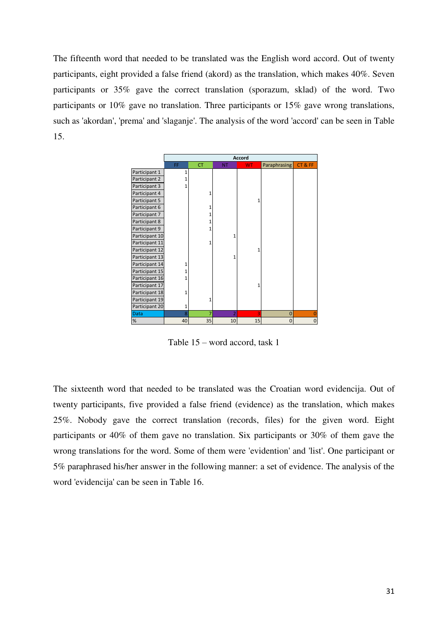The fifteenth word that needed to be translated was the English word accord. Out of twenty participants, eight provided a false friend (akord) as the translation, which makes 40%. Seven participants or 35% gave the correct translation (sporazum, sklad) of the word. Two participants or 10% gave no translation. Three participants or 15% gave wrong translations, such as 'akordan', 'prema' and 'slaganje'. The analysis of the word 'accord' can be seen in Table 15.



Table 15 – word accord, task 1

The sixteenth word that needed to be translated was the Croatian word evidencija. Out of twenty participants, five provided a false friend (evidence) as the translation, which makes 25%. Nobody gave the correct translation (records, files) for the given word. Eight participants or 40% of them gave no translation. Six participants or 30% of them gave the wrong translations for the word. Some of them were 'evidention' and 'list'. One participant or 5% paraphrased his/her answer in the following manner: a set of evidence. The analysis of the word 'evidencija' can be seen in Table 16.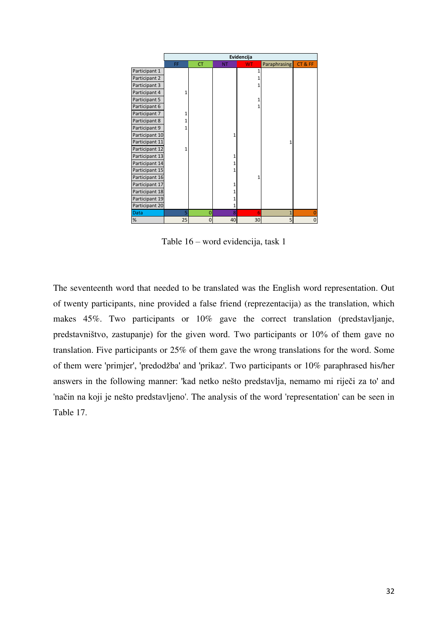|                | Evidencija |                |           |              |                |             |  |
|----------------|------------|----------------|-----------|--------------|----------------|-------------|--|
|                | FF         | <b>CT</b>      | <b>NT</b> | <b>WT</b>    | Paraphrasing   | CT&FF       |  |
| Participant 1  |            |                |           | 1            |                |             |  |
| Participant 2  |            |                |           | 1            |                |             |  |
| Participant 3  |            |                |           | 1            |                |             |  |
| Participant 4  | 1          |                |           |              |                |             |  |
| Participant 5  |            |                |           | 1            |                |             |  |
| Participant 6  |            |                |           | 1            |                |             |  |
| Participant 7  |            |                |           |              |                |             |  |
| Participant 8  |            |                |           |              |                |             |  |
| Participant 9  |            |                |           |              |                |             |  |
| Participant 10 |            |                | 1         |              |                |             |  |
| Participant 11 |            |                |           |              | 1              |             |  |
| Participant 12 | 1          |                |           |              |                |             |  |
| Participant 13 |            |                | 1         |              |                |             |  |
| Participant 14 |            |                | 1         |              |                |             |  |
| Participant 15 |            |                | 1         |              |                |             |  |
| Participant 16 |            |                |           | $\mathbf{1}$ |                |             |  |
| Participant 17 |            |                | 1         |              |                |             |  |
| Participant 18 |            |                |           |              |                |             |  |
| Participant 19 |            |                |           |              |                |             |  |
| Participant 20 |            |                | 1         |              |                |             |  |
| Data           | 5          | $\overline{0}$ | 8         | 6            | $\mathbf{1}$   | $\Omega$    |  |
| $\%$           | 25         | $\overline{0}$ | 40        | 30           | 5 <sup>1</sup> | $\mathbf 0$ |  |

Table 16 – word evidencija, task 1

The seventeenth word that needed to be translated was the English word representation. Out of twenty participants, nine provided a false friend (reprezentacija) as the translation, which makes 45%. Two participants or 10% gave the correct translation (predstavljanje, predstavništvo, zastupanje) for the given word. Two participants or 10% of them gave no translation. Five participants or 25% of them gave the wrong translations for the word. Some of them were 'primjer', 'predodžba' and 'prikaz'. Two participants or 10% paraphrased his/her answers in the following manner: 'kad netko nešto predstavlja, nemamo mi riječi za to' and 'način na koji je nešto predstavljeno'. The analysis of the word 'representation' can be seen in Table 17.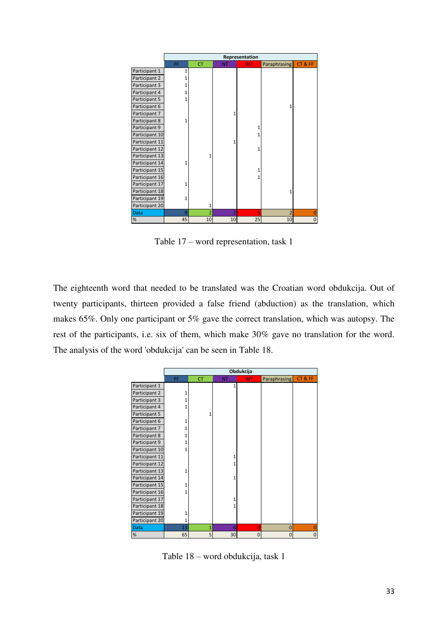|                | Representation |                |                |           |                |             |  |  |
|----------------|----------------|----------------|----------------|-----------|----------------|-------------|--|--|
|                | FF             | <b>CT</b>      | <b>NT</b>      | <b>WT</b> | Paraphrasing   | CT&FF       |  |  |
| Participant 1  | 1              |                |                |           |                |             |  |  |
| Participant 2  | 1              |                |                |           |                |             |  |  |
| Participant 3  | 1              |                |                |           |                |             |  |  |
| Participant 4  | 1              |                |                |           |                |             |  |  |
| Participant 5  | $\mathbf{1}$   |                |                |           |                |             |  |  |
| Participant 6  |                |                |                |           | 1              |             |  |  |
| Participant 7  |                |                | 1              |           |                |             |  |  |
| Participant 8  | 1              |                |                |           |                |             |  |  |
| Participant 9  |                |                |                | 1         |                |             |  |  |
| Participant 10 |                |                |                | 1         |                |             |  |  |
| Participant 11 |                |                | 1              |           |                |             |  |  |
| Participant 12 |                |                |                | 1         |                |             |  |  |
| Participant 13 |                | 1              |                |           |                |             |  |  |
| Participant 14 | 1              |                |                |           |                |             |  |  |
| Participant 15 |                |                |                | 1         |                |             |  |  |
| Participant 16 |                |                |                | 1         |                |             |  |  |
| Participant 17 | 1              |                |                |           |                |             |  |  |
| Participant 18 |                |                |                |           | 1              |             |  |  |
| Participant 19 | 1              |                |                |           |                |             |  |  |
| Participant 20 |                | 1              |                |           |                |             |  |  |
| <b>Data</b>    | 9              | $\overline{2}$ | $\overline{2}$ | 5         | $\overline{2}$ | $\Omega$    |  |  |
| %              | 45             | 10             | 10             | 25        | 10             | $\mathbf 0$ |  |  |

Table 17 – word representation, task 1

The eighteenth word that needed to be translated was the Croatian word obdukcija. Out of twenty participants, thirteen provided a false friend (abduction) as the translation, which makes 65%. Only one participant or 5% gave the correct translation, which was autopsy. The rest of the participants, i.e. six of them, which make 30% gave no translation for the word. The analysis of the word 'obdukcija' can be seen in Table 18.

|                |    |           |           | Obdukcija      |                     |          |
|----------------|----|-----------|-----------|----------------|---------------------|----------|
|                | FF | <b>CT</b> | <b>NT</b> | <b>WT</b>      | <b>Paraphrasing</b> | CT&FF    |
| Participant 1  |    |           | 1         |                |                     |          |
| Participant 2  |    |           |           |                |                     |          |
| Participant 3  |    |           |           |                |                     |          |
| Participant 4  |    |           |           |                |                     |          |
| Participant 5  |    | 1         |           |                |                     |          |
| Participant 6  |    |           |           |                |                     |          |
| Participant 7  |    |           |           |                |                     |          |
| Participant 8  |    |           |           |                |                     |          |
| Participant 9  |    |           |           |                |                     |          |
| Participant 10 |    |           |           |                |                     |          |
| Participant 11 |    |           |           |                |                     |          |
| Participant 12 |    |           |           |                |                     |          |
| Participant 13 |    |           |           |                |                     |          |
| Participant 14 |    |           | 1         |                |                     |          |
| Participant 15 |    |           |           |                |                     |          |
| Participant 16 |    |           |           |                |                     |          |
| Participant 17 |    |           | 1         |                |                     |          |
| Participant 18 |    |           | 1         |                |                     |          |
| Participant 19 |    |           |           |                |                     |          |
| Participant 20 | 1  |           |           |                |                     |          |
| <b>Data</b>    | 13 | 1         | 6         | $\overline{0}$ | 0                   |          |
| %              | 65 | 5         | 30        | $\mathbf 0$    | $\overline{0}$      | $\Omega$ |

Table 18 – word obdukcija, task 1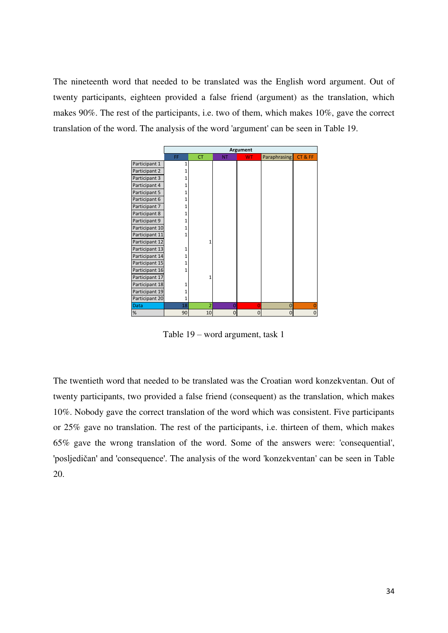The nineteenth word that needed to be translated was the English word argument. Out of twenty participants, eighteen provided a false friend (argument) as the translation, which makes 90%. The rest of the participants, i.e. two of them, which makes 10%, gave the correct translation of the word. The analysis of the word 'argument' can be seen in Table 19.

|                | Argument |                |           |                |                |                |  |
|----------------|----------|----------------|-----------|----------------|----------------|----------------|--|
|                | FF       | <b>CT</b>      | <b>NT</b> | <b>WT</b>      | Paraphrasing   | CT&FF          |  |
| Participant 1  | 1        |                |           |                |                |                |  |
| Participant 2  |          |                |           |                |                |                |  |
| Participant 3  |          |                |           |                |                |                |  |
| Participant 4  |          |                |           |                |                |                |  |
| Participant 5  |          |                |           |                |                |                |  |
| Participant 6  |          |                |           |                |                |                |  |
| Participant 7  |          |                |           |                |                |                |  |
| Participant 8  |          |                |           |                |                |                |  |
| Participant 9  |          |                |           |                |                |                |  |
| Participant 10 |          |                |           |                |                |                |  |
| Participant 11 | 1        |                |           |                |                |                |  |
| Participant 12 |          | 1              |           |                |                |                |  |
| Participant 13 | 1        |                |           |                |                |                |  |
| Participant 14 |          |                |           |                |                |                |  |
| Participant 15 |          |                |           |                |                |                |  |
| Participant 16 |          |                |           |                |                |                |  |
| Participant 17 |          | 1              |           |                |                |                |  |
| Participant 18 |          |                |           |                |                |                |  |
| Participant 19 |          |                |           |                |                |                |  |
| Participant 20 | 1        |                |           |                |                |                |  |
| <b>Data</b>    | 18       | $\overline{2}$ | 0         | $\overline{0}$ | $\mathbf 0$    | $\overline{0}$ |  |
| %              | 90       | 10             | 0         | $\mathbf 0$    | $\overline{0}$ | $\mathbf 0$    |  |

Table 19 – word argument, task 1

The twentieth word that needed to be translated was the Croatian word konzekventan. Out of twenty participants, two provided a false friend (consequent) as the translation, which makes 10%. Nobody gave the correct translation of the word which was consistent. Five participants or 25% gave no translation. The rest of the participants, i.e. thirteen of them, which makes 65% gave the wrong translation of the word. Some of the answers were: 'consequential', 'posljedičan' and 'consequence'. The analysis of the word 'konzekventan' can be seen in Table 20.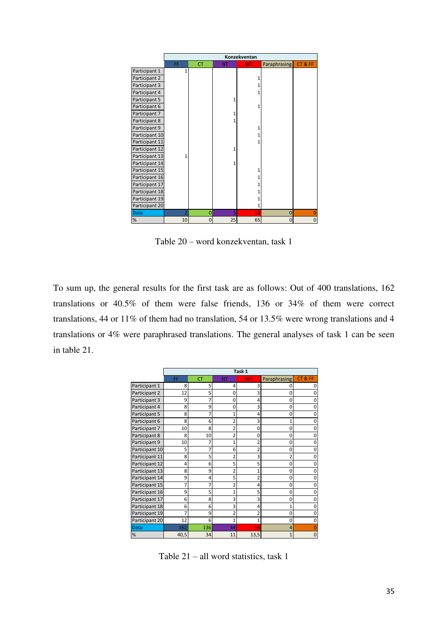|                | Konzekventan   |           |           |              |                |              |  |
|----------------|----------------|-----------|-----------|--------------|----------------|--------------|--|
|                | FF             | <b>CT</b> | <b>NT</b> | <b>WT</b>    | Paraphrasing   | CT&FF        |  |
| Participant 1  | $\mathbf{1}$   |           |           |              |                |              |  |
| Participant 2  |                |           |           | 1            |                |              |  |
| Participant 3  |                |           |           | 1            |                |              |  |
| Participant 4  |                |           |           | 1            |                |              |  |
| Participant 5  |                |           | 1         |              |                |              |  |
| Participant 6  |                |           |           | $\mathbf{1}$ |                |              |  |
| Participant 7  |                |           | 1         |              |                |              |  |
| Participant 8  |                |           |           |              |                |              |  |
| Participant 9  |                |           |           | 1            |                |              |  |
| Participant 10 |                |           |           | 1            |                |              |  |
| Participant 11 |                |           |           | 1            |                |              |  |
| Participant 12 |                |           | 1         |              |                |              |  |
| Participant 13 | 1              |           |           |              |                |              |  |
| Participant 14 |                |           | 1         |              |                |              |  |
| Participant 15 |                |           |           | $\mathbf{1}$ |                |              |  |
| Participant 16 |                |           |           | 1            |                |              |  |
| Participant 17 |                |           |           |              |                |              |  |
| Participant 18 |                |           |           | 1            |                |              |  |
| Participant 19 |                |           |           |              |                |              |  |
| Participant 20 |                |           |           | 1            |                |              |  |
| <b>Data</b>    | $\overline{2}$ | 0         | 5         | 13           | $\overline{0}$ | $\Omega$     |  |
| $\%$           | 10             | $\Omega$  | 25        | 65           | $\overline{0}$ | $\mathbf{0}$ |  |

Table 20 – word konzekventan, task 1

To sum up, the general results for the first task are as follows: Out of 400 translations, 162 translations or 40.5% of them were false friends, 136 or 34% of them were correct translations, 44 or 11% of them had no translation, 54 or 13.5% were wrong translations and 4 translations or 4% were paraphrased translations. The general analyses of task 1 can be seen in table 21.

|                |      |           |                | Task 1         |                     |       |
|----------------|------|-----------|----------------|----------------|---------------------|-------|
|                | FF   | <b>CT</b> | <b>NT</b>      | <b>WT</b>      | <b>Paraphrasing</b> | CT&FF |
| Participant 1  | 8    | 5         | 4              | 3              | $\Omega$            |       |
| Participant 2  | 12   | 5         | $\Omega$       | 3              | 0                   |       |
| Participant 3  | 9    | 7         | 0              | 4              | 0                   |       |
| Participant 4  | 8    | 9         | $\Omega$       | 3              | 0                   |       |
| Participant 5  | 8    | 7         | 1              | 4              | $\Omega$            |       |
| Participant 6  | 8    | 6         | 2              | 3              | 1                   |       |
| Participant 7  | 10   | 8         | $\overline{2}$ | $\Omega$       | 0                   |       |
| Participant 8  | 8    | 10        | $\overline{2}$ | $\mathbf 0$    | 0                   |       |
| Participant 9  | 10   | 7         | 1              | 2              | 0                   |       |
| Participant 10 | 5    | 7         | 6              | 2              | 0                   |       |
| Participant 11 | 8    | 5         | $\overline{2}$ | 3              | $\overline{2}$      |       |
| Participant 12 | 4    | 6         | 5              | 5              | $\mathbf 0$         |       |
| Participant 13 | 8    | 9         | $\overline{2}$ | 1              | 0                   |       |
| Participant 14 | 9    | 4         | 5              | $\overline{2}$ | 0                   |       |
| Participant 15 | 7    | 7         | $\overline{2}$ | 4              | 0                   |       |
| Participant 16 | 9    | 5         | 1              | 5              | 0                   |       |
| Participant 17 | 6    | 8         | 3              | 3              | 0                   |       |
| Participant 18 | 6    | 6         | 3              | 4              | 1                   |       |
| Participant 19 | 7    | 9         | $\overline{2}$ |                | $\mathbf 0$         |       |
| Participant 20 | 12   | 6         | 1              | 1              | 0                   |       |
| <b>Data</b>    | 162  | 136       | 44             | 54             | 4                   |       |
| %              | 40,5 | 34        | 11             | 13,5           | $\overline{1}$      |       |

Table 21 – all word statistics, task 1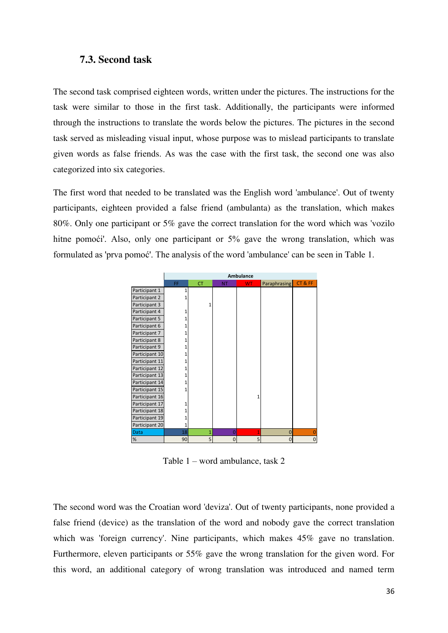### **7.3. Second task**

The second task comprised eighteen words, written under the pictures. The instructions for the task were similar to those in the first task. Additionally, the participants were informed through the instructions to translate the words below the pictures. The pictures in the second task served as misleading visual input, whose purpose was to mislead participants to translate given words as false friends. As was the case with the first task, the second one was also categorized into six categories.

The first word that needed to be translated was the English word 'ambulance'. Out of twenty participants, eighteen provided a false friend (ambulanta) as the translation, which makes 80%. Only one participant or 5% gave the correct translation for the word which was 'vozilo hitne pomoći'. Also, only one participant or 5% gave the wrong translation, which was formulated as 'prva pomoć'. The analysis of the word 'ambulance' can be seen in Table 1.

|                | <b>Ambulance</b> |                |                |           |                |          |  |
|----------------|------------------|----------------|----------------|-----------|----------------|----------|--|
|                | FF               | <b>CT</b>      | <b>NT</b>      | <b>WT</b> | Paraphrasing   | CT&FF    |  |
| Participant 1  |                  |                |                |           |                |          |  |
| Participant 2  |                  |                |                |           |                |          |  |
| Participant 3  |                  | 1              |                |           |                |          |  |
| Participant 4  |                  |                |                |           |                |          |  |
| Participant 5  |                  |                |                |           |                |          |  |
| Participant 6  |                  |                |                |           |                |          |  |
| Participant 7  |                  |                |                |           |                |          |  |
| Participant 8  |                  |                |                |           |                |          |  |
| Participant 9  |                  |                |                |           |                |          |  |
| Participant 10 |                  |                |                |           |                |          |  |
| Participant 11 |                  |                |                |           |                |          |  |
| Participant 12 |                  |                |                |           |                |          |  |
| Participant 13 |                  |                |                |           |                |          |  |
| Participant 14 |                  |                |                |           |                |          |  |
| Participant 15 |                  |                |                |           |                |          |  |
| Participant 16 |                  |                |                |           |                |          |  |
| Participant 17 |                  |                |                |           |                |          |  |
| Participant 18 |                  |                |                |           |                |          |  |
| Participant 19 |                  |                |                |           |                |          |  |
| Participant 20 | 1                |                |                |           |                |          |  |
| <b>Data</b>    | 18               | $\overline{1}$ | $\overline{0}$ |           | $\overline{0}$ |          |  |
| %              | 90               | 5              | $\Omega$       | 5         | 0              | $\Omega$ |  |

Table 1 – word ambulance, task 2

The second word was the Croatian word 'deviza'. Out of twenty participants, none provided a false friend (device) as the translation of the word and nobody gave the correct translation which was 'foreign currency'. Nine participants, which makes 45% gave no translation. Furthermore, eleven participants or 55% gave the wrong translation for the given word. For this word, an additional category of wrong translation was introduced and named term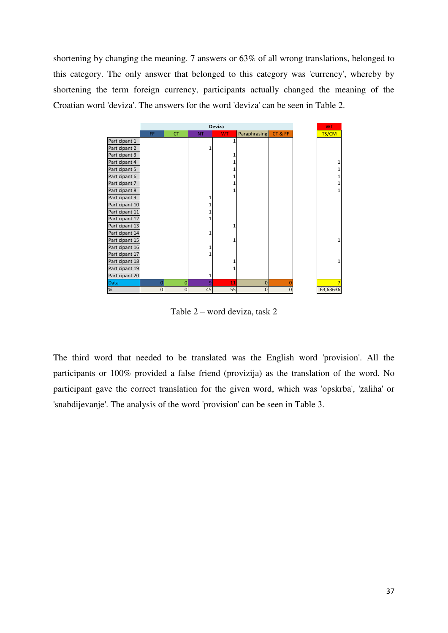shortening by changing the meaning. 7 answers or 63% of all wrong translations, belonged to this category. The only answer that belonged to this category was 'currency', whereby by shortening the term foreign currency, participants actually changed the meaning of the Croatian word 'deviza'. The answers for the word 'deviza' can be seen in Table 2.



Table 2 – word deviza, task 2

The third word that needed to be translated was the English word 'provision'. All the participants or 100% provided a false friend (provizija) as the translation of the word. No participant gave the correct translation for the given word, which was 'opskrba', 'zaliha' or 'snabdijevanje'. The analysis of the word 'provision' can be seen in Table 3.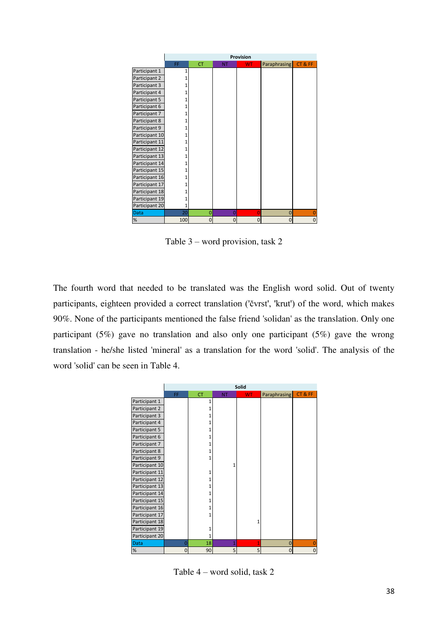|                | Provision |                |           |           |              |       |  |
|----------------|-----------|----------------|-----------|-----------|--------------|-------|--|
|                | FF        | <b>CT</b>      | <b>NT</b> | <b>WT</b> | Paraphrasing | CT&FF |  |
| Participant 1  | 1         |                |           |           |              |       |  |
| Participant 2  |           |                |           |           |              |       |  |
| Participant 3  |           |                |           |           |              |       |  |
| Participant 4  |           |                |           |           |              |       |  |
| Participant 5  |           |                |           |           |              |       |  |
| Participant 6  |           |                |           |           |              |       |  |
| Participant 7  |           |                |           |           |              |       |  |
| Participant 8  |           |                |           |           |              |       |  |
| Participant 9  |           |                |           |           |              |       |  |
| Participant 10 |           |                |           |           |              |       |  |
| Participant 11 |           |                |           |           |              |       |  |
| Participant 12 |           |                |           |           |              |       |  |
| Participant 13 |           |                |           |           |              |       |  |
| Participant 14 | 1         |                |           |           |              |       |  |
| Participant 15 |           |                |           |           |              |       |  |
| Participant 16 |           |                |           |           |              |       |  |
| Participant 17 |           |                |           |           |              |       |  |
| Participant 18 |           |                |           |           |              |       |  |
| Participant 19 | 1         |                |           |           |              |       |  |
| Participant 20 | 1         |                |           |           |              |       |  |
| <b>Data</b>    | 20        | $\overline{0}$ | Ō         | 0         | 0            |       |  |
| %              | 100       | $\Omega$       | Ω         | $\Omega$  | 0            | 0     |  |

Table 3 – word provision, task 2

The fourth word that needed to be translated was the English word solid. Out of twenty participants, eighteen provided a correct translation ('čvrst', 'krut') of the word, which makes 90%. None of the participants mentioned the false friend 'solidan' as the translation. Only one participant (5%) gave no translation and also only one participant (5%) gave the wrong translation - he/she listed 'mineral' as a translation for the word 'solid'. The analysis of the word 'solid' can be seen in Table 4.

|                |                |           |           | Solid          |                     |          |
|----------------|----------------|-----------|-----------|----------------|---------------------|----------|
|                | FF             | <b>CT</b> | <b>NT</b> | <b>WT</b>      | <b>Paraphrasing</b> | CT&FF    |
| Participant 1  |                | 1         |           |                |                     |          |
| Participant 2  |                | 1         |           |                |                     |          |
| Participant 3  |                |           |           |                |                     |          |
| Participant 4  |                | 1         |           |                |                     |          |
| Participant 5  |                | 1         |           |                |                     |          |
| Participant 6  |                | 1         |           |                |                     |          |
| Participant 7  |                |           |           |                |                     |          |
| Participant 8  |                |           |           |                |                     |          |
| Participant 9  |                |           |           |                |                     |          |
| Participant 10 |                |           | 1         |                |                     |          |
| Participant 11 |                | 1         |           |                |                     |          |
| Participant 12 |                |           |           |                |                     |          |
| Participant 13 |                | 1         |           |                |                     |          |
| Participant 14 |                |           |           |                |                     |          |
| Participant 15 |                | 1         |           |                |                     |          |
| Participant 16 |                |           |           |                |                     |          |
| Participant 17 |                | 1         |           |                |                     |          |
| Participant 18 |                |           |           |                |                     |          |
| Participant 19 |                | 1         |           |                |                     |          |
| Participant 20 |                | 1         |           |                |                     |          |
| <b>Data</b>    | $\overline{0}$ | 18        | 1         | $\overline{1}$ | $\mathbf{0}$        |          |
| $\%$           | 0              | 90        | 5         | 5              | $\mathbf{0}$        | $\Omega$ |

Table 4 – word solid, task 2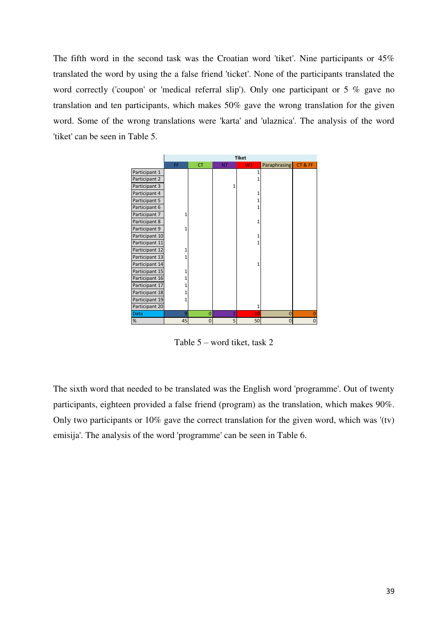The fifth word in the second task was the Croatian word 'tiket'. Nine participants or 45% translated the word by using the a false friend 'ticket'. None of the participants translated the word correctly ('coupon' or 'medical referral slip'). Only one participant or 5 % gave no translation and ten participants, which makes 50% gave the wrong translation for the given word. Some of the wrong translations were 'karta' and 'ulaznica'. The analysis of the word 'tiket' can be seen in Table 5.

|                | <b>Tiket</b> |                |           |           |                     |              |  |
|----------------|--------------|----------------|-----------|-----------|---------------------|--------------|--|
|                | FF           | <b>CT</b>      | <b>NT</b> | <b>WT</b> | <b>Paraphrasing</b> | CT&FF        |  |
| Participant 1  |              |                |           | 1         |                     |              |  |
| Participant 2  |              |                |           | 1         |                     |              |  |
| Participant 3  |              |                | 1         |           |                     |              |  |
| Participant 4  |              |                |           |           |                     |              |  |
| Participant 5  |              |                |           |           |                     |              |  |
| Participant 6  |              |                |           |           |                     |              |  |
| Participant 7  | 1            |                |           |           |                     |              |  |
| Participant 8  |              |                |           |           |                     |              |  |
| Participant 9  | 1            |                |           |           |                     |              |  |
| Participant 10 |              |                |           |           |                     |              |  |
| Participant 11 |              |                |           |           |                     |              |  |
| Participant 12 | 1            |                |           |           |                     |              |  |
| Participant 13 | 1            |                |           |           |                     |              |  |
| Participant 14 |              |                |           |           |                     |              |  |
| Participant 15 | 1            |                |           |           |                     |              |  |
| Participant 16 |              |                |           |           |                     |              |  |
| Participant 17 |              |                |           |           |                     |              |  |
| Participant 18 |              |                |           |           |                     |              |  |
| Participant 19 | 1            |                |           |           |                     |              |  |
| Participant 20 |              |                |           |           |                     |              |  |
| Data           | 9            | $\overline{0}$ |           | 10        | $\overline{0}$      |              |  |
| $\%$           | 45           | $\mathbf 0$    | 5         | 50        | 0                   | $\mathbf{0}$ |  |

Table 5 – word tiket, task 2

The sixth word that needed to be translated was the English word 'programme'. Out of twenty participants, eighteen provided a false friend (program) as the translation, which makes 90%. Only two participants or 10% gave the correct translation for the given word, which was '(tv) emisija'. The analysis of the word 'programme' can be seen in Table 6.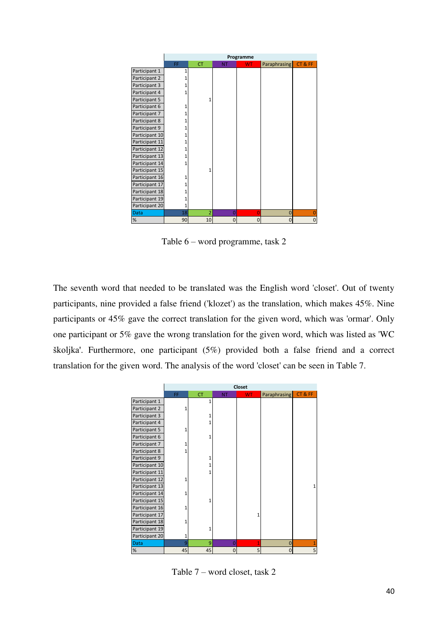|                | Programme    |                |           |           |                     |          |  |
|----------------|--------------|----------------|-----------|-----------|---------------------|----------|--|
|                | FF           | <b>CT</b>      | <b>NT</b> | <b>WT</b> | <b>Paraphrasing</b> | CT&FF    |  |
| Participant 1  | 1            |                |           |           |                     |          |  |
| Participant 2  |              |                |           |           |                     |          |  |
| Participant 3  |              |                |           |           |                     |          |  |
| Participant 4  |              |                |           |           |                     |          |  |
| Participant 5  |              | 1              |           |           |                     |          |  |
| Participant 6  |              |                |           |           |                     |          |  |
| Participant 7  |              |                |           |           |                     |          |  |
| Participant 8  |              |                |           |           |                     |          |  |
| Participant 9  |              |                |           |           |                     |          |  |
| Participant 10 |              |                |           |           |                     |          |  |
| Participant 11 |              |                |           |           |                     |          |  |
| Participant 12 |              |                |           |           |                     |          |  |
| Participant 13 |              |                |           |           |                     |          |  |
| Participant 14 |              |                |           |           |                     |          |  |
| Participant 15 |              | 1              |           |           |                     |          |  |
| Participant 16 |              |                |           |           |                     |          |  |
| Participant 17 |              |                |           |           |                     |          |  |
| Participant 18 |              |                |           |           |                     |          |  |
| Participant 19 |              |                |           |           |                     |          |  |
| Participant 20 | $\mathbf{1}$ |                |           |           |                     |          |  |
| Data           | 18           | $\overline{2}$ | $\Omega$  | $\Omega$  | $\bf{0}$            |          |  |
| $\%$           | 90           | 10             | $\Omega$  | $\Omega$  | $\overline{0}$      | $\Omega$ |  |

Table 6 – word programme, task 2

The seventh word that needed to be translated was the English word 'closet'. Out of twenty participants, nine provided a false friend ('klozet') as the translation, which makes 45%. Nine participants or 45% gave the correct translation for the given word, which was 'ormar'. Only one participant or 5% gave the wrong translation for the given word, which was listed as 'WC školjka'. Furthermore, one participant (5%) provided both a false friend and a correct translation for the given word. The analysis of the word 'closet' can be seen in Table 7.

|                | Closet |           |                |           |                     |       |  |
|----------------|--------|-----------|----------------|-----------|---------------------|-------|--|
|                | FF     | <b>CT</b> | <b>NT</b>      | <b>WT</b> | <b>Paraphrasing</b> | CT&FF |  |
| Participant 1  |        | 1         |                |           |                     |       |  |
| Participant 2  | 1      |           |                |           |                     |       |  |
| Participant 3  |        |           |                |           |                     |       |  |
| Participant 4  |        |           |                |           |                     |       |  |
| Participant 5  |        |           |                |           |                     |       |  |
| Participant 6  |        | 1         |                |           |                     |       |  |
| Participant 7  |        |           |                |           |                     |       |  |
| Participant 8  | 1      |           |                |           |                     |       |  |
| Participant 9  |        | 1         |                |           |                     |       |  |
| Participant 10 |        | 1         |                |           |                     |       |  |
| Participant 11 |        | 1         |                |           |                     |       |  |
| Participant 12 |        |           |                |           |                     |       |  |
| Participant 13 |        |           |                |           |                     |       |  |
| Participant 14 |        |           |                |           |                     |       |  |
| Participant 15 |        |           |                |           |                     |       |  |
| Participant 16 | 1      |           |                |           |                     |       |  |
| Participant 17 |        |           |                |           |                     |       |  |
| Participant 18 | 1      |           |                |           |                     |       |  |
| Participant 19 |        | 1         |                |           |                     |       |  |
| Participant 20 | 1      |           |                |           |                     |       |  |
| <b>Data</b>    | 9      | 9         | $\overline{0}$ | 1         | $\mathbf{0}$        |       |  |
| $\%$           | 45     | 45        | $\Omega$       | 5         | $\Omega$            | 5     |  |

Table 7 – word closet, task 2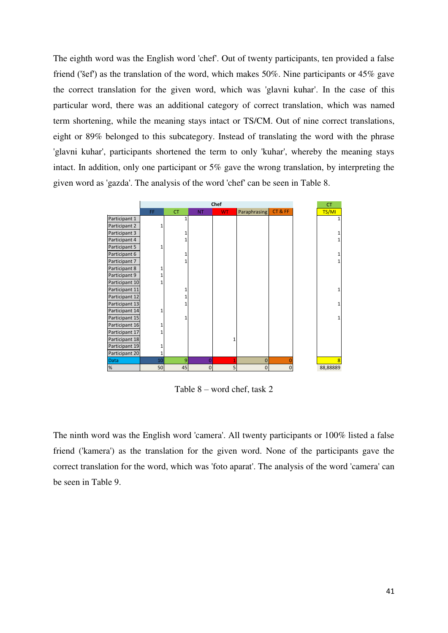The eighth word was the English word 'chef'. Out of twenty participants, ten provided a false friend ('šef') as the translation of the word, which makes 50%. Nine participants or 45% gave the correct translation for the given word, which was 'glavni kuhar'. In the case of this particular word, there was an additional category of correct translation, which was named term shortening, while the meaning stays intact or TS/CM. Out of nine correct translations, eight or 89% belonged to this subcategory. Instead of translating the word with the phrase 'glavni kuhar', participants shortened the term to only 'kuhar', whereby the meaning stays intact. In addition, only one participant or 5% gave the wrong translation, by interpreting the given word as 'gazda'. The analysis of the word 'chef' can be seen in Table 8.



Table 8 – word chef, task 2

The ninth word was the English word 'camera'. All twenty participants or 100% listed a false friend ('kamera') as the translation for the given word. None of the participants gave the correct translation for the word, which was 'foto aparat'. The analysis of the word 'camera' can be seen in Table 9.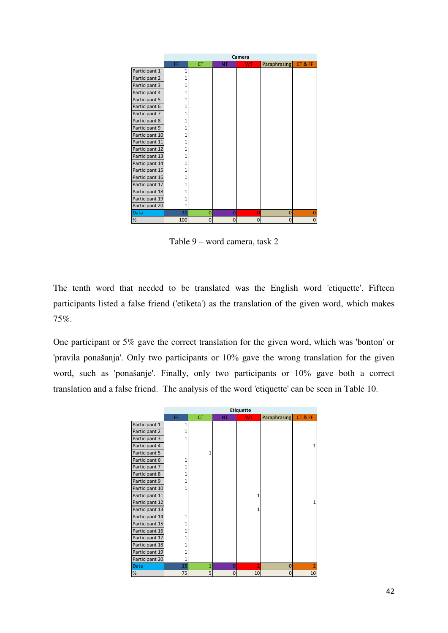|                |     | Camera         |           |           |                |          |
|----------------|-----|----------------|-----------|-----------|----------------|----------|
|                | FF  | <b>CT</b>      | <b>NT</b> | <b>WT</b> | Paraphrasing   | CT&FF    |
| Participant 1  | 1   |                |           |           |                |          |
| Participant 2  |     |                |           |           |                |          |
| Participant 3  |     |                |           |           |                |          |
| Participant 4  |     |                |           |           |                |          |
| Participant 5  |     |                |           |           |                |          |
| Participant 6  |     |                |           |           |                |          |
| Participant 7  |     |                |           |           |                |          |
| Participant 8  |     |                |           |           |                |          |
| Participant 9  |     |                |           |           |                |          |
| Participant 10 |     |                |           |           |                |          |
| Participant 11 | 1   |                |           |           |                |          |
| Participant 12 |     |                |           |           |                |          |
| Participant 13 |     |                |           |           |                |          |
| Participant 14 | 1   |                |           |           |                |          |
| Participant 15 |     |                |           |           |                |          |
| Participant 16 | 1   |                |           |           |                |          |
| Participant 17 |     |                |           |           |                |          |
| Participant 18 |     |                |           |           |                |          |
| Participant 19 |     |                |           |           |                |          |
| Participant 20 | 1   |                |           |           |                |          |
| <b>Data</b>    | 20  | $\overline{0}$ | $\Omega$  | $\Omega$  | $\overline{0}$ |          |
| %              | 100 | $\mathbf 0$    | $\Omega$  | $\Omega$  | $\overline{0}$ | $\Omega$ |

Table 9 – word camera, task 2

The tenth word that needed to be translated was the English word 'etiquette'. Fifteen participants listed a false friend ('etiketa') as the translation of the given word, which makes 75%.

One participant or 5% gave the correct translation for the given word, which was 'bonton' or 'pravila ponašanja'. Only two participants or 10% gave the wrong translation for the given word, such as 'ponašanje'. Finally, only two participants or 10% gave both a correct translation and a false friend. The analysis of the word 'etiquette' can be seen in Table 10.

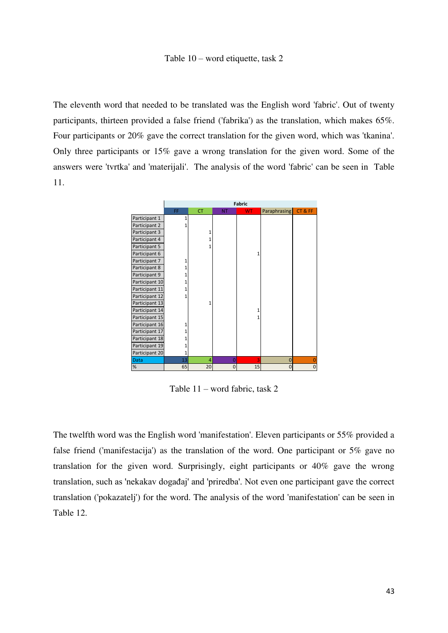#### Table 10 – word etiquette, task 2

The eleventh word that needed to be translated was the English word 'fabric'. Out of twenty participants, thirteen provided a false friend ('fabrika') as the translation, which makes 65%. Four participants or 20% gave the correct translation for the given word, which was 'tkanina'. Only three participants or 15% gave a wrong translation for the given word. Some of the answers were 'tvrtka' and 'materijali'. The analysis of the word 'fabric' can be seen in Table 11.



Table 11 – word fabric, task 2

The twelfth word was the English word 'manifestation'. Eleven participants or 55% provided a false friend ('manifestacija') as the translation of the word. One participant or 5% gave no translation for the given word. Surprisingly, eight participants or 40% gave the wrong translation, such as 'nekakav događaj' and 'priredba'. Not even one participant gave the correct translation ('pokazatelj') for the word. The analysis of the word 'manifestation' can be seen in Table 12.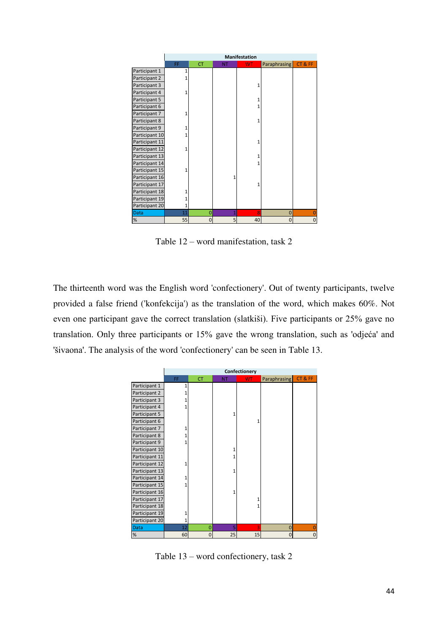|                |    | <b>Manifestation</b> |           |     |                     |          |
|----------------|----|----------------------|-----------|-----|---------------------|----------|
|                | FF | <b>CT</b>            | <b>NT</b> | WT. | <b>Paraphrasing</b> | CT&FF    |
| Participant 1  | 1  |                      |           |     |                     |          |
| Participant 2  |    |                      |           |     |                     |          |
| Participant 3  |    |                      |           |     |                     |          |
| Participant 4  | 1  |                      |           |     |                     |          |
| Participant 5  |    |                      |           |     |                     |          |
| Participant 6  |    |                      |           |     |                     |          |
| Participant 7  |    |                      |           |     |                     |          |
| Participant 8  |    |                      |           |     |                     |          |
| Participant 9  |    |                      |           |     |                     |          |
| Participant 10 |    |                      |           |     |                     |          |
| Participant 11 |    |                      |           |     |                     |          |
| Participant 12 | 1  |                      |           |     |                     |          |
| Participant 13 |    |                      |           |     |                     |          |
| Participant 14 |    |                      |           |     |                     |          |
| Participant 15 | 1  |                      |           |     |                     |          |
| Participant 16 |    |                      | 1         |     |                     |          |
| Participant 17 |    |                      |           | 1   |                     |          |
| Participant 18 |    |                      |           |     |                     |          |
| Participant 19 |    |                      |           |     |                     |          |
| Participant 20 | 1  |                      |           |     |                     |          |
| Data           | 11 | $\overline{0}$       | 1         | 8   | $\overline{0}$      |          |
| %              | 55 | $\mathbf 0$          | 5         | 40  | $\overline{0}$      | $\Omega$ |

Table 12 – word manifestation, task 2

The thirteenth word was the English word 'confectionery'. Out of twenty participants, twelve provided a false friend ('konfekcija') as the translation of the word, which makes 60%. Not even one participant gave the correct translation (slatkiši). Five participants or 25% gave no translation. Only three participants or 15% gave the wrong translation, such as 'odjeća' and 'šivaona'. The analysis of the word 'confectionery' can be seen in Table 13.

|                |    |                |           | Confectionery |                     |             |
|----------------|----|----------------|-----------|---------------|---------------------|-------------|
|                | FF | <b>CT</b>      | <b>NT</b> | <b>WT</b>     | <b>Paraphrasing</b> | CT&FF       |
| Participant 1  | 1  |                |           |               |                     |             |
| Participant 2  |    |                |           |               |                     |             |
| Participant 3  |    |                |           |               |                     |             |
| Participant 4  |    |                |           |               |                     |             |
| Participant 5  |    |                | 1         |               |                     |             |
| Participant 6  |    |                |           |               |                     |             |
| Participant 7  |    |                |           |               |                     |             |
| Participant 8  |    |                |           |               |                     |             |
| Participant 9  |    |                |           |               |                     |             |
| Participant 10 |    |                |           |               |                     |             |
| Participant 11 |    |                |           |               |                     |             |
| Participant 12 |    |                |           |               |                     |             |
| Participant 13 |    |                | 1         |               |                     |             |
| Participant 14 |    |                |           |               |                     |             |
| Participant 15 |    |                |           |               |                     |             |
| Participant 16 |    |                | 1         |               |                     |             |
| Participant 17 |    |                |           |               |                     |             |
| Participant 18 |    |                |           |               |                     |             |
| Participant 19 |    |                |           |               |                     |             |
| Participant 20 | 1  |                |           |               |                     |             |
| <b>Data</b>    | 12 | $\overline{0}$ | 5         | 3             | $\overline{0}$      |             |
| $\%$           | 60 | $\mathbf 0$    | 25        | 15            | $\overline{0}$      | $\mathbf 0$ |

Table 13 – word confectionery, task 2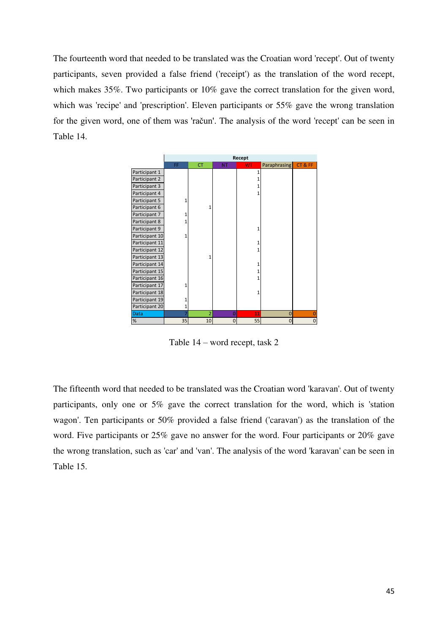The fourteenth word that needed to be translated was the Croatian word 'recept'. Out of twenty participants, seven provided a false friend ('receipt') as the translation of the word recept, which makes 35%. Two participants or 10% gave the correct translation for the given word, which was 'recipe' and 'prescription'. Eleven participants or 55% gave the wrong translation for the given word, one of them was 'račun'. The analysis of the word 'recept' can be seen in Table 14.



Table 14 – word recept, task 2

The fifteenth word that needed to be translated was the Croatian word 'karavan'. Out of twenty participants, only one or 5% gave the correct translation for the word, which is 'station wagon'. Ten participants or 50% provided a false friend ('caravan') as the translation of the word. Five participants or 25% gave no answer for the word. Four participants or 20% gave the wrong translation, such as 'car' and 'van'. The analysis of the word 'karavan' can be seen in Table 15.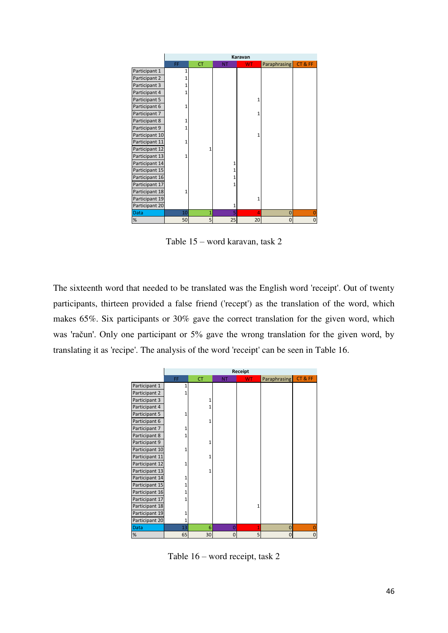|                |              |           |           | Karavan   |              |       |
|----------------|--------------|-----------|-----------|-----------|--------------|-------|
|                | FF           | <b>CT</b> | <b>NT</b> | <b>WT</b> | Paraphrasing | CT&FF |
| Participant 1  | $\mathbf{1}$ |           |           |           |              |       |
| Participant 2  |              |           |           |           |              |       |
| Participant 3  | 1            |           |           |           |              |       |
| Participant 4  | 1            |           |           |           |              |       |
| Participant 5  |              |           |           | 1         |              |       |
| Participant 6  | 1            |           |           |           |              |       |
| Participant 7  |              |           |           | 1         |              |       |
| Participant 8  |              |           |           |           |              |       |
| Participant 9  |              |           |           |           |              |       |
| Participant 10 |              |           |           | 1         |              |       |
| Participant 11 | 1            |           |           |           |              |       |
| Participant 12 |              | 1         |           |           |              |       |
| Participant 13 | 1            |           |           |           |              |       |
| Participant 14 |              |           |           |           |              |       |
| Participant 15 |              |           |           |           |              |       |
| Participant 16 |              |           |           |           |              |       |
| Participant 17 |              |           |           |           |              |       |
| Participant 18 | 1            |           |           |           |              |       |
| Participant 19 |              |           |           | 1         |              |       |
| Participant 20 |              |           | 1         |           |              |       |
| <b>Data</b>    | 10           | 1         | 5         | 4         | $\Omega$     |       |
| %              | 50           | 5         | 25        | 20        | Ω            | 0     |

Table 15 – word karavan, task 2

The sixteenth word that needed to be translated was the English word 'receipt'. Out of twenty participants, thirteen provided a false friend ('recept') as the translation of the word, which makes 65%. Six participants or 30% gave the correct translation for the given word, which was 'račun'. Only one participant or 5% gave the wrong translation for the given word, by translating it as 'recipe'. The analysis of the word 'receipt' can be seen in Table 16.

|                |    |           |           | Receipt   |                     |          |
|----------------|----|-----------|-----------|-----------|---------------------|----------|
|                | FF | <b>CT</b> | <b>NT</b> | <b>WT</b> | <b>Paraphrasing</b> | CT&FF    |
| Participant 1  | 1  |           |           |           |                     |          |
| Participant 2  |    |           |           |           |                     |          |
| Participant 3  |    |           |           |           |                     |          |
| Participant 4  |    |           |           |           |                     |          |
| Participant 5  |    |           |           |           |                     |          |
| Participant 6  |    | 1         |           |           |                     |          |
| Participant 7  |    |           |           |           |                     |          |
| Participant 8  |    |           |           |           |                     |          |
| Participant 9  |    | 1         |           |           |                     |          |
| Participant 10 |    |           |           |           |                     |          |
| Participant 11 |    | 1         |           |           |                     |          |
| Participant 12 |    |           |           |           |                     |          |
| Participant 13 |    | 1         |           |           |                     |          |
| Participant 14 |    |           |           |           |                     |          |
| Participant 15 |    |           |           |           |                     |          |
| Participant 16 |    |           |           |           |                     |          |
| Participant 17 |    |           |           |           |                     |          |
| Participant 18 |    |           |           |           |                     |          |
| Participant 19 |    |           |           |           |                     |          |
| Participant 20 | 1  |           |           |           |                     |          |
| Data           | 13 | 6         | $\Omega$  |           | $\mathbf{0}$        |          |
| $\%$           | 65 | 30        | 0         | 5         | $\mathbf 0$         | $\Omega$ |

Table 16 – word receipt, task 2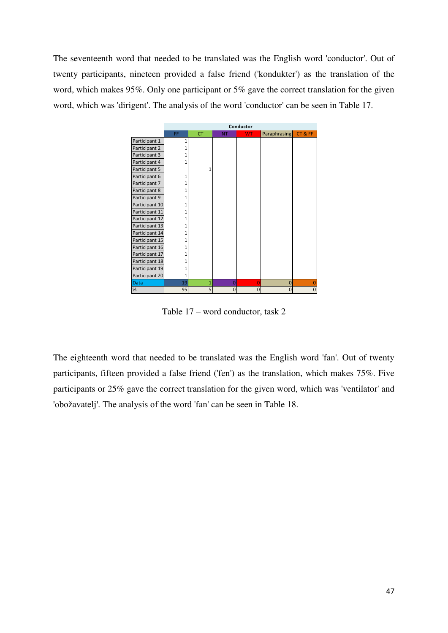The seventeenth word that needed to be translated was the English word 'conductor'. Out of twenty participants, nineteen provided a false friend ('kondukter') as the translation of the word, which makes 95%. Only one participant or 5% gave the correct translation for the given word, which was 'dirigent'. The analysis of the word 'conductor' can be seen in Table 17.



Table 17 – word conductor, task 2

The eighteenth word that needed to be translated was the English word 'fan'. Out of twenty participants, fifteen provided a false friend ('fen') as the translation, which makes 75%. Five participants or 25% gave the correct translation for the given word, which was 'ventilator' and 'obožavatelj'. The analysis of the word 'fan' can be seen in Table 18.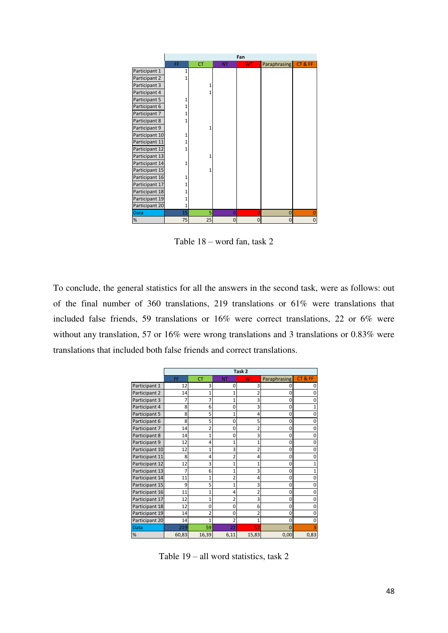|                |    |           |           | Fan       |                     |              |
|----------------|----|-----------|-----------|-----------|---------------------|--------------|
|                | FF | <b>CT</b> | <b>NT</b> | <b>WT</b> | <b>Paraphrasing</b> | CT&FF        |
| Participant 1  |    |           |           |           |                     |              |
| Participant 2  |    |           |           |           |                     |              |
| Participant 3  |    | 1         |           |           |                     |              |
| Participant 4  |    | 1         |           |           |                     |              |
| Participant 5  |    |           |           |           |                     |              |
| Participant 6  |    |           |           |           |                     |              |
| Participant 7  |    |           |           |           |                     |              |
| Participant 8  |    |           |           |           |                     |              |
| Participant 9  |    | 1         |           |           |                     |              |
| Participant 10 |    |           |           |           |                     |              |
| Participant 11 |    |           |           |           |                     |              |
| Participant 12 |    |           |           |           |                     |              |
| Participant 13 |    | 1         |           |           |                     |              |
| Participant 14 |    |           |           |           |                     |              |
| Participant 15 |    | 1         |           |           |                     |              |
| Participant 16 |    |           |           |           |                     |              |
| Participant 17 |    |           |           |           |                     |              |
| Participant 18 |    |           |           |           |                     |              |
| Participant 19 |    |           |           |           |                     |              |
| Participant 20 | 1  |           |           |           |                     |              |
| Data           | 15 | 5         | 0         | $\Omega$  | 0                   |              |
| $\%$           | 75 | 25        | 0         | $\Omega$  | 0                   | $\mathbf{0}$ |

Table 18 – word fan, task 2

To conclude, the general statistics for all the answers in the second task, were as follows: out of the final number of 360 translations, 219 translations or 61% were translations that included false friends, 59 translations or 16% were correct translations, 22 or 6% were without any translation, 57 or 16% were wrong translations and 3 translations or 0.83% were translations that included both false friends and correct translations.

|                |       |                |                | Task <sub>2</sub> |                |       |
|----------------|-------|----------------|----------------|-------------------|----------------|-------|
|                | FF    | <b>CT</b>      | <b>NT</b>      | <b>WT</b>         | Paraphrasing   | CT&FF |
| Participant 1  | 12    | 3              | 0              | 3                 | Ω              |       |
| Participant 2  | 14    | 1              | 1              |                   | 0              |       |
| Participant 3  | 7     |                | 1              | 3                 | 0              |       |
| Participant 4  | 8     | 6              | 0              | 3                 | $\mathbf 0$    |       |
| Participant 5  | 8     | 5              | 1              | 4                 | $\mathbf 0$    |       |
| Participant 6  | 8     | 5              | 0              | 5                 | $\mathbf 0$    |       |
| Participant 7  | 14    | $\overline{2}$ | 0              | 2                 | 0              |       |
| Participant 8  | 14    | 1              | $\mathbf 0$    | 3                 | $\Omega$       |       |
| Participant 9  | 12    | 4              | 1              | 1                 | 0              |       |
| Participant 10 | 12    | 1              | 3              | $\overline{2}$    | $\overline{0}$ |       |
| Participant 11 | 8     | 4              | $\overline{c}$ | 4                 | 0              |       |
| Participant 12 | 12    | 3              | $\overline{1}$ | 1                 | $\mathbf 0$    |       |
| Participant 13 | 7     | 6              | 1              | 3                 | 0              |       |
| Participant 14 | 11    | 1              | $\overline{2}$ | 4                 | $\mathbf 0$    |       |
| Participant 15 | 9     | 5              | 1              | 3                 | $\mathbf 0$    |       |
| Participant 16 | 11    | 1              | 4              | $\overline{2}$    | $\mathbf 0$    |       |
| Participant 17 | 12    | 1              | $\overline{a}$ | 3                 | $\mathbf 0$    |       |
| Participant 18 | 12    | U              | 0              | 6                 | $\Omega$       |       |
| Participant 19 | 14    | 2              | 0              | 2                 | 0              |       |
| Participant 20 | 14    | 1              | 2              | 1                 | $\Omega$       |       |
| Data           | 219   | 59             | 22             | 57                | $\Omega$       |       |
| $\%$           | 60,83 | 16,39          | 6,11           | 15,83             | 0,00           | 0,83  |

Table 19 – all word statistics, task 2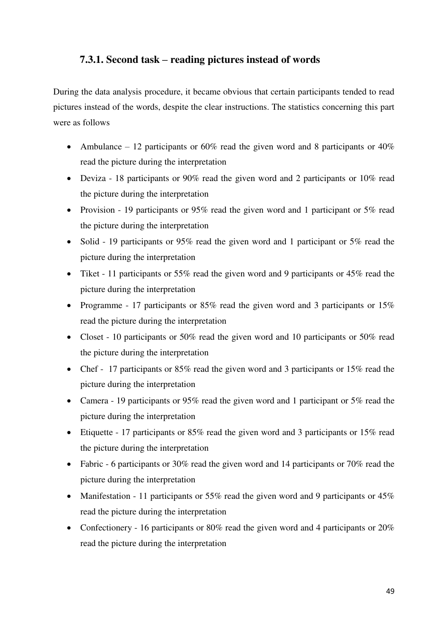## **7.3.1. Second task – reading pictures instead of words**

During the data analysis procedure, it became obvious that certain participants tended to read pictures instead of the words, despite the clear instructions. The statistics concerning this part were as follows

- Ambulance 12 participants or 60% read the given word and 8 participants or  $40\%$ read the picture during the interpretation
- Deviza 18 participants or 90% read the given word and 2 participants or 10% read the picture during the interpretation
- Provision 19 participants or 95% read the given word and 1 participant or 5% read the picture during the interpretation
- Solid 19 participants or 95% read the given word and 1 participant or 5% read the picture during the interpretation
- Tiket 11 participants or 55% read the given word and 9 participants or 45% read the picture during the interpretation
- Programme 17 participants or 85% read the given word and 3 participants or 15% read the picture during the interpretation
- Closet 10 participants or 50% read the given word and 10 participants or 50% read the picture during the interpretation
- Chef 17 participants or 85% read the given word and 3 participants or 15% read the picture during the interpretation
- Camera 19 participants or 95% read the given word and 1 participant or 5% read the picture during the interpretation
- Etiquette 17 participants or  $85\%$  read the given word and 3 participants or 15% read the picture during the interpretation
- Fabric 6 participants or 30% read the given word and 14 participants or 70% read the picture during the interpretation
- Manifestation 11 participants or 55% read the given word and 9 participants or 45% read the picture during the interpretation
- Confectionery 16 participants or 80% read the given word and 4 participants or 20% read the picture during the interpretation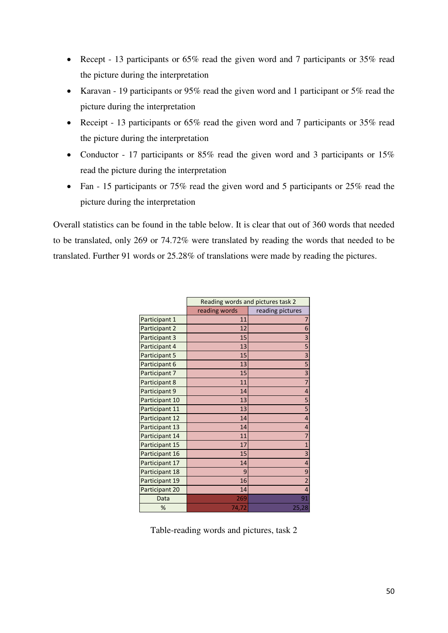- Recept 13 participants or 65% read the given word and 7 participants or 35% read the picture during the interpretation
- Karavan 19 participants or 95% read the given word and 1 participant or 5% read the picture during the interpretation
- Receipt 13 participants or 65% read the given word and 7 participants or 35% read the picture during the interpretation
- Conductor 17 participants or 85% read the given word and 3 participants or 15% read the picture during the interpretation
- Fan 15 participants or 75% read the given word and 5 participants or 25% read the picture during the interpretation

Overall statistics can be found in the table below. It is clear that out of 360 words that needed to be translated, only 269 or 74.72% were translated by reading the words that needed to be translated. Further 91 words or 25.28% of translations were made by reading the pictures.

|                |               | Reading words and pictures task 2 |
|----------------|---------------|-----------------------------------|
|                | reading words | reading pictures                  |
| Participant 1  | 11            | 7                                 |
| Participant 2  | 12            | 6                                 |
| Participant 3  | 15            | 3                                 |
| Participant 4  | 13            | 5                                 |
| Participant 5  | 15            | $\overline{\mathbf{3}}$           |
| Participant 6  | 13            | 5                                 |
| Participant 7  | 15            | 3                                 |
| Participant 8  | 11            | $\overline{7}$                    |
| Participant 9  | 14            | $\overline{4}$                    |
| Participant 10 | 13            | 5                                 |
| Participant 11 | 13            | 5                                 |
| Participant 12 | 14            | $\overline{4}$                    |
| Participant 13 | 14            | $\overline{4}$                    |
| Participant 14 | 11            | $\overline{7}$                    |
| Participant 15 | 17            | $\overline{1}$                    |
| Participant 16 | 15            | 3                                 |
| Participant 17 | 14            | $\overline{4}$                    |
| Participant 18 | 9             | 9                                 |
| Participant 19 | 16            | $\overline{2}$                    |
| Participant 20 | 14            | $\overline{4}$                    |
| Data           | 269           | 91                                |
| %              | 74,72         | 25,28                             |

Table-reading words and pictures, task 2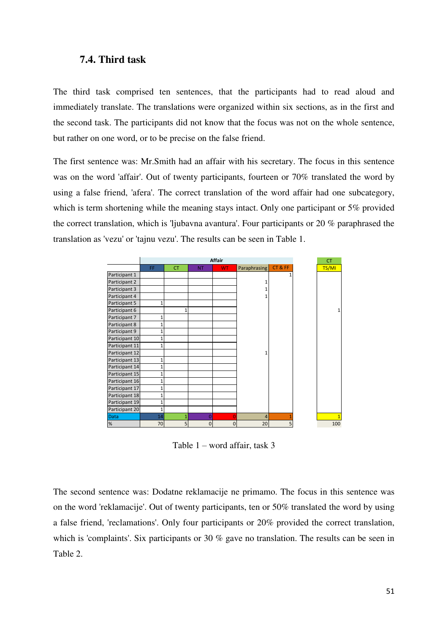#### **7.4. Third task**

The third task comprised ten sentences, that the participants had to read aloud and immediately translate. The translations were organized within six sections, as in the first and the second task. The participants did not know that the focus was not on the whole sentence, but rather on one word, or to be precise on the false friend.

The first sentence was: Mr.Smith had an affair with his secretary. The focus in this sentence was on the word 'affair'. Out of twenty participants, fourteen or 70% translated the word by using a false friend, 'afera'. The correct translation of the word affair had one subcategory, which is term shortening while the meaning stays intact. Only one participant or 5% provided the correct translation, which is 'ljubavna avantura'. Four participants or 20 % paraphrased the translation as 'vezu' or 'tajnu vezu'. The results can be seen in Table 1.



Table 1 – word affair, task 3

The second sentence was: Dodatne reklamacije ne primamo. The focus in this sentence was on the word 'reklamacije'. Out of twenty participants, ten or 50% translated the word by using a false friend, 'reclamations'. Only four participants or 20% provided the correct translation, which is 'complaints'. Six participants or 30 % gave no translation. The results can be seen in Table 2.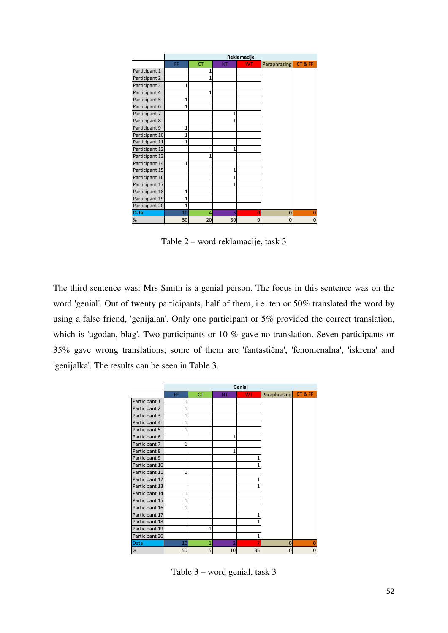|                | Reklamacije    |              |                 |                |                |       |
|----------------|----------------|--------------|-----------------|----------------|----------------|-------|
|                | FF             | <b>CT</b>    | <b>NT</b>       | <b>WT</b>      | Paraphrasing   | CT&FF |
| Participant 1  |                | 1            |                 |                |                |       |
| Participant 2  |                | 1            |                 |                |                |       |
| Participant 3  | 1              |              |                 |                |                |       |
| Participant 4  |                | 1            |                 |                |                |       |
| Participant 5  | 1              |              |                 |                |                |       |
| Participant 6  | $\overline{1}$ |              |                 |                |                |       |
| Participant 7  |                |              | 1               |                |                |       |
| Participant 8  |                |              |                 |                |                |       |
| Participant 9  | 1              |              |                 |                |                |       |
| Participant 10 | 1              |              |                 |                |                |       |
| Participant 11 | 1              |              |                 |                |                |       |
| Participant 12 |                |              | 1               |                |                |       |
| Participant 13 |                | $\mathbf{1}$ |                 |                |                |       |
| Participant 14 | 1              |              |                 |                |                |       |
| Participant 15 |                |              | 1               |                |                |       |
| Participant 16 |                |              | 1               |                |                |       |
| Participant 17 |                |              |                 |                |                |       |
| Participant 18 | 1              |              |                 |                |                |       |
| Participant 19 | 1              |              |                 |                |                |       |
| Participant 20 | $\overline{1}$ |              |                 |                |                |       |
| <b>Data</b>    | 10             | 4            | 6               | $\overline{0}$ | $\overline{0}$ |       |
| %              | 50             | 20           | 30 <sup>2</sup> | 0              | $\Omega$       | 0     |

Table 2 – word reklamacije, task 3

The third sentence was: Mrs Smith is a genial person. The focus in this sentence was on the word 'genial'. Out of twenty participants, half of them, i.e. ten or 50% translated the word by using a false friend, 'genijalan'. Only one participant or 5% provided the correct translation, which is 'ugodan, blag'. Two participants or 10 % gave no translation. Seven participants or 35% gave wrong translations, some of them are 'fantastična', 'fenomenalna', 'iskrena' and 'genijalka'. The results can be seen in Table 3.

|                |              |                |                | Genial    |                     |       |
|----------------|--------------|----------------|----------------|-----------|---------------------|-------|
|                | FF           | <b>CT</b>      | <b>NT</b>      | <b>WT</b> | <b>Paraphrasing</b> | CT&FF |
| Participant 1  | 1            |                |                |           |                     |       |
| Participant 2  | 1            |                |                |           |                     |       |
| Participant 3  | 1            |                |                |           |                     |       |
| Participant 4  | 1            |                |                |           |                     |       |
| Participant 5  | 1            |                |                |           |                     |       |
| Participant 6  |              |                | 1              |           |                     |       |
| Participant 7  | 1            |                |                |           |                     |       |
| Participant 8  |              |                | 1              |           |                     |       |
| Participant 9  |              |                |                | 1         |                     |       |
| Participant 10 |              |                |                | 1         |                     |       |
| Participant 11 | 1            |                |                |           |                     |       |
| Participant 12 |              |                |                | 1         |                     |       |
| Participant 13 |              |                |                | 1         |                     |       |
| Participant 14 | $\mathbf{1}$ |                |                |           |                     |       |
| Participant 15 | $\mathbf{1}$ |                |                |           |                     |       |
| Participant 16 | $\mathbf{1}$ |                |                |           |                     |       |
| Participant 17 |              |                |                | 1         |                     |       |
| Participant 18 |              |                |                | 1         |                     |       |
| Participant 19 |              | 1              |                |           |                     |       |
| Participant 20 |              |                |                | 1         |                     |       |
| <b>Data</b>    | 10           | $\overline{1}$ | $\overline{2}$ | 7         | $\overline{0}$      |       |
| $\%$           | 50           | 5              | 10             | 35        | $\Omega$            | 0     |

Table 3 – word genial, task 3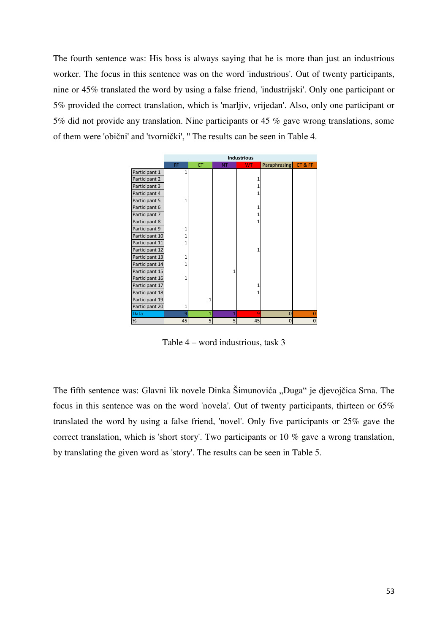The fourth sentence was: His boss is always saying that he is more than just an industrious worker. The focus in this sentence was on the word 'industrious'. Out of twenty participants, nine or 45% translated the word by using a false friend, 'industrijski'. Only one participant or 5% provided the correct translation, which is 'marljiv, vrijedan'. Also, only one participant or 5% did not provide any translation. Nine participants or 45 % gave wrong translations, some of them were 'obični' and 'tvornički', '' The results can be seen in Table 4.

|                |              |           |           | <b>Industrious</b> |                     |             |
|----------------|--------------|-----------|-----------|--------------------|---------------------|-------------|
|                | FF           | <b>CT</b> | <b>NT</b> | <b>WT</b>          | <b>Paraphrasing</b> | CT&FF       |
| Participant 1  | $\mathbf{1}$ |           |           |                    |                     |             |
| Participant 2  |              |           |           | 1                  |                     |             |
| Participant 3  |              |           |           |                    |                     |             |
| Participant 4  |              |           |           |                    |                     |             |
| Participant 5  | 1            |           |           |                    |                     |             |
| Participant 6  |              |           |           |                    |                     |             |
| Participant 7  |              |           |           |                    |                     |             |
| Participant 8  |              |           |           |                    |                     |             |
| Participant 9  | 1            |           |           |                    |                     |             |
| Participant 10 |              |           |           |                    |                     |             |
| Participant 11 | 1            |           |           |                    |                     |             |
| Participant 12 |              |           |           |                    |                     |             |
| Participant 13 | 1            |           |           |                    |                     |             |
| Participant 14 | 1            |           |           |                    |                     |             |
| Participant 15 |              |           |           |                    |                     |             |
| Participant 16 | 1            |           |           |                    |                     |             |
| Participant 17 |              |           |           |                    |                     |             |
| Participant 18 |              |           |           |                    |                     |             |
| Participant 19 |              | 1         |           |                    |                     |             |
| Participant 20 | 1            |           |           |                    |                     |             |
| <b>Data</b>    | 9            | 1         |           | 9                  | 0                   |             |
| %              | 45           | 5         | 5         | 45                 | 0                   | $\mathbf 0$ |

Table 4 – word industrious, task 3

The fifth sentence was: Glavni lik novele Dinka Šimunovića "Duga" je djevojčica Srna. The focus in this sentence was on the word 'novela'. Out of twenty participants, thirteen or 65% translated the word by using a false friend, 'novel'. Only five participants or 25% gave the correct translation, which is 'short story'. Two participants or 10 % gave a wrong translation, by translating the given word as 'story'. The results can be seen in Table 5.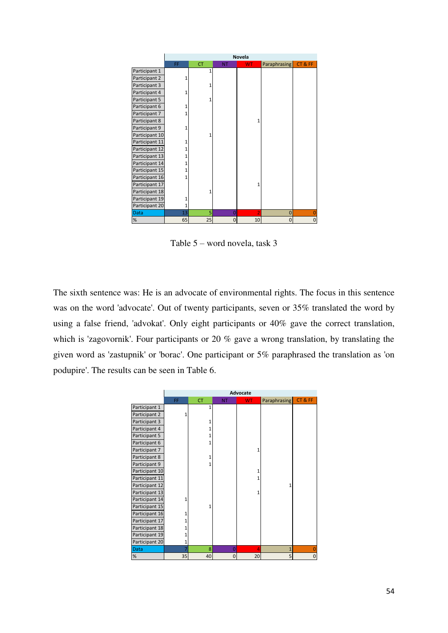|                |    |           |             | Novela    |                |       |
|----------------|----|-----------|-------------|-----------|----------------|-------|
|                | FF | <b>CT</b> | <b>NT</b>   | <b>WT</b> | Paraphrasing   | CT&FF |
| Participant 1  |    | 1         |             |           |                |       |
| Participant 2  | 1  |           |             |           |                |       |
| Participant 3  |    | 1         |             |           |                |       |
| Participant 4  | 1  |           |             |           |                |       |
| Participant 5  |    | 1         |             |           |                |       |
| Participant 6  | 1  |           |             |           |                |       |
| Participant 7  |    |           |             |           |                |       |
| Participant 8  |    |           |             |           |                |       |
| Participant 9  | 1  |           |             |           |                |       |
| Participant 10 |    |           |             |           |                |       |
| Participant 11 |    |           |             |           |                |       |
| Participant 12 |    |           |             |           |                |       |
| Participant 13 | 1  |           |             |           |                |       |
| Participant 14 | 1  |           |             |           |                |       |
| Participant 15 |    |           |             |           |                |       |
| Participant 16 |    |           |             |           |                |       |
| Participant 17 |    |           |             |           |                |       |
| Participant 18 |    | 1         |             |           |                |       |
| Participant 19 | 1  |           |             |           |                |       |
| Participant 20 | 1  |           |             |           |                |       |
| Data           | 13 | 5         | 0           | 2         | $\overline{0}$ |       |
| %              | 65 | 25        | $\mathbf 0$ | 10        | $\mathbf 0$    | 0     |

Table 5 – word novela, task 3

The sixth sentence was: He is an advocate of environmental rights. The focus in this sentence was on the word 'advocate'. Out of twenty participants, seven or 35% translated the word by using a false friend, 'advokat'. Only eight participants or 40% gave the correct translation, which is 'zagovornik'. Four participants or 20 % gave a wrong translation, by translating the given word as 'zastupnik' or 'borac'. One participant or 5% paraphrased the translation as 'on podupire'. The results can be seen in Table 6.

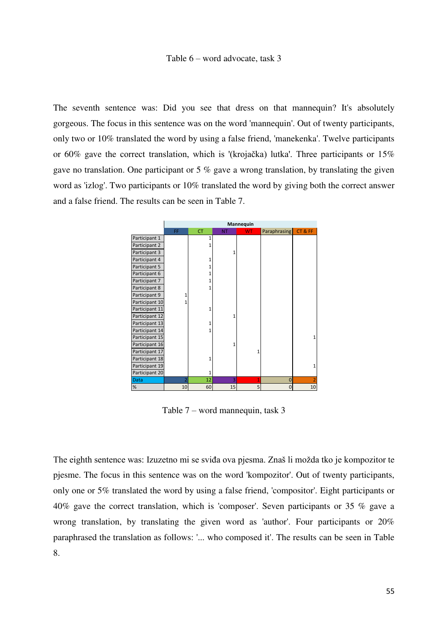#### Table 6 – word advocate, task 3

The seventh sentence was: Did you see that dress on that mannequin? It's absolutely gorgeous. The focus in this sentence was on the word 'mannequin'. Out of twenty participants, only two or 10% translated the word by using a false friend, 'manekenka'. Twelve participants or 60% gave the correct translation, which is '(krojačka) lutka'. Three participants or 15% gave no translation. One participant or 5 % gave a wrong translation, by translating the given word as 'izlog'. Two participants or 10% translated the word by giving both the correct answer and a false friend. The results can be seen in Table 7.



Table 7 – word mannequin, task 3

The eighth sentence was: Izuzetno mi se sviđa ova pjesma. Znaš li možda tko je kompozitor te pjesme. The focus in this sentence was on the word 'kompozitor'. Out of twenty participants, only one or 5% translated the word by using a false friend, 'compositor'. Eight participants or 40% gave the correct translation, which is 'composer'. Seven participants or 35 % gave a wrong translation, by translating the given word as 'author'. Four participants or 20% paraphrased the translation as follows: '... who composed it'. The results can be seen in Table 8.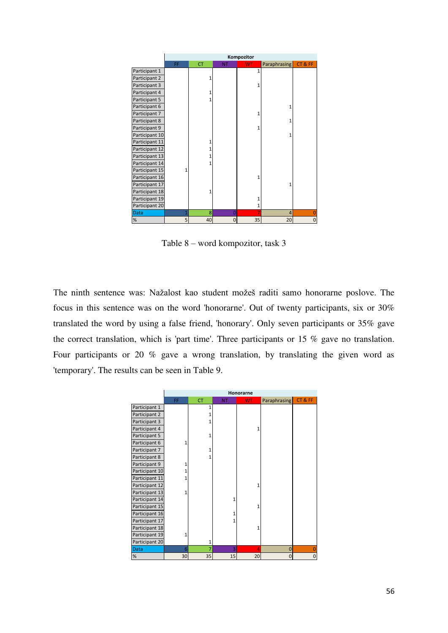|                | Kompozitor |           |           |              |                |       |
|----------------|------------|-----------|-----------|--------------|----------------|-------|
|                | FF         | <b>CT</b> | <b>NT</b> | <b>WT</b>    | Paraphrasing   | CT&FF |
| Participant 1  |            |           |           | 1            |                |       |
| Participant 2  |            | 1         |           |              |                |       |
| Participant 3  |            |           |           |              |                |       |
| Participant 4  |            | 1         |           |              |                |       |
| Participant 5  |            | 1         |           |              |                |       |
| Participant 6  |            |           |           |              | 1              |       |
| Participant 7  |            |           |           |              |                |       |
| Participant 8  |            |           |           |              | 1              |       |
| Participant 9  |            |           |           |              |                |       |
| Participant 10 |            |           |           |              | 1              |       |
| Participant 11 |            | 1         |           |              |                |       |
| Participant 12 |            | 1         |           |              |                |       |
| Participant 13 |            | 1         |           |              |                |       |
| Participant 14 |            | 1         |           |              |                |       |
| Participant 15 | 1          |           |           |              |                |       |
| Participant 16 |            |           |           | 1            |                |       |
| Participant 17 |            |           |           |              | 1              |       |
| Participant 18 |            | 1         |           |              |                |       |
| Participant 19 |            |           |           | 1            |                |       |
| Participant 20 |            |           |           | $\mathbf{1}$ |                |       |
| <b>Data</b>    |            | 8         | $\Omega$  | 7            | $\overline{4}$ |       |
| %              | 5          | 40        | $\Omega$  | 35           | 20             | 0     |

Table 8 – word kompozitor, task 3

The ninth sentence was: Nažalost kao student možeš raditi samo honorarne poslove. The focus in this sentence was on the word 'honorarne'. Out of twenty participants, six or 30% translated the word by using a false friend, 'honorary'. Only seven participants or 35% gave the correct translation, which is 'part time'. Three participants or 15 % gave no translation. Four participants or 20 % gave a wrong translation, by translating the given word as 'temporary'. The results can be seen in Table 9.

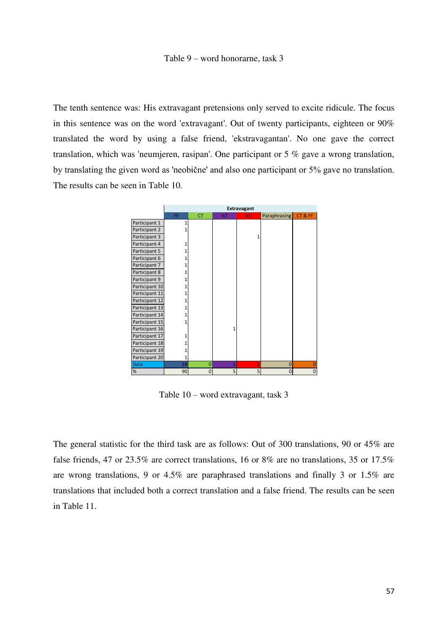#### Table 9 – word honorarne, task 3

The tenth sentence was: His extravagant pretensions only served to excite ridicule. The focus in this sentence was on the word 'extravagant'. Out of twenty participants, eighteen or 90% translated the word by using a false friend, 'ekstravagantan'. No one gave the correct translation, which was 'neumjeren, rasipan'. One participant or 5 % gave a wrong translation, by translating the given word as 'neobične' and also one participant or 5% gave no translation. The results can be seen in Table 10.



Table 10 – word extravagant, task 3

The general statistic for the third task are as follows: Out of 300 translations, 90 or 45% are false friends, 47 or 23.5% are correct translations, 16 or 8% are no translations, 35 or 17.5% are wrong translations, 9 or 4.5% are paraphrased translations and finally 3 or 1.5% are translations that included both a correct translation and a false friend. The results can be seen in Table 11.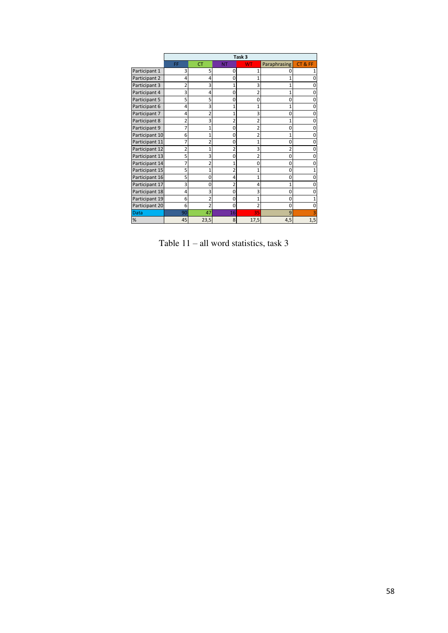|                | Task <sub>3</sub> |                |                |                |                |          |
|----------------|-------------------|----------------|----------------|----------------|----------------|----------|
|                | FF                | <b>CT</b>      | <b>NT</b>      | <b>WT</b>      | Paraphrasing   | CT&FF    |
| Participant 1  | 3                 | 5              | 0              |                |                |          |
| Participant 2  | 4                 | 4              | $\Omega$       |                |                |          |
| Participant 3  | $\overline{2}$    | 3              | $\overline{1}$ | 3              | 1              |          |
| Participant 4  | 3                 | 4              | $\mathbf 0$    | $\overline{2}$ | 1              | $\Omega$ |
| Participant 5  | 5                 | 5              | $\mathbf 0$    | 0              | 0              | $\Omega$ |
| Participant 6  | 4                 | 3              | 1              |                | 1              | $\Omega$ |
| Participant 7  | 4                 | $\overline{2}$ | 1              | 3              | $\Omega$       | $\Omega$ |
| Participant 8  | $\overline{2}$    | 3              | 2              |                | 1              | 0        |
| Participant 9  | 7                 | 1              | 0              | 2              | 0              | $\Omega$ |
| Participant 10 | 6                 | 1              | $\mathbf 0$    |                | 1              | 0        |
| Participant 11 | 7                 | $\overline{2}$ | 0              | 1              | 0              | $\Omega$ |
| Participant 12 | $\overline{2}$    | 1              | $\overline{2}$ | 3              | $\overline{2}$ | $\Omega$ |
| Participant 13 | 5                 | 3              | $\Omega$       | 2              | $\Omega$       | $\Omega$ |
| Participant 14 | 7                 | $\overline{2}$ | $\overline{1}$ | 0              | $\Omega$       | O        |
| Participant 15 | 5                 | 1              | $\overline{2}$ |                | 0              |          |
| Participant 16 | 5                 | 0              | 4              | 1              | 0              | $\Omega$ |
| Participant 17 | 3                 | 0              | $\overline{2}$ | 4              | 1              | $\Omega$ |
| Participant 18 | 4                 | 3              | $\mathbf 0$    | 3              | 0              | $\Omega$ |
| Participant 19 | 6                 | $\overline{2}$ | $\mathbf 0$    | 1              | 0              |          |
| Participant 20 | 6                 | $\overline{2}$ | $\mathbf 0$    | $\overline{2}$ | $\Omega$       | $\Omega$ |
| <b>Data</b>    | 90                | 47             | 16             | 35             | 9              |          |
| %              | 45                | 23,5           | 8              | 17,5           | 4,5            | 1,5      |

Table 11 – all word statistics, task 3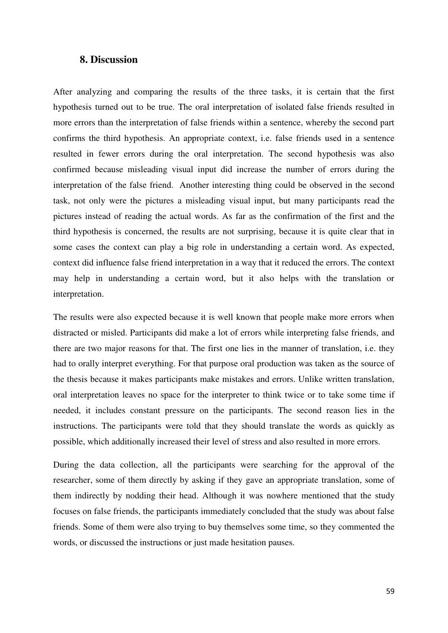### **8. Discussion**

After analyzing and comparing the results of the three tasks, it is certain that the first hypothesis turned out to be true. The oral interpretation of isolated false friends resulted in more errors than the interpretation of false friends within a sentence, whereby the second part confirms the third hypothesis. An appropriate context, i.e. false friends used in a sentence resulted in fewer errors during the oral interpretation. The second hypothesis was also confirmed because misleading visual input did increase the number of errors during the interpretation of the false friend. Another interesting thing could be observed in the second task, not only were the pictures a misleading visual input, but many participants read the pictures instead of reading the actual words. As far as the confirmation of the first and the third hypothesis is concerned, the results are not surprising, because it is quite clear that in some cases the context can play a big role in understanding a certain word. As expected, context did influence false friend interpretation in a way that it reduced the errors. The context may help in understanding a certain word, but it also helps with the translation or interpretation.

The results were also expected because it is well known that people make more errors when distracted or misled. Participants did make a lot of errors while interpreting false friends, and there are two major reasons for that. The first one lies in the manner of translation, i.e. they had to orally interpret everything. For that purpose oral production was taken as the source of the thesis because it makes participants make mistakes and errors. Unlike written translation, oral interpretation leaves no space for the interpreter to think twice or to take some time if needed, it includes constant pressure on the participants. The second reason lies in the instructions. The participants were told that they should translate the words as quickly as possible, which additionally increased their level of stress and also resulted in more errors.

During the data collection, all the participants were searching for the approval of the researcher, some of them directly by asking if they gave an appropriate translation, some of them indirectly by nodding their head. Although it was nowhere mentioned that the study focuses on false friends, the participants immediately concluded that the study was about false friends. Some of them were also trying to buy themselves some time, so they commented the words, or discussed the instructions or just made hesitation pauses.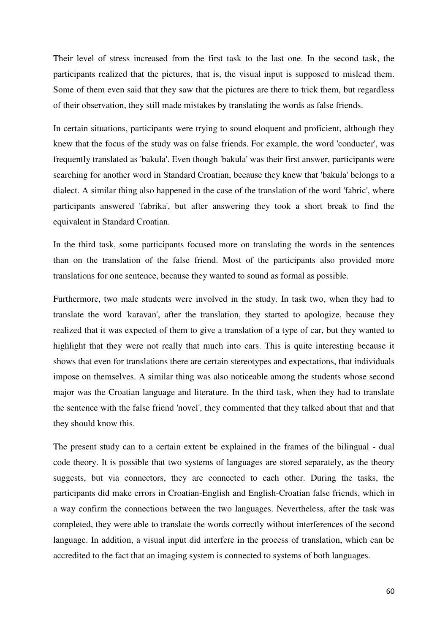Their level of stress increased from the first task to the last one. In the second task, the participants realized that the pictures, that is, the visual input is supposed to mislead them. Some of them even said that they saw that the pictures are there to trick them, but regardless of their observation, they still made mistakes by translating the words as false friends.

In certain situations, participants were trying to sound eloquent and proficient, although they knew that the focus of the study was on false friends. For example, the word 'conducter', was frequently translated as 'bakula'. Even though 'bakula' was their first answer, participants were searching for another word in Standard Croatian, because they knew that 'bakula' belongs to a dialect. A similar thing also happened in the case of the translation of the word 'fabric', where participants answered 'fabrika', but after answering they took a short break to find the equivalent in Standard Croatian.

In the third task, some participants focused more on translating the words in the sentences than on the translation of the false friend. Most of the participants also provided more translations for one sentence, because they wanted to sound as formal as possible.

Furthermore, two male students were involved in the study. In task two, when they had to translate the word 'karavan', after the translation, they started to apologize, because they realized that it was expected of them to give a translation of a type of car, but they wanted to highlight that they were not really that much into cars. This is quite interesting because it shows that even for translations there are certain stereotypes and expectations, that individuals impose on themselves. A similar thing was also noticeable among the students whose second major was the Croatian language and literature. In the third task, when they had to translate the sentence with the false friend 'novel', they commented that they talked about that and that they should know this.

The present study can to a certain extent be explained in the frames of the bilingual - dual code theory. It is possible that two systems of languages are stored separately, as the theory suggests, but via connectors, they are connected to each other. During the tasks, the participants did make errors in Croatian-English and English-Croatian false friends, which in a way confirm the connections between the two languages. Nevertheless, after the task was completed, they were able to translate the words correctly without interferences of the second language. In addition, a visual input did interfere in the process of translation, which can be accredited to the fact that an imaging system is connected to systems of both languages.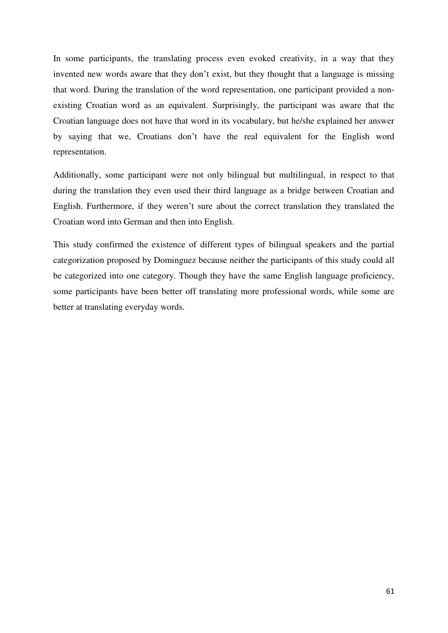In some participants, the translating process even evoked creativity, in a way that they invented new words aware that they don't exist, but they thought that a language is missing that word. During the translation of the word representation, one participant provided a nonexisting Croatian word as an equivalent. Surprisingly, the participant was aware that the Croatian language does not have that word in its vocabulary, but he/she explained her answer by saying that we, Croatians don't have the real equivalent for the English word representation.

Additionally, some participant were not only bilingual but multilingual, in respect to that during the translation they even used their third language as a bridge between Croatian and English. Furthermore, if they weren't sure about the correct translation they translated the Croatian word into German and then into English.

This study confirmed the existence of different types of bilingual speakers and the partial categorization proposed by Dominguez because neither the participants of this study could all be categorized into one category. Though they have the same English language proficiency, some participants have been better off translating more professional words, while some are better at translating everyday words.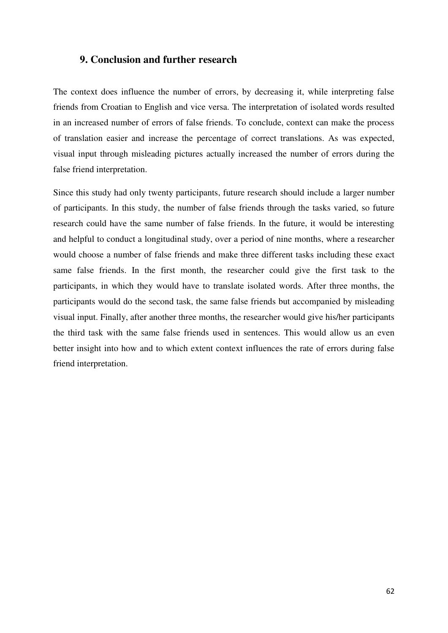#### **9. Conclusion and further research**

The context does influence the number of errors, by decreasing it, while interpreting false friends from Croatian to English and vice versa. The interpretation of isolated words resulted in an increased number of errors of false friends. To conclude, context can make the process of translation easier and increase the percentage of correct translations. As was expected, visual input through misleading pictures actually increased the number of errors during the false friend interpretation.

Since this study had only twenty participants, future research should include a larger number of participants. In this study, the number of false friends through the tasks varied, so future research could have the same number of false friends. In the future, it would be interesting and helpful to conduct a longitudinal study, over a period of nine months, where a researcher would choose a number of false friends and make three different tasks including these exact same false friends. In the first month, the researcher could give the first task to the participants, in which they would have to translate isolated words. After three months, the participants would do the second task, the same false friends but accompanied by misleading visual input. Finally, after another three months, the researcher would give his/her participants the third task with the same false friends used in sentences. This would allow us an even better insight into how and to which extent context influences the rate of errors during false friend interpretation.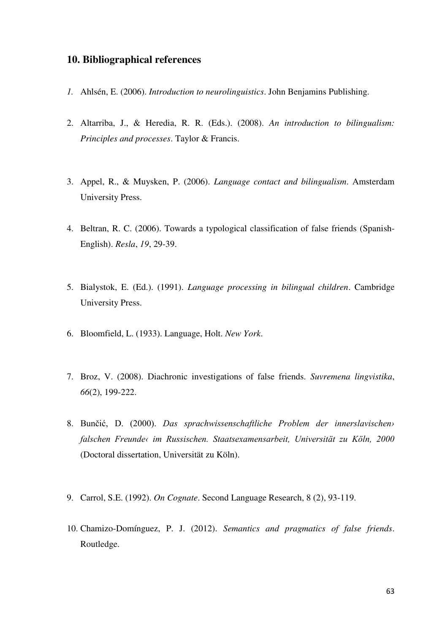### **10. Bibliographical references**

- *1.* Ahlsén, E. (2006). *Introduction to neurolinguistics*. John Benjamins Publishing.
- 2. Altarriba, J., & Heredia, R. R. (Eds.). (2008). *An introduction to bilingualism: Principles and processes*. Taylor & Francis.
- 3. Appel, R., & Muysken, P. (2006). *Language contact and bilingualism*. Amsterdam University Press.
- 4. Beltran, R. C. (2006). Towards a typological classification of false friends (Spanish-English). *Resla*, *19*, 29-39.
- 5. Bialystok, E. (Ed.). (1991). *Language processing in bilingual children*. Cambridge University Press.
- 6. Bloomfield, L. (1933). Language, Holt. *New York*.
- 7. Broz, V. (2008). Diachronic investigations of false friends. *Suvremena lingvistika*, *66*(2), 199-222.
- 8. Bunčić, D. (2000). *Das sprachwissenschaftliche Problem der innerslavischen› falschen Freunde‹ im Russischen. Staatsexamensarbeit, Universität zu Köln, 2000* (Doctoral dissertation, Universität zu Köln).
- 9. Carrol, S.E. (1992). *On Cognate*. Second Language Research, 8 (2), 93-119.
- 10. Chamizo-Domínguez, P. J. (2012). *Semantics and pragmatics of false friends*. Routledge.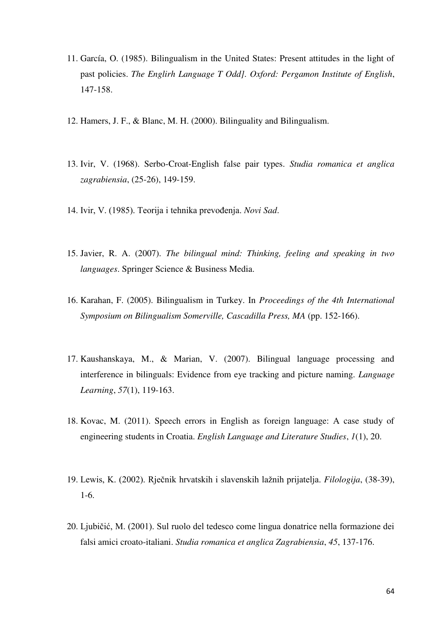- 11. García, O. (1985). Bilingualism in the United States: Present attitudes in the light of past policies. *The Englirh Language T Odd]. Oxford: Pergamon Institute of English*, 147-158.
- 12. Hamers, J. F., & Blanc, M. H. (2000). Bilinguality and Bilingualism.
- 13. Ivir, V. (1968). Serbo-Croat-English false pair types. *Studia romanica et anglica zagrabiensia*, (25-26), 149-159.
- 14. Ivir, V. (1985). Teorija i tehnika prevođenja. *Novi Sad*.
- 15. Javier, R. A. (2007). *The bilingual mind: Thinking, feeling and speaking in two languages*. Springer Science & Business Media.
- 16. Karahan, F. (2005). Bilingualism in Turkey. In *Proceedings of the 4th International Symposium on Bilingualism Somerville, Cascadilla Press, MA* (pp. 152-166).
- 17. Kaushanskaya, M., & Marian, V. (2007). Bilingual language processing and interference in bilinguals: Evidence from eye tracking and picture naming. *Language Learning*, *57*(1), 119-163.
- 18. Kovac, M. (2011). Speech errors in English as foreign language: A case study of engineering students in Croatia. *English Language and Literature Studies*, *1*(1), 20.
- 19. Lewis, K. (2002). Rječnik hrvatskih i slavenskih lažnih prijatelja. *Filologija*, (38-39), 1-6.
- 20. Ljubičić, M. (2001). Sul ruolo del tedesco come lingua donatrice nella formazione dei falsi amici croato-italiani. *Studia romanica et anglica Zagrabiensia*, *45*, 137-176.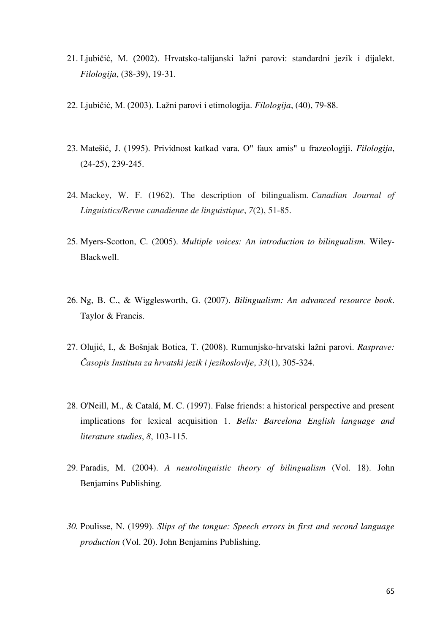- 21. Ljubičić, M. (2002). Hrvatsko-talijanski lažni parovi: standardni jezik i dijalekt. *Filologija*, (38-39), 19-31.
- 22. Ljubičić, M. (2003). Lažni parovi i etimologija. *Filologija*, (40), 79-88.
- 23. Matešić, J. (1995). Prividnost katkad vara. O" faux amis" u frazeologiji. *Filologija*, (24-25), 239-245.
- 24. Mackey, W. F. (1962). The description of bilingualism. *Canadian Journal of Linguistics/Revue canadienne de linguistique*, *7*(2), 51-85.
- 25. Myers-Scotton, C. (2005). *Multiple voices: An introduction to bilingualism*. Wiley-Blackwell.
- 26. Ng, B. C., & Wigglesworth, G. (2007). *Bilingualism: An advanced resource book*. Taylor & Francis.
- 27. Olujić, I., & Bošnjak Botica, T. (2008). Rumunjsko-hrvatski lažni parovi. *Rasprave: Časopis Instituta za hrvatski jezik i jezikoslovlje*, *33*(1), 305-324.
- 28. O'Neill, M., & Catalá, M. C. (1997). False friends: a historical perspective and present implications for lexical acquisition 1. *Bells: Barcelona English language and literature studies*, *8*, 103-115.
- 29. Paradis, M. (2004). *A neurolinguistic theory of bilingualism* (Vol. 18). John Benjamins Publishing.
- *30.* Poulisse, N. (1999). *Slips of the tongue: Speech errors in first and second language production* (Vol. 20). John Benjamins Publishing.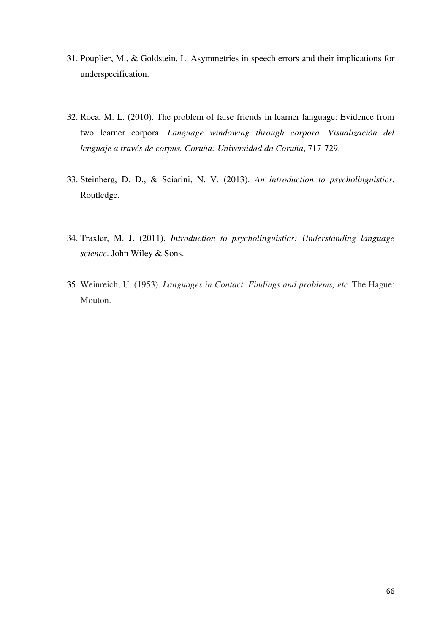- 31. Pouplier, M., & Goldstein, L. Asymmetries in speech errors and their implications for underspecification.
- 32. Roca, M. L. (2010). The problem of false friends in learner language: Evidence from two learner corpora. *Language windowing through corpora. Visualización del lenguaje a través de corpus. Coruña: Universidad da Coruña*, 717-729.
- 33. Steinberg, D. D., & Sciarini, N. V. (2013). *An introduction to psycholinguistics*. Routledge.
- 34. Traxler, M. J. (2011). *Introduction to psycholinguistics: Understanding language science*. John Wiley & Sons.
- 35. Weinreich, U. (1953). *Languages in Contact. Findings and problems, etc*. The Hague: Mouton.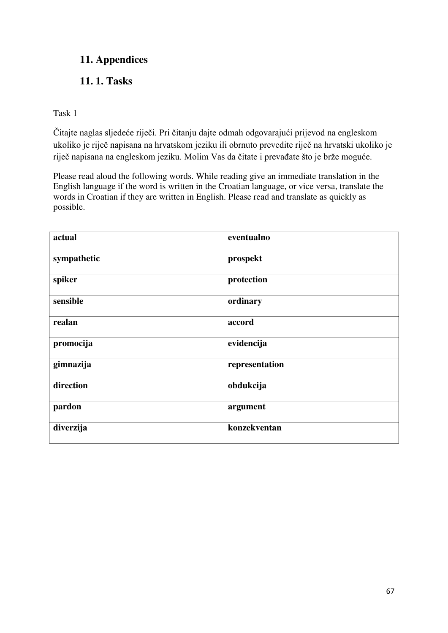# **11. Appendices**

# **11. 1. Tasks**

Task 1

Čitajte naglas sljedeće riječi. Pri čitanju dajte odmah odgovarajući prijevod na engleskom ukoliko je riječ napisana na hrvatskom jeziku ili obrnuto prevedite riječ na hrvatski ukoliko je riječ napisana na engleskom jeziku. Molim Vas da čitate i prevađate što je brže moguće.

Please read aloud the following words. While reading give an immediate translation in the English language if the word is written in the Croatian language, or vice versa, translate the words in Croatian if they are written in English. Please read and translate as quickly as possible.

| actual      | eventualno     |
|-------------|----------------|
| sympathetic | prospekt       |
| spiker      | protection     |
| sensible    | ordinary       |
| realan      | accord         |
| promocija   | evidencija     |
| gimnazija   | representation |
| direction   | obdukcija      |
| pardon      | argument       |
| diverzija   | konzekventan   |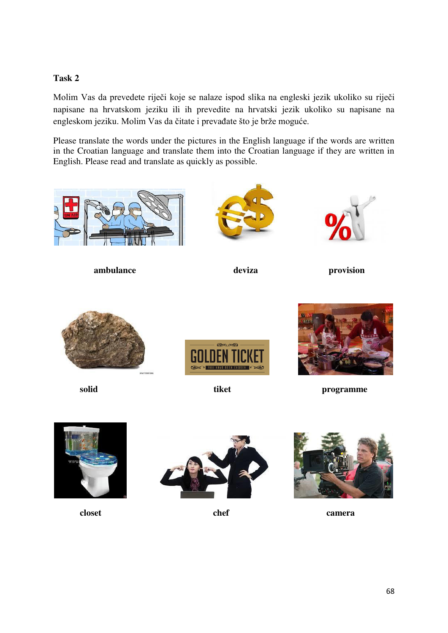### **Task 2**

Molim Vas da prevedete riječi koje se nalaze ispod slika na engleski jezik ukoliko su riječi napisane na hrvatskom jeziku ili ih prevedite na hrvatski jezik ukoliko su napisane na engleskom jeziku. Molim Vas da čitate i prevađate što je brže moguće.

Please translate the words under the pictures in the English language if the words are written in the Croatian language and translate them into the Croatian language if they are written in English. Please read and translate as quickly as possible.



**ambulance** deviza provision











**solid** tiket programme







**closet** chef camera **camera**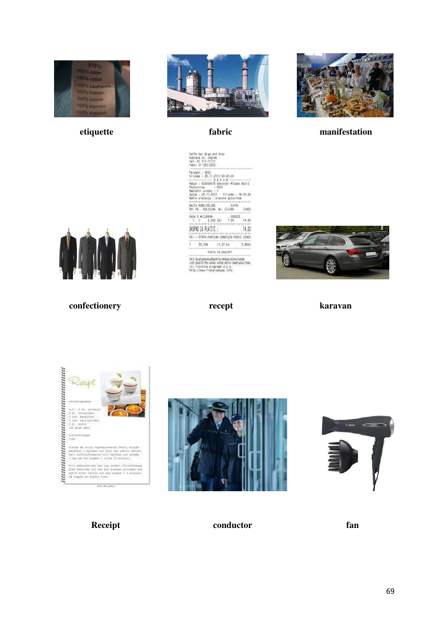





*etiquette* **etiquette etiquette etiquette etiquette etiquette etiquette etiquette etiquette etiquette etiquette etiquette etiquette etiquette etiquette etiquette etiquette etiquette eti** 



```
confectionery recept karavan
```
Caffe bar Drag and drop<br>Dubrava xx, Zagreb<br>tel: 01 111-11111<br>faks: 01 222-2222 (\* 1848)<br>1978 - Andrej China, amerikansk politik (\* 1862)<br>1980 - Andrej China, amerikansk politik (\* 1862)<br>1880 - Andrej China, amerikansk politik (\* 1865)<br>1880 - Andrej China, američki (\* 1865)<br>1880 - Andrej China, američ 









**Receipt conductor fan**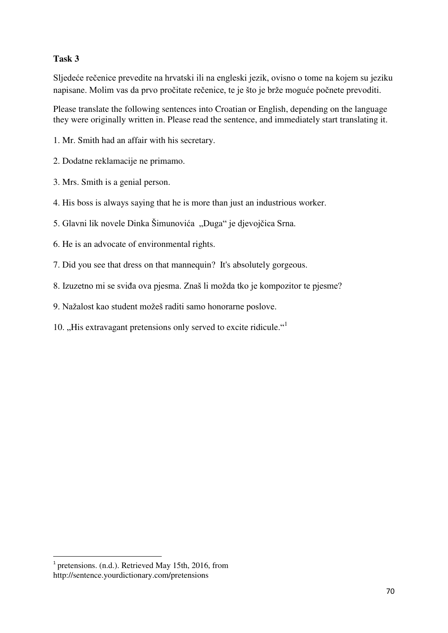### **Task 3**

Sljedeće rečenice prevedite na hrvatski ili na engleski jezik, ovisno o tome na kojem su jeziku napisane. Molim vas da prvo pročitate rečenice, te je što je brže moguće počnete prevoditi.

Please translate the following sentences into Croatian or English, depending on the language they were originally written in. Please read the sentence, and immediately start translating it.

1. Mr. Smith had an affair with his secretary.

2. Dodatne reklamacije ne primamo.

- 3. Mrs. Smith is a genial person.
- 4. His boss is always saying that he is more than just an industrious worker.
- 5. Glavni lik novele Dinka Šimunovića "Duga" je djevojčica Srna.
- 6. He is an advocate of environmental rights.
- 7. Did you see that dress on that mannequin? It's absolutely gorgeous.
- 8. Izuzetno mi se sviđa ova pjesma. Znaš li možda tko je kompozitor te pjesme?
- 9. Nažalost kao student možeš raditi samo honorarne poslove.
- 10. "His extravagant pretensions only served to excite ridicule."<sup>1</sup>

-

<sup>&</sup>lt;sup>1</sup> pretensions. (n.d.). Retrieved May 15th, 2016, from http://sentence.yourdictionary.com/pretensions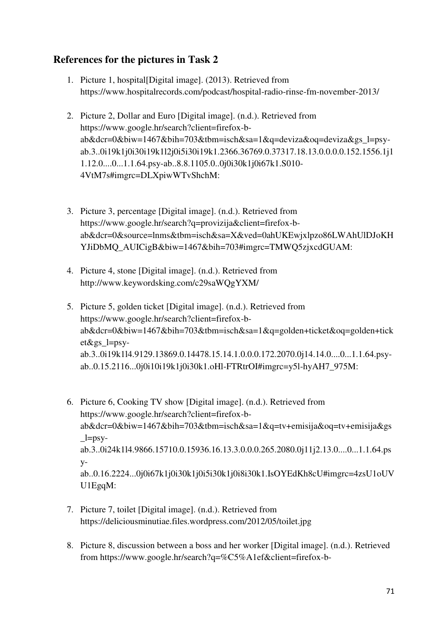## **References for the pictures in Task 2**

- 1. Picture 1, hospital[Digital image]. (2013). Retrieved from https://www.hospitalrecords.com/podcast/hospital-radio-rinse-fm-november-2013/
- 2. Picture 2, Dollar and Euro [Digital image]. (n.d.). Retrieved from https://www.google.hr/search?client=firefox-bab&dcr=0&biw=1467&bih=703&tbm=isch&sa=1&q=deviza&oq=deviza&gs\_l=psyab.3..0i19k1j0i30i19k1l2j0i5i30i19k1.2366.36769.0.37317.18.13.0.0.0.0.152.1556.1j1 1.12.0....0...1.1.64.psy-ab..8.8.1105.0..0j0i30k1j0i67k1.S010- 4VtM7s#imgrc=DLXpiwWTvShchM:
- 3. Picture 3, percentage [Digital image]. (n.d.). Retrieved from https://www.google.hr/search?q=provizija&client=firefox-bab&dcr=0&source=lnms&tbm=isch&sa=X&ved=0ahUKEwjxlpzo86LWAhUlDJoKH YJiDbMO\_AUICigB&biw=1467&bih=703#imgrc=TMWO5zjxcdGUAM:
- 4. Picture 4, stone [Digital image]. (n.d.). Retrieved from http://www.keywordsking.com/c29saWQgYXM/
- 5. Picture 5, golden ticket [Digital image]. (n.d.). Retrieved from https://www.google.hr/search?client=firefox-bab&dcr=0&biw=1467&bih=703&tbm=isch&sa=1&q=golden+ticket&oq=golden+tick et&gs\_l=psyab.3..0i19k1l4.9129.13869.0.14478.15.14.1.0.0.0.172.2070.0j14.14.0....0...1.1.64.psyab..0.15.2116...0j0i10i19k1j0i30k1.oHl-FTRtrOI#imgrc=y5l-hyAH7\_975M:
- 6. Picture 6, Cooking TV show [Digital image]. (n.d.). Retrieved from https://www.google.hr/search?client=firefox-bab&dcr=0&biw=1467&bih=703&tbm=isch&sa=1&q=tv+emisija&oq=tv+emisija&gs  $\perp$ =psyab.3..0i24k1l4.9866.15710.0.15936.16.13.3.0.0.0.265.2080.0j11j2.13.0....0...1.1.64.ps yab..0.16.2224...0j0i67k1j0i30k1j0i5i30k1j0i8i30k1.IsOYEdKh8cU#imgrc=4zsU1oUV U1EgqM:
- 7. Picture 7, toilet [Digital image]. (n.d.). Retrieved from https://deliciousminutiae.files.wordpress.com/2012/05/toilet.jpg
- 8. Picture 8, discussion between a boss and her worker [Digital image]. (n.d.). Retrieved from https://www.google.hr/search?q=%C5%A1ef&client=firefox-b-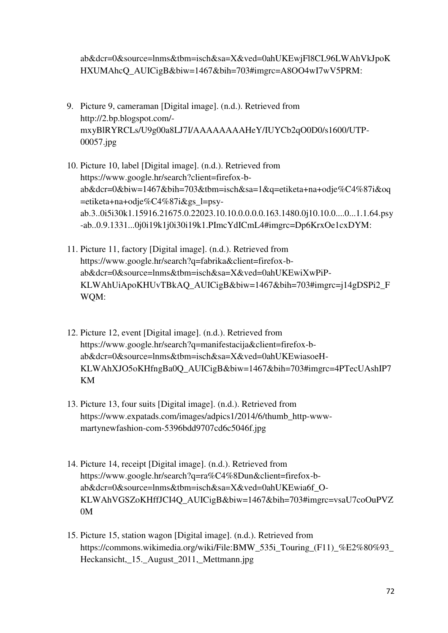ab&dcr=0&source=lnms&tbm=isch&sa=X&ved=0ahUKEwjFl8CL96LWAhVkJpoK HXUMAhcQ\_AUICigB&biw=1467&bih=703#imgrc=A8OO4wI7wV5PRM:

- 9. Picture 9, cameraman [Digital image]. (n.d.). Retrieved from http://2.bp.blogspot.com/ mxyBlRYRCLs/U9g00a8LJ7I/AAAAAAAAHeY/IUYCb2qO0D0/s1600/UTP-00057.jpg
- 10. Picture 10, label [Digital image]. (n.d.). Retrieved from https://www.google.hr/search?client=firefox-bab&dcr=0&biw=1467&bih=703&tbm=isch&sa=1&q=etiketa+na+odje%C4%87i&oq =etiketa+na+odje%C4%87i&gs\_l=psyab.3..0i5i30k1.15916.21675.0.22023.10.10.0.0.0.0.163.1480.0j10.10.0....0...1.1.64.psy -ab..0.9.1331...0j0i19k1j0i30i19k1.PImcYdICmL4#imgrc=Dp6KrxOe1cxDYM:
- 11. Picture 11, factory [Digital image]. (n.d.). Retrieved from https://www.google.hr/search?q=fabrika&client=firefox-bab&dcr=0&source=lnms&tbm=isch&sa=X&ved=0ahUKEwiXwPiP-KLWAhUiApoKHUvTBkAQ\_AUICigB&biw=1467&bih=703#imgrc=j14gDSPi2\_F WQM:
- 12. Picture 12, event [Digital image]. (n.d.). Retrieved from https://www.google.hr/search?q=manifestacija&client=firefox-bab&dcr=0&source=lnms&tbm=isch&sa=X&ved=0ahUKEwiasoeH-KLWAhXJO5oKHfngBa0Q\_AUICigB&biw=1467&bih=703#imgrc=4PTecUAshIP7 KM
- 13. Picture 13, four suits [Digital image]. (n.d.). Retrieved from https://www.expatads.com/images/adpics1/2014/6/thumb\_http-wwwmartynewfashion-com-5396bdd9707cd6c5046f.jpg
- 14. Picture 14, receipt [Digital image]. (n.d.). Retrieved from https://www.google.hr/search?q=ra%C4%8Dun&client=firefox-bab&dcr=0&source=lnms&tbm=isch&sa=X&ved=0ahUKEwia6f\_O-KLWAhVGSZoKHffJCI4Q\_AUICigB&biw=1467&bih=703#imgrc=vsaU7coOuPVZ 0M
- 15. Picture 15, station wagon [Digital image]. (n.d.). Retrieved from https://commons.wikimedia.org/wiki/File:BMW\_535i\_Touring\_(F11)\_%E2%80%93 Heckansicht,\_15.\_August\_2011,\_Mettmann.jpg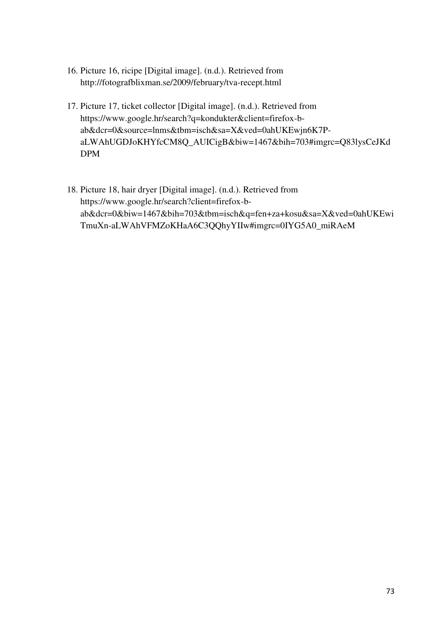- 16. Picture 16, ricipe [Digital image]. (n.d.). Retrieved from http://fotografblixman.se/2009/february/tva-recept.html
- 17. Picture 17, ticket collector [Digital image]. (n.d.). Retrieved from https://www.google.hr/search?q=kondukter&client=firefox-bab&dcr=0&source=lnms&tbm=isch&sa=X&ved=0ahUKEwjn6K7PaLWAhUGDJoKHYfcCM8Q\_AUICigB&biw=1467&bih=703#imgrc=Q83lysCeJKd DPM
- 18. Picture 18, hair dryer [Digital image]. (n.d.). Retrieved from https://www.google.hr/search?client=firefox-bab&dcr=0&biw=1467&bih=703&tbm=isch&q=fen+za+kosu&sa=X&ved=0ahUKEwi TmuXn-aLWAhVFMZoKHaA6C3QQhyYIIw#imgrc=0IYG5A0\_miRAeM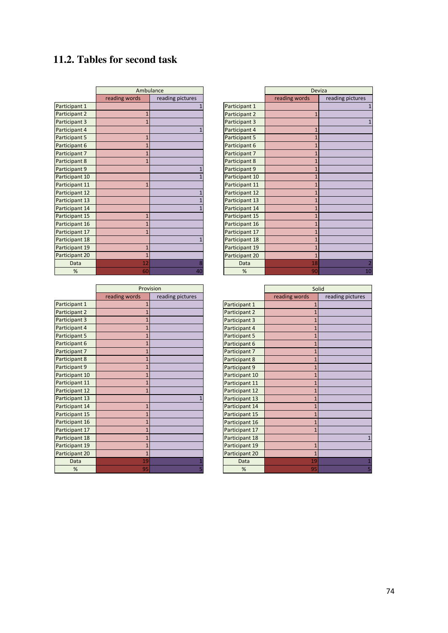# **11.2. Tables for second task**

|                | Ambulance      |                  |
|----------------|----------------|------------------|
|                | reading words  | reading pictures |
| Participant 1  |                | 1                |
| Participant 2  | $\mathbf{1}$   |                  |
| Participant 3  | $\overline{1}$ |                  |
| Participant 4  |                | $\overline{1}$   |
| Participant 5  | $\overline{1}$ |                  |
| Participant 6  | $\overline{1}$ |                  |
| Participant 7  | $\overline{1}$ |                  |
| Participant 8  | $\overline{1}$ |                  |
| Participant 9  |                | $\overline{1}$   |
| Participant 10 |                | $\overline{1}$   |
| Participant 11 | $\mathbf{1}$   |                  |
| Participant 12 |                | $\overline{1}$   |
| Participant 13 |                | $\overline{1}$   |
| Participant 14 |                | $\overline{1}$   |
| Participant 15 | $\overline{1}$ |                  |
| Participant 16 | $\overline{1}$ |                  |
| Participant 17 | $\overline{1}$ |                  |
| Participant 18 |                | $\overline{1}$   |
| Participant 19 | $\overline{1}$ |                  |
| Participant 20 | $\overline{1}$ |                  |
| Data           | 12             | 8                |
| %              | 60             | 40               |

|                | Provision      |                  |
|----------------|----------------|------------------|
|                | reading words  | reading pictures |
| Participant 1  | $\overline{1}$ |                  |
| Participant 2  | $\overline{1}$ |                  |
| Participant 3  | $\overline{1}$ |                  |
| Participant 4  | $\overline{1}$ |                  |
| Participant 5  | $\overline{1}$ |                  |
| Participant 6  | $\overline{1}$ |                  |
| Participant 7  | $\overline{1}$ |                  |
| Participant 8  | $\overline{1}$ |                  |
| Participant 9  | $\overline{1}$ |                  |
| Participant 10 | $\overline{1}$ |                  |
| Participant 11 | $\overline{1}$ |                  |
| Participant 12 | $\overline{1}$ |                  |
| Participant 13 |                | $\mathbf{1}$     |
| Participant 14 | $\overline{1}$ |                  |
| Participant 15 | $\overline{1}$ |                  |
| Participant 16 | $\overline{1}$ |                  |
| Participant 17 | $\overline{1}$ |                  |
| Participant 18 | $\overline{1}$ |                  |
| Participant 19 | $\overline{1}$ |                  |
| Participant 20 | $\overline{1}$ |                  |
| Data           | 19             | $\mathbf{1}$     |
| %              | 95             | 5                |

 $\vert$ 

 $\overline{\phantom{a}}$ 

|                | <b>Deviza</b>  |                  |
|----------------|----------------|------------------|
|                | reading words  | reading pictures |
| Participant 1  |                | 1                |
| Participant 2  | $\mathbf{1}$   |                  |
| Participant 3  |                | $\mathbf{1}$     |
| Participant 4  | $\overline{1}$ |                  |
| Participant 5  | $\overline{1}$ |                  |
| Participant 6  | $\overline{1}$ |                  |
| Participant 7  | $\overline{1}$ |                  |
| Participant 8  | $\overline{1}$ |                  |
| Participant 9  | $\overline{1}$ |                  |
| Participant 10 | $\overline{1}$ |                  |
| Participant 11 | $\overline{1}$ |                  |
| Participant 12 | $\overline{1}$ |                  |
| Participant 13 | $\overline{1}$ |                  |
| Participant 14 | $\overline{1}$ |                  |
| Participant 15 | $\overline{1}$ |                  |
| Participant 16 | $\overline{1}$ |                  |
| Participant 17 | $\overline{1}$ |                  |
| Participant 18 | $\overline{1}$ |                  |
| Participant 19 | $\overline{1}$ |                  |
| Participant 20 | $\overline{1}$ |                  |
| Data           | 18             |                  |
| %              | 90             |                  |

|                | Solid          |                  |
|----------------|----------------|------------------|
|                | reading words  | reading pictures |
| Participant 1  | $\overline{1}$ |                  |
| Participant 2  | $\overline{1}$ |                  |
| Participant 3  | $\overline{1}$ |                  |
| Participant 4  | $\overline{1}$ |                  |
| Participant 5  | $\overline{1}$ |                  |
| Participant 6  | $\overline{1}$ |                  |
| Participant 7  | $\overline{1}$ |                  |
| Participant 8  | $\overline{1}$ |                  |
| Participant 9  | $\overline{1}$ |                  |
| Participant 10 | $\overline{1}$ |                  |
| Participant 11 | $\overline{1}$ |                  |
| Participant 12 | $\overline{1}$ |                  |
| Participant 13 | $\overline{1}$ |                  |
| Participant 14 | $\overline{1}$ |                  |
| Participant 15 | $\overline{1}$ |                  |
| Participant 16 | $\overline{1}$ |                  |
| Participant 17 | $\overline{1}$ |                  |
| Participant 18 |                | 1                |
| Participant 19 | $\overline{1}$ |                  |
| Participant 20 | 1              |                  |
| Data           | 19             | $\overline{1}$   |
| %              | 95             | 5                |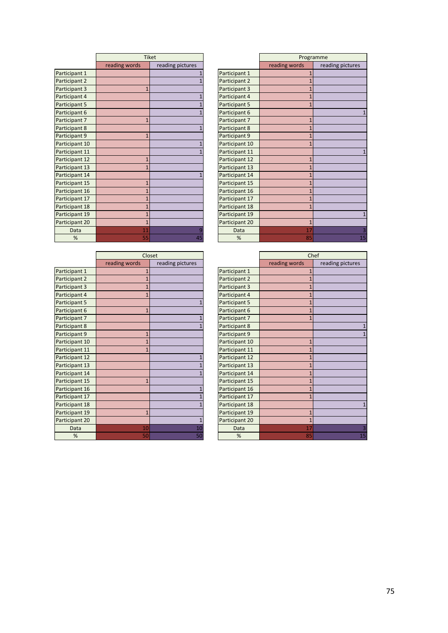|                | <b>Tiket</b>   |                  |
|----------------|----------------|------------------|
|                | reading words  | reading pictures |
| Participant 1  |                | 1                |
| Participant 2  |                | 1                |
| Participant 3  | $\mathbf{1}$   |                  |
| Participant 4  |                | 1                |
| Participant 5  |                | $\overline{1}$   |
| Participant 6  |                | $\overline{1}$   |
| Participant 7  | $\overline{1}$ |                  |
| Participant 8  |                | $\overline{1}$   |
| Participant 9  | $\overline{1}$ |                  |
| Participant 10 |                | $\overline{1}$   |
| Participant 11 |                | 1                |
| Participant 12 | $\overline{1}$ |                  |
| Participant 13 | $\overline{1}$ |                  |
| Participant 14 |                | $\overline{1}$   |
| Participant 15 | $\overline{1}$ |                  |
| Participant 16 | $\overline{1}$ |                  |
| Participant 17 | $\overline{1}$ |                  |
| Participant 18 | $\overline{1}$ |                  |
| Participant 19 | $\overline{1}$ |                  |
| Participant 20 | $\overline{1}$ |                  |
| Data           | 11             | 9                |
| %              | 55             | 45               |

|                | Closet         |                  |
|----------------|----------------|------------------|
|                | reading words  | reading pictures |
| Participant 1  | $\mathbf{1}$   |                  |
| Participant 2  | $\overline{1}$ |                  |
| Participant 3  | $\overline{1}$ |                  |
| Participant 4  | $\overline{1}$ |                  |
| Participant 5  |                | $\overline{1}$   |
| Participant 6  | $\overline{1}$ |                  |
| Participant 7  |                | $\overline{1}$   |
| Participant 8  |                | $\overline{1}$   |
| Participant 9  | $\overline{1}$ |                  |
| Participant 10 | $\overline{1}$ |                  |
| Participant 11 | $\overline{1}$ |                  |
| Participant 12 |                | $\mathbf{1}$     |
| Participant 13 |                | $\overline{1}$   |
| Participant 14 |                | $\overline{1}$   |
| Participant 15 | $\overline{1}$ |                  |
| Participant 16 |                | $\overline{1}$   |
| Participant 17 |                | $\overline{1}$   |
| Participant 18 |                | $\overline{1}$   |
| Participant 19 | $\overline{1}$ |                  |
| Participant 20 |                | $\overline{1}$   |
| Data           | 10             | 10               |
| %              | 50             | 50               |

 $\begin{array}{c} \hline \end{array}$ 

|                | Programme      |                  |
|----------------|----------------|------------------|
|                | reading words  | reading pictures |
| Participant 1  | $\overline{1}$ |                  |
| Participant 2  | $\overline{1}$ |                  |
| Participant 3  | $\overline{1}$ |                  |
| Participant 4  | $\overline{1}$ |                  |
| Participant 5  | 1              |                  |
| Participant 6  |                | 1                |
| Participant 7  | $\overline{1}$ |                  |
| Participant 8  | $\overline{1}$ |                  |
| Participant 9  | $\overline{1}$ |                  |
| Participant 10 | $\overline{1}$ |                  |
| Participant 11 |                | 1                |
| Participant 12 | $\overline{1}$ |                  |
| Participant 13 | $\overline{1}$ |                  |
| Participant 14 | $\overline{1}$ |                  |
| Participant 15 | $\overline{1}$ |                  |
| Participant 16 | $\mathbf{1}$   |                  |
| Participant 17 | $\overline{1}$ |                  |
| Participant 18 | $\mathbf{1}$   |                  |
| Participant 19 |                | $\overline{1}$   |
| Participant 20 | $\overline{1}$ |                  |
| Data           | 17             | 3                |
| %              | 85             | 15               |

|                | Chef           |                  |
|----------------|----------------|------------------|
|                | reading words  | reading pictures |
| Participant 1  | $\overline{1}$ |                  |
| Participant 2  | $\overline{1}$ |                  |
| Participant 3  | $\overline{1}$ |                  |
| Participant 4  | $\overline{1}$ |                  |
| Participant 5  | $\overline{1}$ |                  |
| Participant 6  | $\overline{1}$ |                  |
| Participant 7  | $\overline{1}$ |                  |
| Participant 8  |                | $\overline{1}$   |
| Participant 9  |                |                  |
| Participant 10 | $\overline{1}$ |                  |
| Participant 11 | $\overline{1}$ |                  |
| Participant 12 | $\overline{1}$ |                  |
| Participant 13 | $\overline{1}$ |                  |
| Participant 14 | $\overline{1}$ |                  |
| Participant 15 | $\overline{1}$ |                  |
| Participant 16 | $\overline{1}$ |                  |
| Participant 17 | $\overline{1}$ |                  |
| Participant 18 |                | 1                |
| Participant 19 | $\overline{1}$ |                  |
| Participant 20 | $\overline{1}$ |                  |
| Data           | 17             |                  |
| %              | 85             | 15               |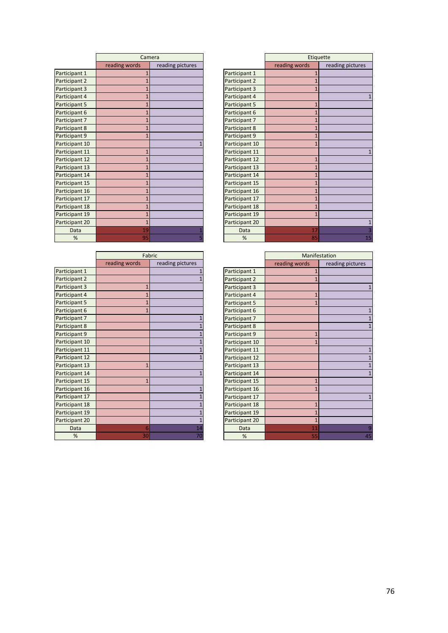|                | Camera         |                  |
|----------------|----------------|------------------|
|                | reading words  | reading pictures |
| Participant 1  | $\overline{1}$ |                  |
| Participant 2  | $\overline{1}$ |                  |
| Participant 3  | $\overline{1}$ |                  |
| Participant 4  | $\overline{1}$ |                  |
| Participant 5  | $\overline{1}$ |                  |
| Participant 6  | $\overline{1}$ |                  |
| Participant 7  | $\overline{1}$ |                  |
| Participant 8  | $\overline{1}$ |                  |
| Participant 9  | $\overline{1}$ |                  |
| Participant 10 |                | 1                |
| Participant 11 | $\overline{1}$ |                  |
| Participant 12 | $\overline{1}$ |                  |
| Participant 13 | $\overline{1}$ |                  |
| Participant 14 | $\overline{1}$ |                  |
| Participant 15 | $\overline{1}$ |                  |
| Participant 16 | $\overline{1}$ |                  |
| Participant 17 | $\overline{1}$ |                  |
| Participant 18 | $\overline{1}$ |                  |
| Participant 19 | $\overline{1}$ |                  |
| Participant 20 | $\overline{1}$ |                  |
| Data           | 19             |                  |
| %              | 95             | 5                |

| Fabric         |                  |
|----------------|------------------|
| reading words  | reading pictures |
|                | $\overline{1}$   |
|                | $\overline{1}$   |
| $\overline{1}$ |                  |
| $\mathbf{1}$   |                  |
| $\overline{1}$ |                  |
| $\overline{1}$ |                  |
|                | $\mathbf{1}$     |
|                | $\overline{1}$   |
|                | $\overline{1}$   |
|                | $\overline{1}$   |
|                | $\overline{1}$   |
|                | $\overline{1}$   |
| $\mathbf{1}$   |                  |
|                | $\overline{1}$   |
| $\overline{1}$ |                  |
|                | $\overline{1}$   |
|                | $\overline{1}$   |
|                | $\overline{1}$   |
|                | $\overline{1}$   |
|                | $\overline{1}$   |
| 6              | 14               |
| 30             | 70               |
|                |                  |

 $\begin{array}{c} \hline \end{array}$ 

|                | Etiquette      |                  |
|----------------|----------------|------------------|
|                | reading words  | reading pictures |
| Participant 1  | $\overline{1}$ |                  |
| Participant 2  | $\overline{1}$ |                  |
| Participant 3  | $\overline{1}$ |                  |
| Participant 4  |                | 1                |
| Participant 5  | $\overline{1}$ |                  |
| Participant 6  | $\overline{1}$ |                  |
| Participant 7  | $\overline{1}$ |                  |
| Participant 8  | $\mathbf{1}$   |                  |
| Participant 9  | $\overline{1}$ |                  |
| Participant 10 | $\overline{1}$ |                  |
| Participant 11 |                |                  |
| Participant 12 | $\overline{1}$ |                  |
| Participant 13 | $\overline{1}$ |                  |
| Participant 14 | $\overline{1}$ |                  |
| Participant 15 | $\overline{1}$ |                  |
| Participant 16 | $\overline{1}$ |                  |
| Participant 17 | $\overline{1}$ |                  |
| Participant 18 | $\overline{1}$ |                  |
| Participant 19 | $\overline{1}$ |                  |
| Participant 20 |                | $\overline{1}$   |
| Data           | 17             |                  |
| %              | 85             | 15               |

|                | Manifestation  |                  |
|----------------|----------------|------------------|
|                | reading words  | reading pictures |
| Participant 1  | $\overline{1}$ |                  |
| Participant 2  | $\overline{1}$ |                  |
| Participant 3  |                | $\mathbf{1}$     |
| Participant 4  | $\overline{1}$ |                  |
| Participant 5  | $\overline{1}$ |                  |
| Participant 6  |                | 1                |
| Participant 7  |                | $\mathbf{1}$     |
| Participant 8  |                | $\mathbf{1}$     |
| Participant 9  | $\overline{1}$ |                  |
| Participant 10 | $\overline{1}$ |                  |
| Participant 11 |                | $\overline{1}$   |
| Participant 12 |                | $\overline{1}$   |
| Participant 13 |                | $\overline{1}$   |
| Participant 14 |                | $\overline{1}$   |
| Participant 15 | $\overline{1}$ |                  |
| Participant 16 | $\overline{1}$ |                  |
| Participant 17 |                | $\mathbf{1}$     |
| Participant 18 | $\overline{1}$ |                  |
| Participant 19 | $\overline{1}$ |                  |
| Participant 20 | $\overline{1}$ |                  |
| Data           | 11             |                  |
| %              | 55             | 45               |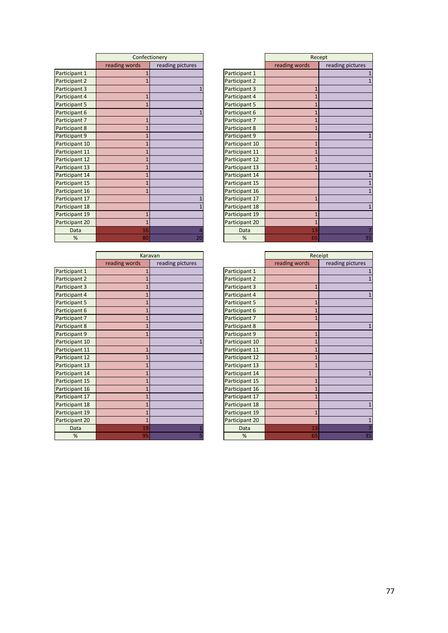|                | Confectionery  |                  |
|----------------|----------------|------------------|
|                | reading words  | reading pictures |
| Participant 1  | $\overline{1}$ |                  |
| Participant 2  | $\overline{1}$ |                  |
| Participant 3  |                | $\overline{1}$   |
| Participant 4  | $\overline{1}$ |                  |
| Participant 5  | $\overline{1}$ |                  |
| Participant 6  |                | $\overline{1}$   |
| Participant 7  | $\overline{1}$ |                  |
| Participant 8  | $\overline{1}$ |                  |
| Participant 9  | $\overline{1}$ |                  |
| Participant 10 | $\overline{1}$ |                  |
| Participant 11 | $\overline{1}$ |                  |
| Participant 12 | $\overline{1}$ |                  |
| Participant 13 | $\overline{1}$ |                  |
| Participant 14 | $\overline{1}$ |                  |
| Participant 15 | $\overline{1}$ |                  |
| Participant 16 | $\overline{1}$ |                  |
| Participant 17 |                | 1                |
| Participant 18 |                | $\overline{1}$   |
| Participant 19 | $\overline{1}$ |                  |
| Participant 20 | $\overline{1}$ |                  |
| Data           | 16             |                  |
| %              | 80             | 20               |

|                | Karavan        |                  |
|----------------|----------------|------------------|
|                | reading words  | reading pictures |
| Participant 1  | $\overline{1}$ |                  |
| Participant 2  | $\overline{1}$ |                  |
| Participant 3  | $\overline{1}$ |                  |
| Participant 4  | $\overline{1}$ |                  |
| Participant 5  | $\overline{1}$ |                  |
| Participant 6  | $\overline{1}$ |                  |
| Participant 7  | $\overline{1}$ |                  |
| Participant 8  | $\overline{1}$ |                  |
| Participant 9  | $\overline{1}$ |                  |
| Participant 10 |                | $\overline{1}$   |
| Participant 11 | $\overline{1}$ |                  |
| Participant 12 | $\overline{1}$ |                  |
| Participant 13 | $\overline{1}$ |                  |
| Participant 14 | $\mathbf{1}$   |                  |
| Participant 15 | $\overline{1}$ |                  |
| Participant 16 | $\overline{1}$ |                  |
| Participant 17 | $\overline{1}$ |                  |
| Participant 18 | $\overline{1}$ |                  |
| Participant 19 | $\overline{1}$ |                  |
| Participant 20 | $\overline{1}$ |                  |
| Data           | 19             | $\overline{1}$   |
| %              | 95             | 5                |

 $\begin{array}{c} \hline \end{array}$ 

|                | Recept         |                  |
|----------------|----------------|------------------|
|                | reading words  | reading pictures |
| Participant 1  |                | $\mathbf{1}$     |
| Participant 2  |                | $\mathbf{1}$     |
| Participant 3  | $\overline{1}$ |                  |
| Participant 4  | $\overline{1}$ |                  |
| Participant 5  | $\overline{1}$ |                  |
| Participant 6  | $\overline{1}$ |                  |
| Participant 7  | $\overline{1}$ |                  |
| Participant 8  | $\overline{1}$ |                  |
| Participant 9  |                | 1                |
| Participant 10 | $\overline{1}$ |                  |
| Participant 11 | $\overline{1}$ |                  |
| Participant 12 | $\overline{1}$ |                  |
| Participant 13 | $\overline{1}$ |                  |
| Participant 14 |                | $\mathbf{1}$     |
| Participant 15 |                | $\overline{1}$   |
| Participant 16 |                | $\overline{1}$   |
| Participant 17 | $\overline{1}$ |                  |
| Participant 18 |                | 1                |
| Participant 19 | $\overline{1}$ |                  |
| Participant 20 | $\overline{1}$ |                  |
| Data           | 13             |                  |
| %              | 65             | 35               |

|                | Receipt        |                  |
|----------------|----------------|------------------|
|                | reading words  | reading pictures |
| Participant 1  |                | $\mathbf{1}$     |
| Participant 2  |                | $\overline{1}$   |
| Participant 3  | $\overline{1}$ |                  |
| Participant 4  |                | $\mathbf{1}$     |
| Participant 5  | $\overline{1}$ |                  |
| Participant 6  | $\overline{1}$ |                  |
| Participant 7  | $\overline{1}$ |                  |
| Participant 8  |                | $\overline{1}$   |
| Participant 9  | $\overline{1}$ |                  |
| Participant 10 | $\overline{1}$ |                  |
| Participant 11 | $\overline{1}$ |                  |
| Participant 12 | $\overline{1}$ |                  |
| Participant 13 | $\overline{1}$ |                  |
| Participant 14 |                | 1                |
| Participant 15 | $\overline{1}$ |                  |
| Participant 16 | $\overline{1}$ |                  |
| Participant 17 | $\overline{1}$ |                  |
| Participant 18 |                | $\mathbf{1}$     |
| Participant 19 | $\overline{1}$ |                  |
| Participant 20 |                | $\mathbf{1}$     |
| Data           | 13             |                  |
| %              | 65             | 35               |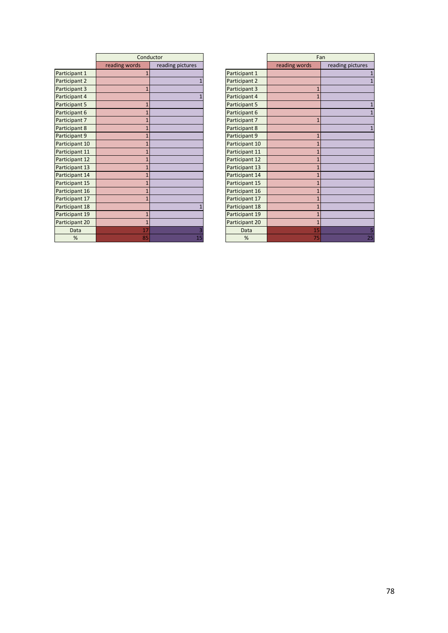|                | Conductor      |                  |
|----------------|----------------|------------------|
|                | reading words  | reading pictures |
| Participant 1  | $\mathbf{1}$   |                  |
| Participant 2  |                | 1                |
| Participant 3  | $\overline{1}$ |                  |
| Participant 4  |                | 1                |
| Participant 5  | $\overline{1}$ |                  |
| Participant 6  | $\overline{1}$ |                  |
| Participant 7  | $\overline{1}$ |                  |
| Participant 8  | $\overline{1}$ |                  |
| Participant 9  | $\overline{1}$ |                  |
| Participant 10 | $\overline{1}$ |                  |
| Participant 11 | $\overline{1}$ |                  |
| Participant 12 | $\overline{1}$ |                  |
| Participant 13 | $\overline{1}$ |                  |
| Participant 14 | $\overline{1}$ |                  |
| Participant 15 | $\overline{1}$ |                  |
| Participant 16 | $\overline{1}$ |                  |
| Participant 17 | $\overline{1}$ |                  |
| Participant 18 |                | 1                |
| Participant 19 | $\overline{1}$ |                  |
| Participant 20 | $\overline{1}$ |                  |
| Data           | 17             | 3                |
| %              | 85             | 15               |

|                | Fan            |                  |
|----------------|----------------|------------------|
|                | reading words  | reading pictures |
| Participant 1  |                | $\mathbf{1}$     |
| Participant 2  |                | $\overline{1}$   |
| Participant 3  | $\overline{1}$ |                  |
| Participant 4  | $\overline{1}$ |                  |
| Participant 5  |                | 1                |
| Participant 6  |                | $\overline{1}$   |
| Participant 7  | $\overline{1}$ |                  |
| Participant 8  |                | 1                |
| Participant 9  | $\overline{1}$ |                  |
| Participant 10 | $\overline{1}$ |                  |
| Participant 11 | $\overline{1}$ |                  |
| Participant 12 | $\overline{1}$ |                  |
| Participant 13 | $\overline{1}$ |                  |
| Participant 14 | $\overline{1}$ |                  |
| Participant 15 | $\overline{1}$ |                  |
| Participant 16 | $\overline{1}$ |                  |
| Participant 17 | $\overline{1}$ |                  |
| Participant 18 | $\overline{1}$ |                  |
| Participant 19 | $\overline{1}$ |                  |
| Participant 20 | $\overline{1}$ |                  |
| Data           | 15             |                  |
| %              | 75             | 25               |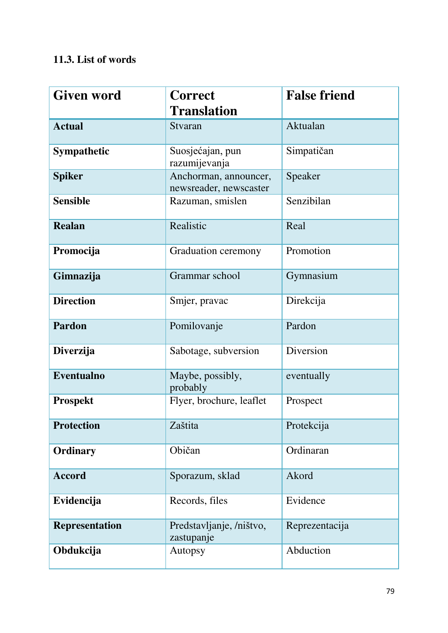# **11.3. List of words**

| <b>Given word</b>     | <b>Correct</b>                                  | <b>False friend</b> |
|-----------------------|-------------------------------------------------|---------------------|
|                       | <b>Translation</b>                              |                     |
| <b>Actual</b>         | Stvaran                                         | Aktualan            |
| <b>Sympathetic</b>    | Suosjećajan, pun<br>razumijevanja               | Simpatičan          |
| <b>Spiker</b>         | Anchorman, announcer,<br>newsreader, newscaster | Speaker             |
| <b>Sensible</b>       | Razuman, smislen                                | Senzibilan          |
| <b>Realan</b>         | Realistic                                       | Real                |
| Promocija             | Graduation ceremony                             | Promotion           |
| Gimnazija             | Grammar school                                  | Gymnasium           |
| <b>Direction</b>      | Smjer, pravac                                   | Direkcija           |
| <b>Pardon</b>         | Pomilovanje                                     | Pardon              |
| Diverzija             | Sabotage, subversion                            | Diversion           |
| <b>Eventualno</b>     | Maybe, possibly,<br>probably                    | eventually          |
| <b>Prospekt</b>       | Flyer, brochure, leaflet                        | Prospect            |
| <b>Protection</b>     | Zaštita                                         | Protekcija          |
| Ordinary              | Običan                                          | Ordinaran           |
| <b>Accord</b>         | Sporazum, sklad                                 | Akord               |
| Evidencija            | Records, files                                  | Evidence            |
| <b>Representation</b> | Predstavljanje, /ništvo,<br>zastupanje          | Reprezentacija      |
| Obdukcija             | Autopsy                                         | Abduction           |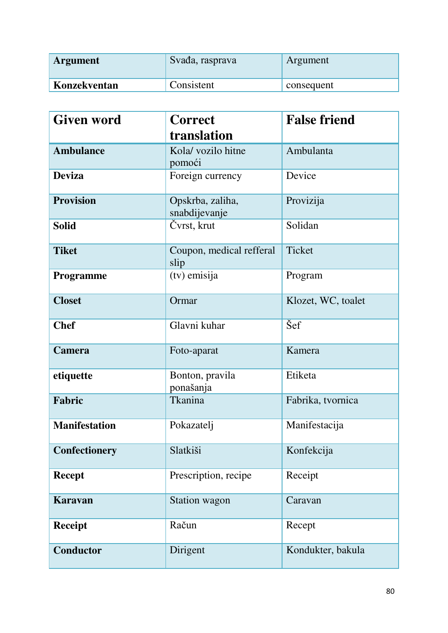| <b>Argument</b> | Svađa, rasprava | Argument   |
|-----------------|-----------------|------------|
| Konzekventan    | Consistent      | consequent |

| <b>Given word</b>    | <b>Correct</b>                    | <b>False friend</b> |
|----------------------|-----------------------------------|---------------------|
|                      | translation                       |                     |
| <b>Ambulance</b>     | Kola/ vozilo hitne<br>pomoći      | Ambulanta           |
| <b>Deviza</b>        | Foreign currency                  | Device              |
| <b>Provision</b>     | Opskrba, zaliha,<br>snabdijevanje | Provizija           |
| <b>Solid</b>         | Čvrst, krut                       | Solidan             |
| <b>Tiket</b>         | Coupon, medical refferal<br>slip  | Ticket              |
| Programme            | (tv) emisija                      | Program             |
| <b>Closet</b>        | Ormar                             | Klozet, WC, toalet  |
| <b>Chef</b>          | Glavni kuhar                      | Šef                 |
| <b>Camera</b>        | Foto-aparat                       | Kamera              |
| etiquette            | Bonton, pravila<br>ponašanja      | Etiketa             |
| Fabric               | Tkanina                           | Fabrika, tvornica   |
| <b>Manifestation</b> | Pokazatelj                        | Manifestacija       |
| <b>Confectionery</b> | Slatkiši                          | Konfekcija          |
| <b>Recept</b>        | Prescription, recipe              | Receipt             |
| <b>Karavan</b>       | <b>Station wagon</b>              | Caravan             |
| <b>Receipt</b>       | Račun                             | Recept              |
| <b>Conductor</b>     | Dirigent                          | Kondukter, bakula   |